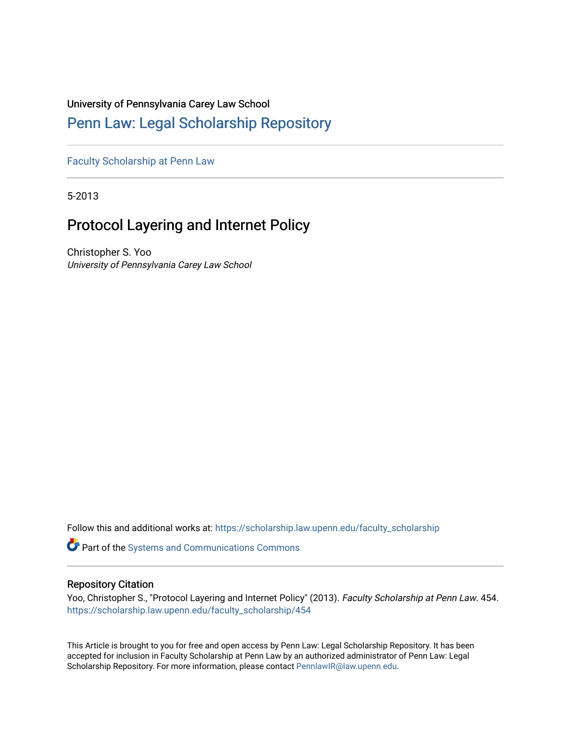# University of Pennsylvania Carey Law School

# [Penn Law: Legal Scholarship Repository](https://scholarship.law.upenn.edu/)

[Faculty Scholarship at Penn Law](https://scholarship.law.upenn.edu/faculty_scholarship)

5-2013

# Protocol Layering and Internet Policy

Christopher S. Yoo University of Pennsylvania Carey Law School

Follow this and additional works at: [https://scholarship.law.upenn.edu/faculty\\_scholarship](https://scholarship.law.upenn.edu/faculty_scholarship?utm_source=scholarship.law.upenn.edu%2Ffaculty_scholarship%2F454&utm_medium=PDF&utm_campaign=PDFCoverPages) 

Part of the [Systems and Communications Commons](http://network.bepress.com/hgg/discipline/276?utm_source=scholarship.law.upenn.edu%2Ffaculty_scholarship%2F454&utm_medium=PDF&utm_campaign=PDFCoverPages) 

# Repository Citation

Yoo, Christopher S., "Protocol Layering and Internet Policy" (2013). Faculty Scholarship at Penn Law. 454. [https://scholarship.law.upenn.edu/faculty\\_scholarship/454](https://scholarship.law.upenn.edu/faculty_scholarship/454?utm_source=scholarship.law.upenn.edu%2Ffaculty_scholarship%2F454&utm_medium=PDF&utm_campaign=PDFCoverPages) 

This Article is brought to you for free and open access by Penn Law: Legal Scholarship Repository. It has been accepted for inclusion in Faculty Scholarship at Penn Law by an authorized administrator of Penn Law: Legal Scholarship Repository. For more information, please contact [PennlawIR@law.upenn.edu.](mailto:PennlawIR@law.upenn.edu)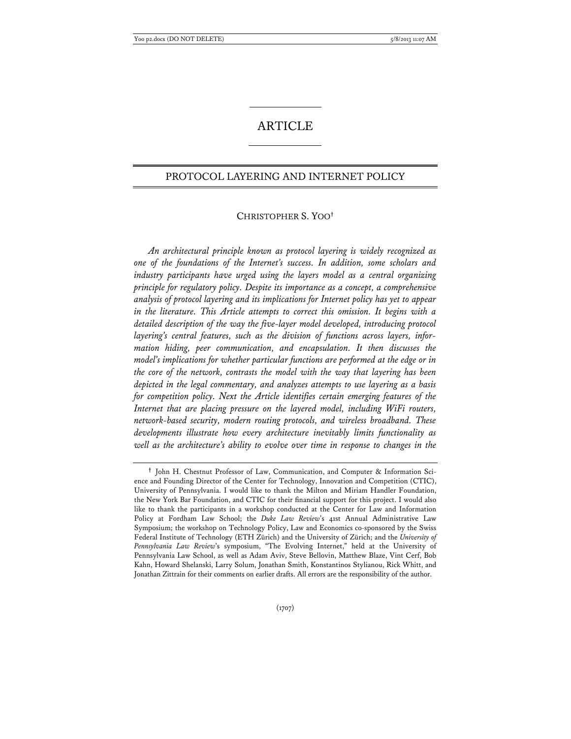## ARTICLE

## PROTOCOL LAYERING AND INTERNET POLICY

## CHRISTOPHER S. YOO**†**

*An architectural principle known as protocol layering is widely recognized as one of the foundations of the Internet's success. In addition, some scholars and industry participants have urged using the layers model as a central organizing principle for regulatory policy. Despite its importance as a concept, a comprehensive analysis of protocol layering and its implications for Internet policy has yet to appear*  in the literature. This Article attempts to correct this omission. It begins with a *detailed description of the way the five-layer model developed, introducing protocol layering's central features, such as the division of functions across layers, information hiding, peer communication, and encapsulation. It then discusses the model's implications for whether particular functions are performed at the edge or in the core of the network, contrasts the model with the way that layering has been depicted in the legal commentary, and analyzes attempts to use layering as a basis for competition policy. Next the Article identifies certain emerging features of the Internet that are placing pressure on the layered model, including WiFi routers, network-based security, modern routing protocols, and wireless broadband. These developments illustrate how every architecture inevitably limits functionality as well as the architecture's ability to evolve over time in response to changes in the* 

**<sup>†</sup>** John H. Chestnut Professor of Law, Communication, and Computer & Information Science and Founding Director of the Center for Technology, Innovation and Competition (CTIC), University of Pennsylvania. I would like to thank the Milton and Miriam Handler Foundation, the New York Bar Foundation, and CTIC for their financial support for this project. I would also like to thank the participants in a workshop conducted at the Center for Law and Information Policy at Fordham Law School; the *Duke Law Review*'s 41st Annual Administrative Law Symposium; the workshop on Technology Policy, Law and Economics co-sponsored by the Swiss Federal Institute of Technology (ETH Zürich) and the University of Zürich; and the *University of Pennsylvania Law Review*'s symposium, "The Evolving Internet," held at the University of Pennsylvania Law School, as well as Adam Aviv, Steve Bellovin, Matthew Blaze, Vint Cerf, Bob Kahn, Howard Shelanski, Larry Solum, Jonathan Smith, Konstantinos Stylianou, Rick Whitt, and Jonathan Zittrain for their comments on earlier drafts. All errors are the responsibility of the author.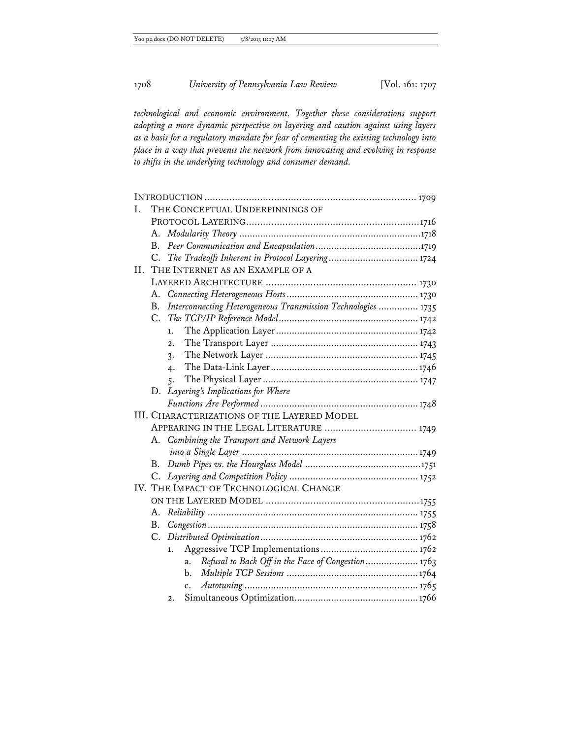*technological and economic environment. Together these considerations support adopting a more dynamic perspective on layering and caution against using layers as a basis for a regulatory mandate for fear of cementing the existing technology into place in a way that prevents the network from innovating and evolving in response to shifts in the underlying technology and consumer demand.* 

| L. | THE CONCEPTUAL UNDERPINNINGS OF                  |                                                               |  |  |  |
|----|--------------------------------------------------|---------------------------------------------------------------|--|--|--|
|    |                                                  |                                                               |  |  |  |
|    | А.                                               |                                                               |  |  |  |
|    | В.                                               |                                                               |  |  |  |
|    | C.                                               |                                                               |  |  |  |
| H. |                                                  | THE INTERNET AS AN EXAMPLE OF A                               |  |  |  |
|    |                                                  |                                                               |  |  |  |
|    | А.                                               |                                                               |  |  |  |
|    | Β.                                               | Interconnecting Heterogeneous Transmission Technologies  1735 |  |  |  |
|    | C.                                               |                                                               |  |  |  |
|    |                                                  | 1.                                                            |  |  |  |
|    |                                                  | $\overline{2}$ .                                              |  |  |  |
|    |                                                  | 3.                                                            |  |  |  |
|    |                                                  | 4.                                                            |  |  |  |
|    |                                                  | 5.                                                            |  |  |  |
|    | D.                                               | Layering's Implications for Where                             |  |  |  |
|    |                                                  |                                                               |  |  |  |
|    |                                                  | <b>III. CHARACTERIZATIONS OF THE LAYERED MODEL</b>            |  |  |  |
|    | APPEARING IN THE LEGAL LITERATURE  1749          |                                                               |  |  |  |
|    | Combining the Transport and Network Layers<br>А. |                                                               |  |  |  |
|    |                                                  |                                                               |  |  |  |
|    | В.                                               |                                                               |  |  |  |
|    | C.                                               |                                                               |  |  |  |
|    | IV. THE IMPACT OF TECHNOLOGICAL CHANGE           |                                                               |  |  |  |
|    |                                                  |                                                               |  |  |  |
|    | А.                                               |                                                               |  |  |  |
|    | B.                                               |                                                               |  |  |  |
|    | C.                                               |                                                               |  |  |  |
|    |                                                  | 1.                                                            |  |  |  |
|    |                                                  | Refusal to Back Off in the Face of Congestion 1763<br>a.      |  |  |  |
|    |                                                  | b.                                                            |  |  |  |
|    |                                                  | c.                                                            |  |  |  |
|    |                                                  | 2.                                                            |  |  |  |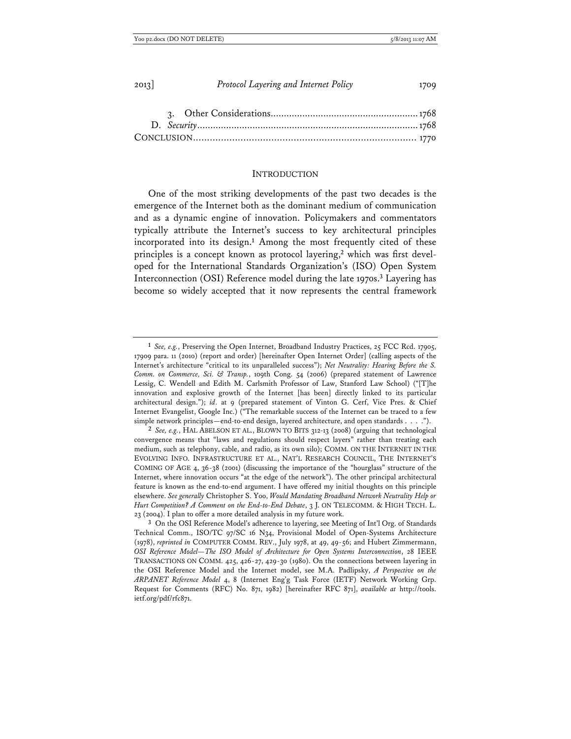| 2013 |  | Protocol Layering and Internet Policy |  |  |
|------|--|---------------------------------------|--|--|
|      |  |                                       |  |  |

|  |  | $\cdots$ case conorerations and $\cdots$ and $\cdots$ |  |
|--|--|-------------------------------------------------------|--|
|  |  |                                                       |  |
|  |  |                                                       |  |
|  |  |                                                       |  |
|  |  |                                                       |  |

## **INTRODUCTION**

One of the most striking developments of the past two decades is the emergence of the Internet both as the dominant medium of communication and as a dynamic engine of innovation. Policymakers and commentators typically attribute the Internet's success to key architectural principles incorporated into its design.**<sup>1</sup>** Among the most frequently cited of these principles is a concept known as protocol layering,**2** which was first developed for the International Standards Organization's (ISO) Open System Interconnection (OSI) Reference model during the late 1970s.**<sup>3</sup>** Layering has become so widely accepted that it now represents the central framework

**<sup>1</sup>** *See, e.g.*, Preserving the Open Internet, Broadband Industry Practices, 25 FCC Rcd. 17905, 17909 para. 11 (2010) (report and order) [hereinafter Open Internet Order] (calling aspects of the Internet's architecture "critical to its unparalleled success"); *Net Neutrality: Hearing Before the S. Comm. on Commerce, Sci. & Transp.*, 109th Cong. 54 (2006) (prepared statement of Lawrence Lessig, C. Wendell and Edith M. Carlsmith Professor of Law, Stanford Law School) ("[T]he innovation and explosive growth of the Internet [has been] directly linked to its particular architectural design."); *id*. at 9 (prepared statement of Vinton G. Cerf, Vice Pres. & Chief Internet Evangelist, Google Inc.) ("The remarkable success of the Internet can be traced to a few simple network principles—end-to-end design, layered architecture, and open standards . . . .").

**<sup>2</sup>** *See, e.g.*, HAL ABELSON ET AL., BLOWN TO BITS 312-13 (2008) (arguing that technological convergence means that "laws and regulations should respect layers" rather than treating each medium, such as telephony, cable, and radio, as its own silo); COMM. ON THE INTERNET IN THE EVOLVING INFO. INFRASTRUCTURE ET AL., NAT'L RESEARCH COUNCIL, THE INTERNET'S COMING OF AGE 4, 36-38 (2001) (discussing the importance of the "hourglass" structure of the Internet, where innovation occurs "at the edge of the network"). The other principal architectural feature is known as the end-to-end argument. I have offered my initial thoughts on this principle elsewhere. *See generally* Christopher S. Yoo, *Would Mandating Broadband Network Neutrality Help or Hurt Competition? A Comment on the End-to-End Debate*, 3 J. ON TELECOMM. & HIGH TECH. L. 23 (2004). I plan to offer a more detailed analysis in my future work.

**<sup>3</sup>** On the OSI Reference Model's adherence to layering, see Meeting of Int'l Org. of Standards Technical Comm., ISO/TC 97/SC 16 N34, Provisional Model of Open-Systems Architecture (1978), *reprinted in* COMPUTER COMM. REV., July 1978, at 49, 49-56; and Hubert Zimmermann, *OSI Reference Model—The ISO Model of Architecture for Open Systems Interconnection*, 28 IEEE TRANSACTIONS ON COMM. 425, 426-27, 429-30 (1980). On the connections between layering in the OSI Reference Model and the Internet model, see M.A. Padlipsky, *A Perspective on the ARPANET Reference Model* 4, 8 (Internet Eng'g Task Force (IETF) Network Working Grp. Request for Comments (RFC) No. 871, 1982) [hereinafter RFC 871], *available at* http://tools. ietf.org/pdf/rfc871.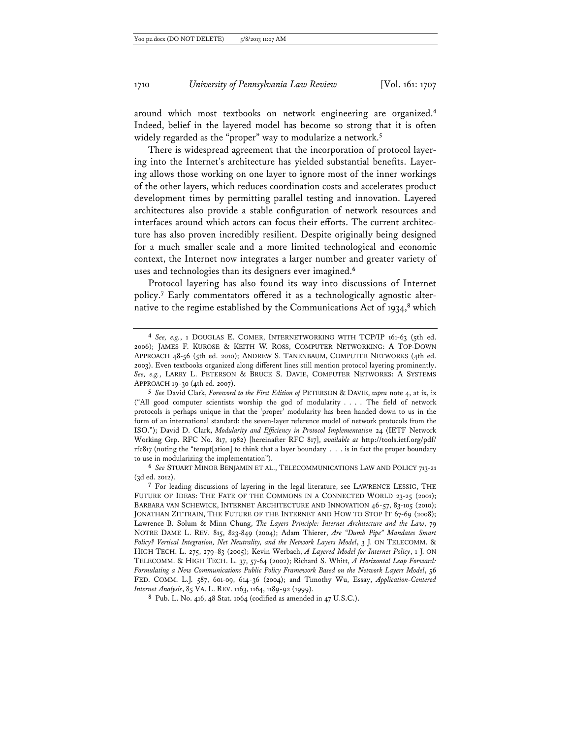around which most textbooks on network engineering are organized.**<sup>4</sup>** Indeed, belief in the layered model has become so strong that it is often widely regarded as the "proper" way to modularize a network.**<sup>5</sup>**

There is widespread agreement that the incorporation of protocol layering into the Internet's architecture has yielded substantial benefits. Layering allows those working on one layer to ignore most of the inner workings of the other layers, which reduces coordination costs and accelerates product development times by permitting parallel testing and innovation. Layered architectures also provide a stable configuration of network resources and interfaces around which actors can focus their efforts. The current architecture has also proven incredibly resilient. Despite originally being designed for a much smaller scale and a more limited technological and economic context, the Internet now integrates a larger number and greater variety of uses and technologies than its designers ever imagined.**<sup>6</sup>**

Protocol layering has also found its way into discussions of Internet policy.**<sup>7</sup>** Early commentators offered it as a technologically agnostic alternative to the regime established by the Communications Act of 1934,**<sup>8</sup>** which

**8** Pub. L. No. 416, 48 Stat. 1064 (codified as amended in 47 U.S.C.).

**<sup>4</sup>** *See, e.g.*, 1 DOUGLAS E. COMER, INTERNETWORKING WITH TCP/IP 161-63 (5th ed. 2006); JAMES F. KUROSE & KEITH W. ROSS, COMPUTER NETWORKING: A TOP-DOWN APPROACH 48-56 (5th ed. 2010); ANDREW S. TANENBAUM, COMPUTER NETWORKS (4th ed. 2003). Even textbooks organized along different lines still mention protocol layering prominently. *See, e.g.*, LARRY L. PETERSON & BRUCE S. DAVIE, COMPUTER NETWORKS: A SYSTEMS APPROACH 19-30 (4th ed. 2007).

**<sup>5</sup>** *See* David Clark, *Foreword to the First Edition of* PETERSON & DAVIE, *supra* note 4, at ix, ix ("All good computer scientists worship the god of modularity . . . . The field of network protocols is perhaps unique in that the 'proper' modularity has been handed down to us in the form of an international standard: the seven-layer reference model of network protocols from the ISO."); David D. Clark, *Modularity and Efficiency in Protocol Implementation* 24 (IETF Network Working Grp. RFC No. 817, 1982) [hereinafter RFC 817], *available at* http://tools.ietf.org/pdf/ rfc817 (noting the "tempt[ation] to think that a layer boundary . . . is in fact the proper boundary to use in modularizing the implementation").

**<sup>6</sup>** *See* STUART MINOR BENJAMIN ET AL., TELECOMMUNICATIONS LAW AND POLICY 713-21 (3d ed. 2012).

**<sup>7</sup>** For leading discussions of layering in the legal literature, see LAWRENCE LESSIG, THE FUTURE OF IDEAS: THE FATE OF THE COMMONS IN A CONNECTED WORLD 23-25 (2001); BARBARA VAN SCHEWICK, INTERNET ARCHITECTURE AND INNOVATION 46-57, 83-105 (2010); JONATHAN ZITTRAIN, THE FUTURE OF THE INTERNET AND HOW TO STOP IT 67-69 (2008); Lawrence B. Solum & Minn Chung, *The Layers Principle: Internet Architecture and the Law*, 79 NOTRE DAME L. REV. 815, 823-849 (2004); Adam Thierer, *Are "Dumb Pipe" Mandates Smart Policy? Vertical Integration, Net Neutrality, and the Network Layers Model*, 3 J. ON TELECOMM. & HIGH TECH. L. 275, 279-83 (2005); Kevin Werbach, *A Layered Model for Internet Policy*, 1 J. ON TELECOMM. & HIGH TECH. L. 37, 57-64 (2002); Richard S. Whitt, *A Horizontal Leap Forward: Formulating a New Communications Public Policy Framework Based on the Network Layers Model*, 56 FED. COMM. L.J. 587, 601-09, 614-36 (2004); and Timothy Wu, Essay, *Application-Centered Internet Analysis*, 85 VA. L. REV. 1163, 1164, 1189-92 (1999).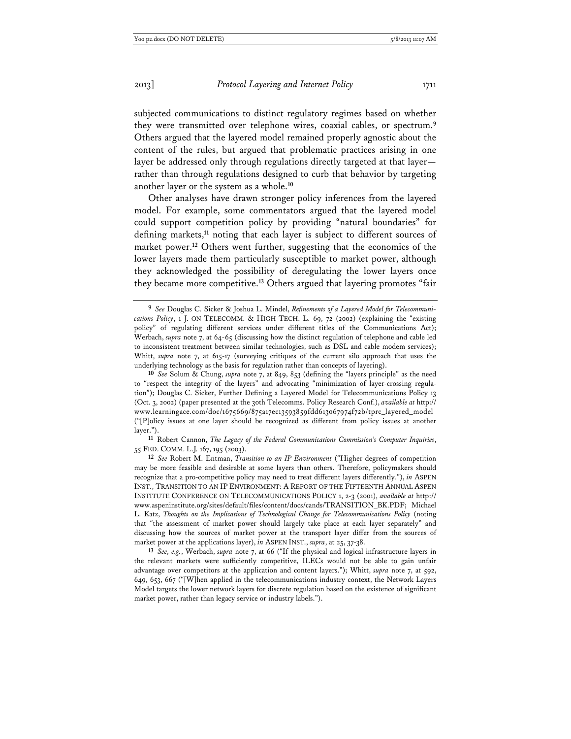subjected communications to distinct regulatory regimes based on whether they were transmitted over telephone wires, coaxial cables, or spectrum.**<sup>9</sup>** Others argued that the layered model remained properly agnostic about the content of the rules, but argued that problematic practices arising in one layer be addressed only through regulations directly targeted at that layer rather than through regulations designed to curb that behavior by targeting another layer or the system as a whole.**<sup>10</sup>**

Other analyses have drawn stronger policy inferences from the layered model. For example, some commentators argued that the layered model could support competition policy by providing "natural boundaries" for defining markets,**<sup>11</sup>** noting that each layer is subject to different sources of market power.**<sup>12</sup>** Others went further, suggesting that the economics of the lower layers made them particularly susceptible to market power, although they acknowledged the possibility of deregulating the lower layers once they became more competitive.**<sup>13</sup>** Others argued that layering promotes "fair

**11** Robert Cannon, *The Legacy of the Federal Communications Commission's Computer Inquiries*, 55 FED. COMM. L.J. 167, 195 (2003).

**12** *See* Robert M. Entman, *Transition to an IP Environment* ("Higher degrees of competition may be more feasible and desirable at some layers than others. Therefore, policymakers should recognize that a pro-competitive policy may need to treat different layers differently."), *in* ASPEN INST., TRANSITION TO AN IP ENVIRONMENT: A REPORT OF THE FIFTEENTH ANNUAL ASPEN INSTITUTE CONFERENCE ON TELECOMMUNICATIONS POLICY 1, 2-3 (2001), *available at* http:// www.aspeninstitute.org/sites/default/files/content/docs/cands/TRANSITION\_BK.PDF; Michael L. Katz, *Thoughts on the Implications of Technological Change for Telecommunications Policy* (noting that "the assessment of market power should largely take place at each layer separately" and discussing how the sources of market power at the transport layer differ from the sources of market power at the applications layer), *in* ASPEN INST., *supra*, at 25, 37-38.

**13** *See, e.g.*, Werbach, *supra* note 7, at 66 ("If the physical and logical infrastructure layers in the relevant markets were sufficiently competitive, ILECs would not be able to gain unfair advantage over competitors at the application and content layers."); Whitt, *supra* note 7, at 592, 649, 653, 667 ("[W]hen applied in the telecommunications industry context, the Network Layers Model targets the lower network layers for discrete regulation based on the existence of significant market power, rather than legacy service or industry labels.").

**<sup>9</sup>** *See* Douglas C. Sicker & Joshua L. Mindel, *Refinements of a Layered Model for Telecommunications Policy*, 1 J. ON TELECOMM. & HIGH TECH. L. 69, 72 (2002) (explaining the "existing policy" of regulating different services under different titles of the Communications Act); Werbach, *supra* note 7, at 64-65 (discussing how the distinct regulation of telephone and cable led to inconsistent treatment between similar technologies, such as DSL and cable modem services); Whitt, *supra* note 7, at 615-17 (surveying critiques of the current silo approach that uses the underlying technology as the basis for regulation rather than concepts of layering).

**<sup>10</sup>** *See* Solum & Chung, *supra* note 7, at 849, 853 (defining the "layers principle" as the need to "respect the integrity of the layers" and advocating "minimization of layer-crossing regulation"); Douglas C. Sicker, Further Defining a Layered Model for Telecommunications Policy 13 (Oct. 3, 2002) (paper presented at the 30th Telecomms. Policy Research Conf.), *available at* http:// www.learningace.com/doc/1675669/875a17ec13593859fdd613067974f72b/tprc\_layered\_model ("[P]olicy issues at one layer should be recognized as different from policy issues at another layer.").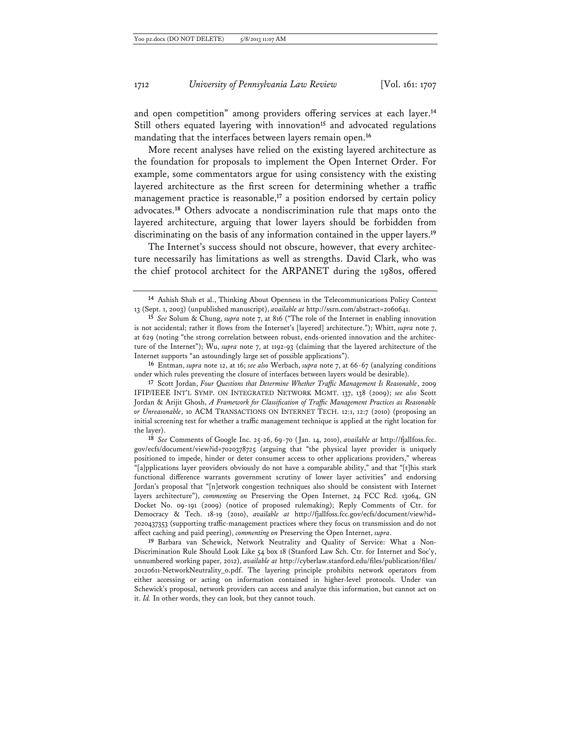and open competition" among providers offering services at each layer.**<sup>14</sup>** Still others equated layering with innovation**<sup>15</sup>** and advocated regulations mandating that the interfaces between layers remain open.**<sup>16</sup>**

More recent analyses have relied on the existing layered architecture as the foundation for proposals to implement the Open Internet Order. For example, some commentators argue for using consistency with the existing layered architecture as the first screen for determining whether a traffic management practice is reasonable,**<sup>17</sup>** a position endorsed by certain policy advocates.**<sup>18</sup>** Others advocate a nondiscrimination rule that maps onto the layered architecture, arguing that lower layers should be forbidden from discriminating on the basis of any information contained in the upper layers.**<sup>19</sup>**

The Internet's success should not obscure, however, that every architecture necessarily has limitations as well as strengths. David Clark, who was the chief protocol architect for the ARPANET during the 1980s, offered

**16** Entman, *supra* note 12, at 16; *see also* Werbach, *supra* note 7, at 66-67 (analyzing conditions under which rules preventing the closure of interfaces between layers would be desirable).

**17** Scott Jordan, *Four Questions that Determine Whether Traffic Management Is Reasonable*, 2009 IFIP/IEEE INT'L SYMP. ON INTEGRATED NETWORK MGMT. 137, 138 (2009); *see also* Scott Jordan & Arijit Ghosh, *A Framework for Classification of Traffic Management Practices as Reasonable or Unreasonable*, 10 ACM TRANSACTIONS ON INTERNET TECH. 12:1, 12:7 (2010) (proposing an initial screening test for whether a traffic management technique is applied at the right location for the layer).

**<sup>14</sup>** Ashish Shah et al., Thinking About Openness in the Telecommunications Policy Context 13 (Sept. 1, 2003) (unpublished manuscript), *available at* http://ssrn.com/abstract=2060641.

**<sup>15</sup>** *See* Solum & Chung, *supra* note 7, at 816 ("The role of the Internet in enabling innovation is not accidental; rather it flows from the Internet's [layered] architecture."); Whitt, *supra* note 7, at 629 (noting "the strong correlation between robust, ends-oriented innovation and the architecture of the Internet"); Wu, *supra* note 7, at 1192-93 (claiming that the layered architecture of the Internet supports "an astoundingly large set of possible applications").

**<sup>18</sup>** *See* Comments of Google Inc. 25-26, 69-70 (Jan. 14, 2010), *available at* http://fjallfoss.fcc. gov/ecfs/document/view?id=7020378725 (arguing that "the physical layer provider is uniquely positioned to impede, hinder or deter consumer access to other applications providers," whereas "[a]pplications layer providers obviously do not have a comparable ability," and that "[t]his stark functional difference warrants government scrutiny of lower layer activities" and endorsing Jordan's proposal that "[n]etwork congestion techniques also should be consistent with Internet layers architecture"), *commenting on* Preserving the Open Internet, 24 FCC Rcd. 13064, GN Docket No. 09-191 (2009) (notice of proposed rulemaking); Reply Comments of Ctr. for Democracy & Tech. 18-19 (2010), *available at* http://fjallfoss.fcc.gov/ecfs/document/view?id= 7020437353 (supporting traffic-management practices where they focus on transmission and do not affect caching and paid peering), *commenting on* Preserving the Open Internet, *supra*.

**<sup>19</sup>** Barbara van Schewick, Network Neutrality and Quality of Service: What a Non-Discrimination Rule Should Look Like 54 box 18 (Stanford Law Sch. Ctr. for Internet and Soc'y, unnumbered working paper, 2012), *available at* http://cyberlaw.stanford.edu/files/publication/files/ 20120611-NetworkNeutrality\_0.pdf. The layering principle prohibits network operators from either accessing or acting on information contained in higher-level protocols. Under van Schewick's proposal, network providers can access and analyze this information, but cannot act on it. *Id.* In other words, they can look, but they cannot touch.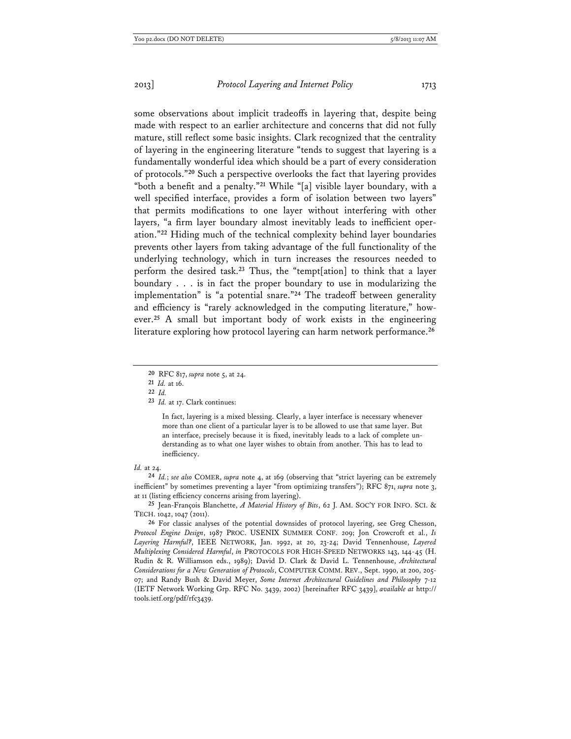some observations about implicit tradeoffs in layering that, despite being made with respect to an earlier architecture and concerns that did not fully mature, still reflect some basic insights. Clark recognized that the centrality of layering in the engineering literature "tends to suggest that layering is a fundamentally wonderful idea which should be a part of every consideration of protocols."**<sup>20</sup>** Such a perspective overlooks the fact that layering provides "both a benefit and a penalty."**<sup>21</sup>** While "[a] visible layer boundary, with a well specified interface, provides a form of isolation between two layers" that permits modifications to one layer without interfering with other layers, "a firm layer boundary almost inevitably leads to inefficient operation."**<sup>22</sup>** Hiding much of the technical complexity behind layer boundaries prevents other layers from taking advantage of the full functionality of the underlying technology, which in turn increases the resources needed to perform the desired task.**<sup>23</sup>** Thus, the "tempt[ation] to think that a layer boundary . . . is in fact the proper boundary to use in modularizing the implementation" is "a potential snare."**<sup>24</sup>** The tradeoff between generality and efficiency is "rarely acknowledged in the computing literature," however.**<sup>25</sup>** A small but important body of work exists in the engineering literature exploring how protocol layering can harm network performance.**<sup>26</sup>**

**21** *Id.* at 16.

In fact, layering is a mixed blessing. Clearly, a layer interface is necessary whenever more than one client of a particular layer is to be allowed to use that same layer. But an interface, precisely because it is fixed, inevitably leads to a lack of complete understanding as to what one layer wishes to obtain from another. This has to lead to inefficiency.

#### *Id.* at 24.

**24** *Id.*; *see also* COMER, *supra* note 4, at 169 (observing that "strict layering can be extremely inefficient" by sometimes preventing a layer "from optimizing transfers"); RFC 871, *supra* note 3, at 11 (listing efficiency concerns arising from layering).

**25** Jean-François Blanchette, *A Material History of Bits*, 62 J. AM. SOC'Y FOR INFO. SCI. & TECH. 1042, 1047 (2011).

**26** For classic analyses of the potential downsides of protocol layering, see Greg Chesson, *Protocol Engine Design*, 1987 PROC. USENIX SUMMER CONF. 209; Jon Crowcroft et al., *Is Layering Harmful?*, IEEE NETWORK, Jan. 1992, at 20, 23-24; David Tennenhouse, *Layered Multiplexing Considered Harmful*, *in* PROTOCOLS FOR HIGH-SPEED NETWORKS 143, 144-45 (H. Rudin & R. Williamson eds., 1989); David D. Clark & David L. Tennenhouse, *Architectural Considerations for a New Generation of Protocols*, COMPUTER COMM. REV., Sept. 1990, at 200, 205- 07; and Randy Bush & David Meyer, *Some Internet Architectural Guidelines and Philosophy* 7-12 (IETF Network Working Grp. RFC No. 3439, 2002) [hereinafter RFC 3439], *available at* http:// tools.ietf.org/pdf/rfc3439.

**<sup>20</sup>** RFC 817, *supra* note 5, at 24.

**<sup>22</sup>** *Id.*

**<sup>23</sup>** *Id.* at 17. Clark continues: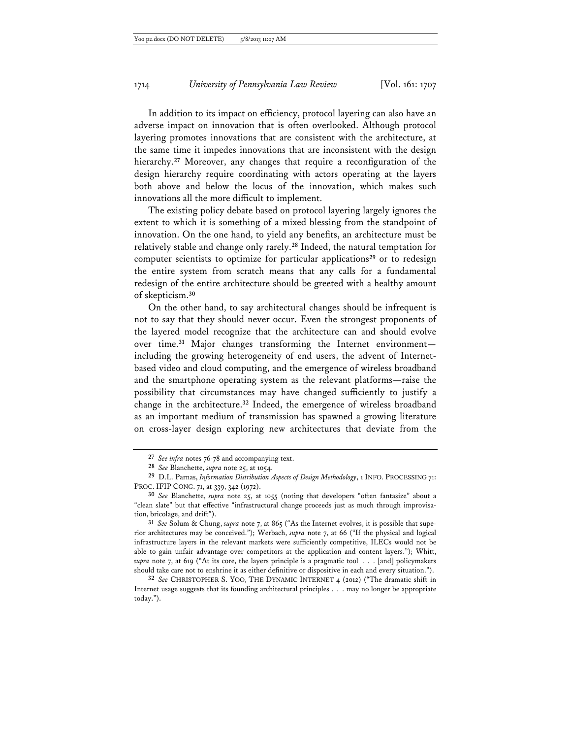In addition to its impact on efficiency, protocol layering can also have an adverse impact on innovation that is often overlooked. Although protocol layering promotes innovations that are consistent with the architecture, at the same time it impedes innovations that are inconsistent with the design hierarchy.**<sup>27</sup>** Moreover, any changes that require a reconfiguration of the design hierarchy require coordinating with actors operating at the layers both above and below the locus of the innovation, which makes such innovations all the more difficult to implement.

The existing policy debate based on protocol layering largely ignores the extent to which it is something of a mixed blessing from the standpoint of innovation. On the one hand, to yield any benefits, an architecture must be relatively stable and change only rarely.**<sup>28</sup>** Indeed, the natural temptation for computer scientists to optimize for particular applications**<sup>29</sup>** or to redesign the entire system from scratch means that any calls for a fundamental redesign of the entire architecture should be greeted with a healthy amount of skepticism.**<sup>30</sup>**

On the other hand, to say architectural changes should be infrequent is not to say that they should never occur. Even the strongest proponents of the layered model recognize that the architecture can and should evolve over time.**<sup>31</sup>** Major changes transforming the Internet environment including the growing heterogeneity of end users, the advent of Internetbased video and cloud computing, and the emergence of wireless broadband and the smartphone operating system as the relevant platforms—raise the possibility that circumstances may have changed sufficiently to justify a change in the architecture.**<sup>32</sup>** Indeed, the emergence of wireless broadband as an important medium of transmission has spawned a growing literature on cross-layer design exploring new architectures that deviate from the

**<sup>27</sup>** *See infra* notes 76-78 and accompanying text.

**<sup>28</sup>** *See* Blanchette, *supra* note 25, at 1054.

**<sup>29</sup>** D.L. Parnas, *Information Distribution Aspects of Design Methodology*, 1 INFO. PROCESSING 71: PROC. IFIP CONG. 71, at 339, 342 (1972).

**<sup>30</sup>** *See* Blanchette, *supra* note 25, at 1055 (noting that developers "often fantasize" about a "clean slate" but that effective "infrastructural change proceeds just as much through improvisation, bricolage, and drift").

**<sup>31</sup>** *See* Solum & Chung, *supra* note 7, at 865 ("As the Internet evolves, it is possible that superior architectures may be conceived."); Werbach, *supra* note 7, at 66 ("If the physical and logical infrastructure layers in the relevant markets were sufficiently competitive, ILECs would not be able to gain unfair advantage over competitors at the application and content layers."); Whitt, *supra* note 7, at 619 ("At its core, the layers principle is a pragmatic tool . . . [and] policymakers should take care not to enshrine it as either definitive or dispositive in each and every situation.").

**<sup>32</sup>** *See* CHRISTOPHER S. YOO, THE DYNAMIC INTERNET 4 (2012) ("The dramatic shift in Internet usage suggests that its founding architectural principles . . . may no longer be appropriate today.").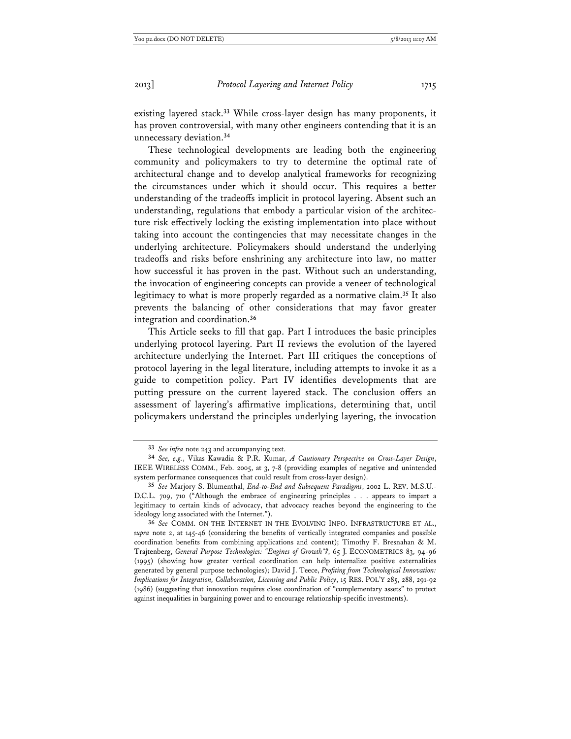existing layered stack.**<sup>33</sup>** While cross-layer design has many proponents, it has proven controversial, with many other engineers contending that it is an unnecessary deviation.**<sup>34</sup>**

These technological developments are leading both the engineering community and policymakers to try to determine the optimal rate of architectural change and to develop analytical frameworks for recognizing the circumstances under which it should occur. This requires a better understanding of the tradeoffs implicit in protocol layering. Absent such an understanding, regulations that embody a particular vision of the architecture risk effectively locking the existing implementation into place without taking into account the contingencies that may necessitate changes in the underlying architecture. Policymakers should understand the underlying tradeoffs and risks before enshrining any architecture into law, no matter how successful it has proven in the past. Without such an understanding, the invocation of engineering concepts can provide a veneer of technological legitimacy to what is more properly regarded as a normative claim.**<sup>35</sup>** It also prevents the balancing of other considerations that may favor greater integration and coordination.**<sup>36</sup>**

This Article seeks to fill that gap. Part I introduces the basic principles underlying protocol layering. Part II reviews the evolution of the layered architecture underlying the Internet. Part III critiques the conceptions of protocol layering in the legal literature, including attempts to invoke it as a guide to competition policy. Part IV identifies developments that are putting pressure on the current layered stack. The conclusion offers an assessment of layering's affirmative implications, determining that, until policymakers understand the principles underlying layering, the invocation

**<sup>33</sup>** *See infra* note 243 and accompanying text.

**<sup>34</sup>** *See, e.g.*, Vikas Kawadia & P.R. Kumar, *A Cautionary Perspective on Cross-Layer Design*, IEEE WIRELESS COMM., Feb. 2005, at 3, 7-8 (providing examples of negative and unintended system performance consequences that could result from cross-layer design).

**<sup>35</sup>** *See* Marjory S. Blumenthal, *End-to-End and Subsequent Paradigms*, 2002 L. REV. M.S.U.- D.C.L. 709, 710 ("Although the embrace of engineering principles . . . appears to impart a legitimacy to certain kinds of advocacy, that advocacy reaches beyond the engineering to the ideology long associated with the Internet.").

**<sup>36</sup>** *See* COMM. ON THE INTERNET IN THE EVOLVING INFO. INFRASTRUCTURE ET AL., *supra* note 2, at 145-46 (considering the benefits of vertically integrated companies and possible coordination benefits from combining applications and content); Timothy F. Bresnahan & M. Trajtenberg, *General Purpose Technologies: "Engines of Growth"?*, 65 J. ECONOMETRICS 83, 94-96 (1995) (showing how greater vertical coordination can help internalize positive externalities generated by general purpose technologies); David J. Teece, *Profiting from Technological Innovation: Implications for Integration, Collaboration, Licensing and Public Policy*, 15 RES. POL'Y 285, 288, 291-92 (1986) (suggesting that innovation requires close coordination of "complementary assets" to protect against inequalities in bargaining power and to encourage relationship-specific investments).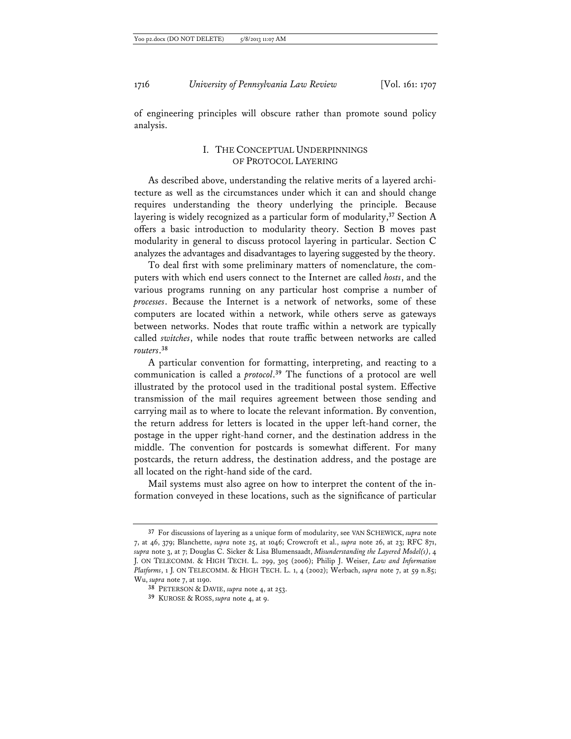of engineering principles will obscure rather than promote sound policy analysis.

## I. THE CONCEPTUAL UNDERPINNINGS OF PROTOCOL LAYERING

As described above, understanding the relative merits of a layered architecture as well as the circumstances under which it can and should change requires understanding the theory underlying the principle. Because layering is widely recognized as a particular form of modularity,**<sup>37</sup>** Section A offers a basic introduction to modularity theory. Section B moves past modularity in general to discuss protocol layering in particular. Section C analyzes the advantages and disadvantages to layering suggested by the theory.

To deal first with some preliminary matters of nomenclature, the computers with which end users connect to the Internet are called *hosts*, and the various programs running on any particular host comprise a number of *processes*. Because the Internet is a network of networks, some of these computers are located within a network, while others serve as gateways between networks. Nodes that route traffic within a network are typically called *switches*, while nodes that route traffic between networks are called *routers*. **38**

A particular convention for formatting, interpreting, and reacting to a communication is called a *protocol*. **<sup>39</sup>** The functions of a protocol are well illustrated by the protocol used in the traditional postal system. Effective transmission of the mail requires agreement between those sending and carrying mail as to where to locate the relevant information. By convention, the return address for letters is located in the upper left-hand corner, the postage in the upper right-hand corner, and the destination address in the middle. The convention for postcards is somewhat different. For many postcards, the return address, the destination address, and the postage are all located on the right-hand side of the card.

Mail systems must also agree on how to interpret the content of the information conveyed in these locations, such as the significance of particular

**<sup>37</sup>** For discussions of layering as a unique form of modularity, see VAN SCHEWICK, *supra* note 7, at 46, 379; Blanchette, *supra* note 25, at 1046; Crowcroft et al., *supra* note 26, at 23; RFC 871, *supra* note 3, at 7; Douglas C. Sicker & Lisa Blumensaadt, *Misunderstanding the Layered Model(s)*, 4 J. ON TELECOMM. & HIGH TECH. L. 299, 305 (2006); Philip J. Weiser, *Law and Information Platforms*, 1 J. ON TELECOMM. & HIGH TECH. L. 1, 4 (2002); Werbach, *supra* note 7, at 59 n.85; Wu, *supra* note 7, at 1190.

**<sup>38</sup>** PETERSON & DAVIE, *supra* note 4, at 253.

**<sup>39</sup>** KUROSE & ROSS, *supra* note 4, at 9.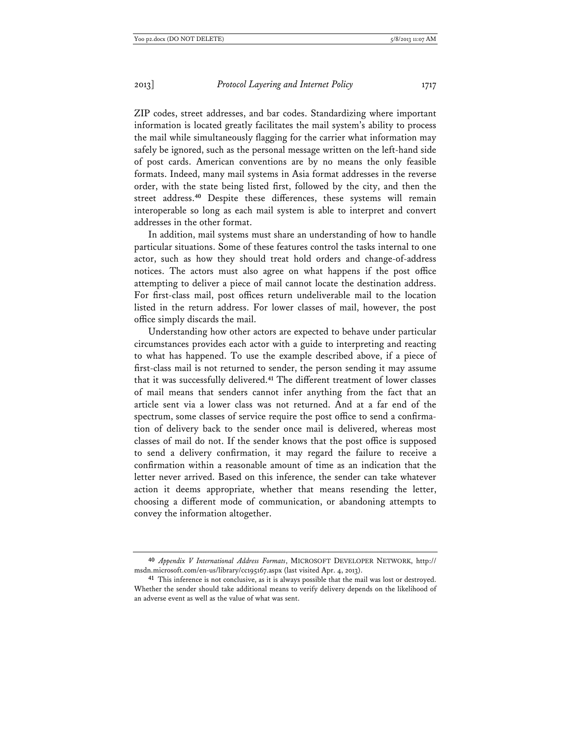ZIP codes, street addresses, and bar codes. Standardizing where important information is located greatly facilitates the mail system's ability to process the mail while simultaneously flagging for the carrier what information may safely be ignored, such as the personal message written on the left-hand side of post cards. American conventions are by no means the only feasible formats. Indeed, many mail systems in Asia format addresses in the reverse order, with the state being listed first, followed by the city, and then the street address.**<sup>40</sup>** Despite these differences, these systems will remain interoperable so long as each mail system is able to interpret and convert addresses in the other format.

In addition, mail systems must share an understanding of how to handle particular situations. Some of these features control the tasks internal to one actor, such as how they should treat hold orders and change-of-address notices. The actors must also agree on what happens if the post office attempting to deliver a piece of mail cannot locate the destination address. For first-class mail, post offices return undeliverable mail to the location listed in the return address. For lower classes of mail, however, the post office simply discards the mail.

Understanding how other actors are expected to behave under particular circumstances provides each actor with a guide to interpreting and reacting to what has happened. To use the example described above, if a piece of first-class mail is not returned to sender, the person sending it may assume that it was successfully delivered.**<sup>41</sup>** The different treatment of lower classes of mail means that senders cannot infer anything from the fact that an article sent via a lower class was not returned. And at a far end of the spectrum, some classes of service require the post office to send a confirmation of delivery back to the sender once mail is delivered, whereas most classes of mail do not. If the sender knows that the post office is supposed to send a delivery confirmation, it may regard the failure to receive a confirmation within a reasonable amount of time as an indication that the letter never arrived. Based on this inference, the sender can take whatever action it deems appropriate, whether that means resending the letter, choosing a different mode of communication, or abandoning attempts to convey the information altogether.

**<sup>40</sup>** *Appendix V International Address Formats*, MICROSOFT DEVELOPER NETWORK, http:// msdn.microsoft.com/en-us/library/cc195167.aspx (last visited Apr. 4, 2013).

**<sup>41</sup>** This inference is not conclusive, as it is always possible that the mail was lost or destroyed. Whether the sender should take additional means to verify delivery depends on the likelihood of an adverse event as well as the value of what was sent.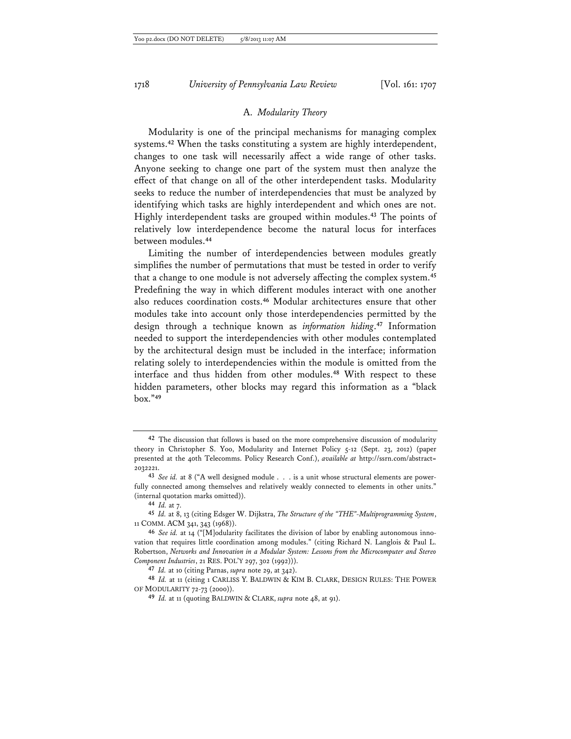## A. *Modularity Theory*

Modularity is one of the principal mechanisms for managing complex systems.**<sup>42</sup>** When the tasks constituting a system are highly interdependent, changes to one task will necessarily affect a wide range of other tasks. Anyone seeking to change one part of the system must then analyze the effect of that change on all of the other interdependent tasks. Modularity seeks to reduce the number of interdependencies that must be analyzed by identifying which tasks are highly interdependent and which ones are not. Highly interdependent tasks are grouped within modules.**<sup>43</sup>** The points of relatively low interdependence become the natural locus for interfaces between modules.**<sup>44</sup>**

Limiting the number of interdependencies between modules greatly simplifies the number of permutations that must be tested in order to verify that a change to one module is not adversely affecting the complex system.**<sup>45</sup>** Predefining the way in which different modules interact with one another also reduces coordination costs.**<sup>46</sup>** Modular architectures ensure that other modules take into account only those interdependencies permitted by the design through a technique known as *information hiding*. **<sup>47</sup>** Information needed to support the interdependencies with other modules contemplated by the architectural design must be included in the interface; information relating solely to interdependencies within the module is omitted from the interface and thus hidden from other modules.**<sup>48</sup>** With respect to these hidden parameters, other blocks may regard this information as a "black box."**<sup>49</sup>**

**<sup>42</sup>** The discussion that follows is based on the more comprehensive discussion of modularity theory in Christopher S. Yoo, Modularity and Internet Policy 5-12 (Sept. 23, 2012) (paper presented at the 40th Telecomms. Policy Research Conf.), *available at* http://ssrn.com/abstract= 2032221.

**<sup>43</sup>** *See id.* at 8 ("A well designed module . . . is a unit whose structural elements are powerfully connected among themselves and relatively weakly connected to elements in other units." (internal quotation marks omitted)).

**<sup>44</sup>** *Id.* at 7.

**<sup>45</sup>** *Id.* at 8, 13 (citing Edsger W. Dijkstra, *The Structure of the "THE"-Multiprogramming System*, 11 COMM. ACM 341, 343 (1968)).

**<sup>46</sup>** *See id.* at 14 ("[M]odularity facilitates the division of labor by enabling autonomous innovation that requires little coordination among modules." (citing Richard N. Langlois & Paul L. Robertson, *Networks and Innovation in a Modular System: Lessons from the Microcomputer and Stereo Component Industries*, 21 RES. POL'Y 297, 302 (1992))).

**<sup>47</sup>** *Id.* at 10 (citing Parnas, *supra* note 29, at 342).

**<sup>48</sup>** *Id.* at 11 (citing 1 CARLISS Y. BALDWIN & KIM B. CLARK, DESIGN RULES: THE POWER OF MODULARITY 72-73 (2000)).

**<sup>49</sup>** *Id.* at 11 (quoting BALDWIN & CLARK, *supra* note 48, at 91).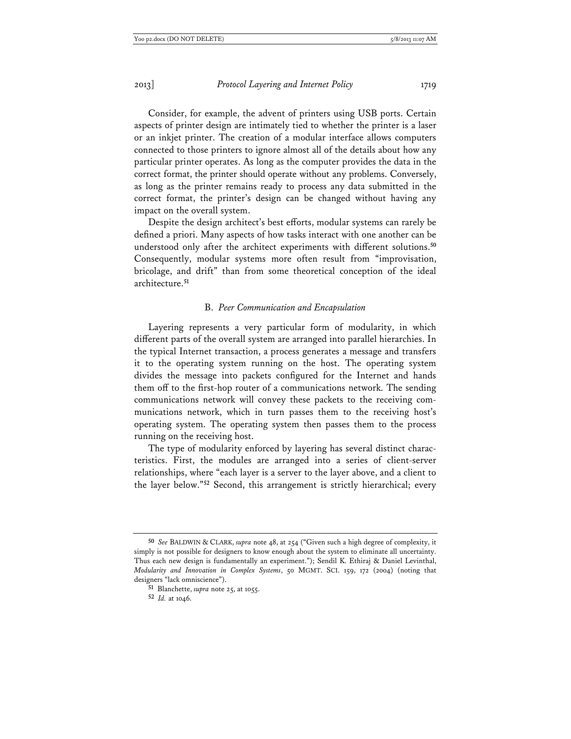Consider, for example, the advent of printers using USB ports. Certain aspects of printer design are intimately tied to whether the printer is a laser or an inkjet printer. The creation of a modular interface allows computers connected to those printers to ignore almost all of the details about how any particular printer operates. As long as the computer provides the data in the correct format, the printer should operate without any problems. Conversely, as long as the printer remains ready to process any data submitted in the correct format, the printer's design can be changed without having any impact on the overall system.

Despite the design architect's best efforts, modular systems can rarely be defined a priori. Many aspects of how tasks interact with one another can be understood only after the architect experiments with different solutions.**<sup>50</sup>** Consequently, modular systems more often result from "improvisation, bricolage, and drift" than from some theoretical conception of the ideal architecture.**<sup>51</sup>**

## B. *Peer Communication and Encapsulation*

Layering represents a very particular form of modularity, in which different parts of the overall system are arranged into parallel hierarchies. In the typical Internet transaction, a process generates a message and transfers it to the operating system running on the host. The operating system divides the message into packets configured for the Internet and hands them off to the first-hop router of a communications network. The sending communications network will convey these packets to the receiving communications network, which in turn passes them to the receiving host's operating system. The operating system then passes them to the process running on the receiving host.

The type of modularity enforced by layering has several distinct characteristics. First, the modules are arranged into a series of client-server relationships, where "each layer is a server to the layer above, and a client to the layer below."**<sup>52</sup>** Second, this arrangement is strictly hierarchical; every

**<sup>50</sup>** *See* BALDWIN & CLARK, *supra* note 48, at 254 ("Given such a high degree of complexity, it simply is not possible for designers to know enough about the system to eliminate all uncertainty. Thus each new design is fundamentally an experiment."); Sendil K. Ethiraj & Daniel Levinthal, *Modularity and Innovation in Complex Systems*, 50 MGMT. SCI. 159, 172 (2004) (noting that designers "lack omniscience").

**<sup>51</sup>** Blanchette, *supra* note 25, at 1055.

**<sup>52</sup>** *Id.* at 1046.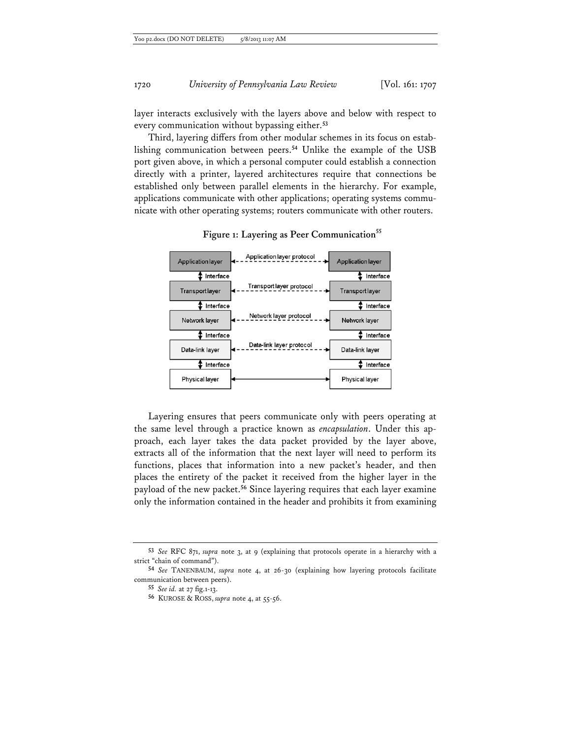layer interacts exclusively with the layers above and below with respect to every communication without bypassing either.**<sup>53</sup>**

Third, layering differs from other modular schemes in its focus on establishing communication between peers.**<sup>54</sup>** Unlike the example of the USB port given above, in which a personal computer could establish a connection directly with a printer, layered architectures require that connections be established only between parallel elements in the hierarchy. For example, applications communicate with other applications; operating systems communicate with other operating systems; routers communicate with other routers.



## **Figure 1: Layering as Peer Communication<sup>55</sup>**

Layering ensures that peers communicate only with peers operating at the same level through a practice known as *encapsulation*. Under this approach, each layer takes the data packet provided by the layer above, extracts all of the information that the next layer will need to perform its functions, places that information into a new packet's header, and then places the entirety of the packet it received from the higher layer in the payload of the new packet.**<sup>56</sup>** Since layering requires that each layer examine only the information contained in the header and prohibits it from examining

**<sup>53</sup>** *See* RFC 871, *supra* note 3, at 9 (explaining that protocols operate in a hierarchy with a strict "chain of command").

**<sup>54</sup>** *See* TANENBAUM, *supra* note 4, at 26-30 (explaining how layering protocols facilitate communication between peers).

**<sup>55</sup>** *See id.* at 27 fig.1-13.

**<sup>56</sup>** KUROSE & ROSS, *supra* note 4, at 55-56.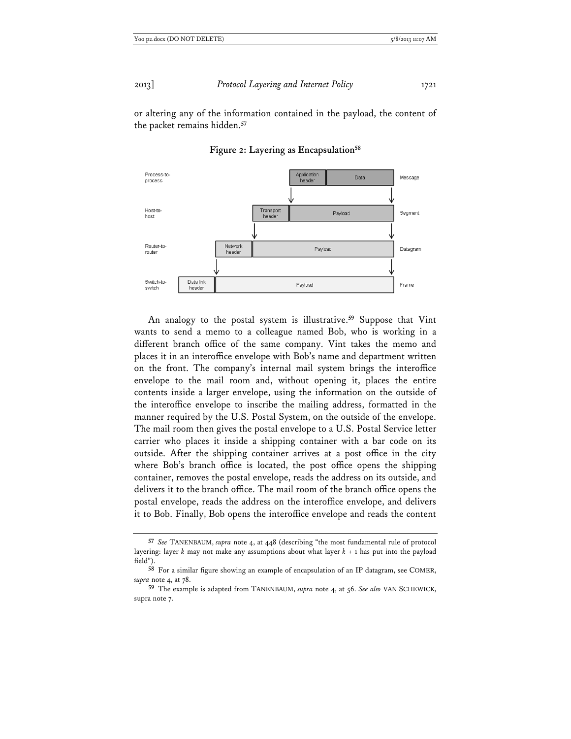or altering any of the information contained in the payload, the content of the packet remains hidden.**<sup>57</sup>**



**Figure 2: Layering as Encapsulation58**

An analogy to the postal system is illustrative.**<sup>59</sup>** Suppose that Vint wants to send a memo to a colleague named Bob, who is working in a different branch office of the same company. Vint takes the memo and places it in an interoffice envelope with Bob's name and department written on the front. The company's internal mail system brings the interoffice envelope to the mail room and, without opening it, places the entire contents inside a larger envelope, using the information on the outside of the interoffice envelope to inscribe the mailing address, formatted in the manner required by the U.S. Postal System, on the outside of the envelope. The mail room then gives the postal envelope to a U.S. Postal Service letter carrier who places it inside a shipping container with a bar code on its outside. After the shipping container arrives at a post office in the city where Bob's branch office is located, the post office opens the shipping container, removes the postal envelope, reads the address on its outside, and delivers it to the branch office. The mail room of the branch office opens the postal envelope, reads the address on the interoffice envelope, and delivers it to Bob. Finally, Bob opens the interoffice envelope and reads the content

**<sup>57</sup>** *See* TANENBAUM, *supra* note 4, at 448 (describing "the most fundamental rule of protocol layering: layer *k* may not make any assumptions about what layer *k* + 1 has put into the payload field").

**<sup>58</sup>** For a similar figure showing an example of encapsulation of an IP datagram, see COMER, *supra* note 4, at 78.

**<sup>59</sup>** The example is adapted from TANENBAUM, *supra* note 4, at 56. *See also* VAN SCHEWICK, supra note 7.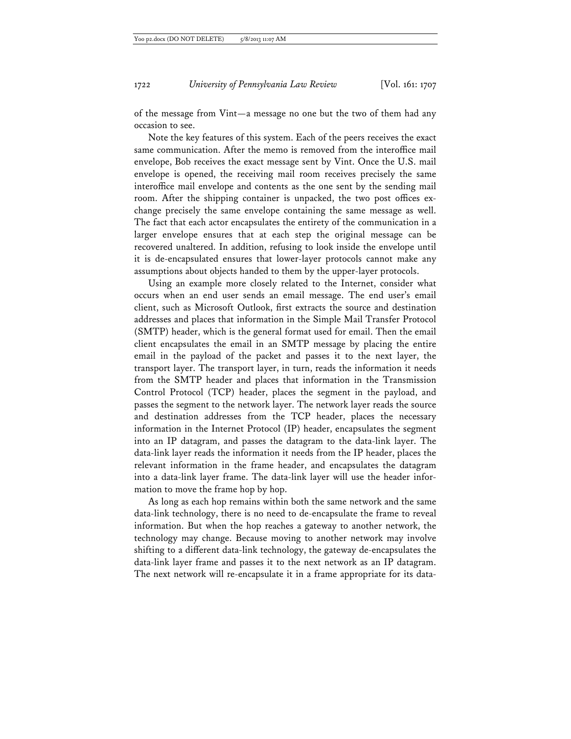of the message from Vint—a message no one but the two of them had any occasion to see.

Note the key features of this system. Each of the peers receives the exact same communication. After the memo is removed from the interoffice mail envelope, Bob receives the exact message sent by Vint. Once the U.S. mail envelope is opened, the receiving mail room receives precisely the same interoffice mail envelope and contents as the one sent by the sending mail room. After the shipping container is unpacked, the two post offices exchange precisely the same envelope containing the same message as well. The fact that each actor encapsulates the entirety of the communication in a larger envelope ensures that at each step the original message can be recovered unaltered. In addition, refusing to look inside the envelope until it is de-encapsulated ensures that lower-layer protocols cannot make any assumptions about objects handed to them by the upper-layer protocols.

Using an example more closely related to the Internet, consider what occurs when an end user sends an email message. The end user's email client, such as Microsoft Outlook, first extracts the source and destination addresses and places that information in the Simple Mail Transfer Protocol (SMTP) header, which is the general format used for email. Then the email client encapsulates the email in an SMTP message by placing the entire email in the payload of the packet and passes it to the next layer, the transport layer. The transport layer, in turn, reads the information it needs from the SMTP header and places that information in the Transmission Control Protocol (TCP) header, places the segment in the payload, and passes the segment to the network layer. The network layer reads the source and destination addresses from the TCP header, places the necessary information in the Internet Protocol (IP) header, encapsulates the segment into an IP datagram, and passes the datagram to the data-link layer. The data-link layer reads the information it needs from the IP header, places the relevant information in the frame header, and encapsulates the datagram into a data-link layer frame. The data-link layer will use the header information to move the frame hop by hop.

As long as each hop remains within both the same network and the same data-link technology, there is no need to de-encapsulate the frame to reveal information. But when the hop reaches a gateway to another network, the technology may change. Because moving to another network may involve shifting to a different data-link technology, the gateway de-encapsulates the data-link layer frame and passes it to the next network as an IP datagram. The next network will re-encapsulate it in a frame appropriate for its data-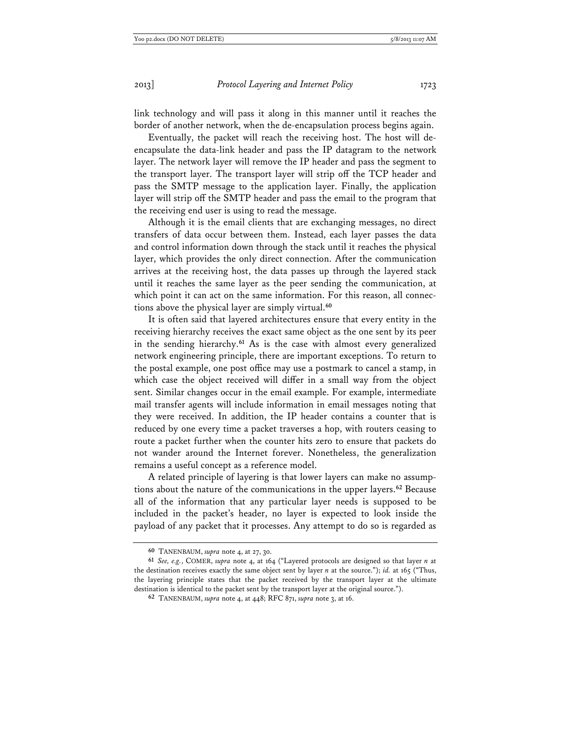link technology and will pass it along in this manner until it reaches the border of another network, when the de-encapsulation process begins again.

Eventually, the packet will reach the receiving host. The host will deencapsulate the data-link header and pass the IP datagram to the network layer. The network layer will remove the IP header and pass the segment to the transport layer. The transport layer will strip off the TCP header and pass the SMTP message to the application layer. Finally, the application layer will strip off the SMTP header and pass the email to the program that the receiving end user is using to read the message.

Although it is the email clients that are exchanging messages, no direct transfers of data occur between them. Instead, each layer passes the data and control information down through the stack until it reaches the physical layer, which provides the only direct connection. After the communication arrives at the receiving host, the data passes up through the layered stack until it reaches the same layer as the peer sending the communication, at which point it can act on the same information. For this reason, all connections above the physical layer are simply virtual.**<sup>60</sup>**

It is often said that layered architectures ensure that every entity in the receiving hierarchy receives the exact same object as the one sent by its peer in the sending hierarchy.**<sup>61</sup>** As is the case with almost every generalized network engineering principle, there are important exceptions. To return to the postal example, one post office may use a postmark to cancel a stamp, in which case the object received will differ in a small way from the object sent. Similar changes occur in the email example. For example, intermediate mail transfer agents will include information in email messages noting that they were received. In addition, the IP header contains a counter that is reduced by one every time a packet traverses a hop, with routers ceasing to route a packet further when the counter hits zero to ensure that packets do not wander around the Internet forever. Nonetheless, the generalization remains a useful concept as a reference model.

A related principle of layering is that lower layers can make no assumptions about the nature of the communications in the upper layers.**<sup>62</sup>** Because all of the information that any particular layer needs is supposed to be included in the packet's header, no layer is expected to look inside the payload of any packet that it processes. Any attempt to do so is regarded as

**<sup>60</sup>** TANENBAUM, *supra* note 4, at 27, 30.

**<sup>61</sup>** *See, e.g.*, COMER, *supra* note 4, at 164 ("Layered protocols are designed so that layer *n* at the destination receives exactly the same object sent by layer *n* at the source."); *id.* at 165 ("Thus, the layering principle states that the packet received by the transport layer at the ultimate destination is identical to the packet sent by the transport layer at the original source.").

**<sup>62</sup>** TANENBAUM, *supra* note 4, at 448; RFC 871, *supra* note 3, at 16.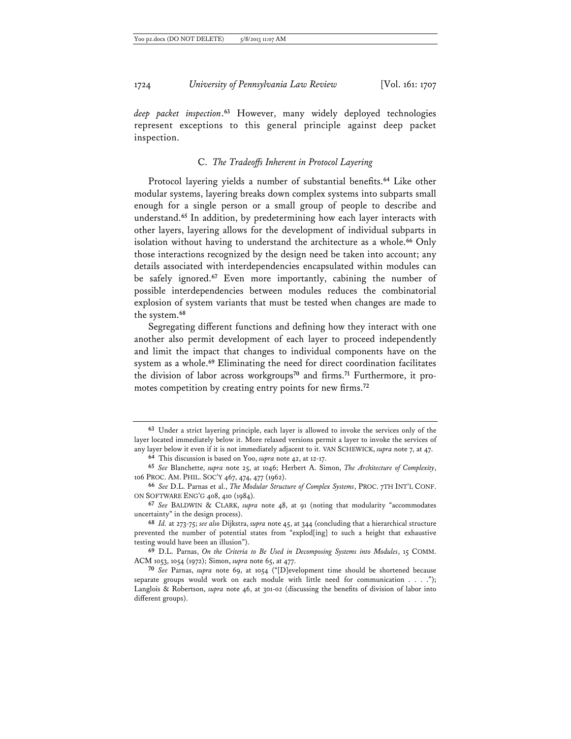*deep packet inspection*. **<sup>63</sup>** However, many widely deployed technologies represent exceptions to this general principle against deep packet inspection.

## C. *The Tradeoffs Inherent in Protocol Layering*

Protocol layering yields a number of substantial benefits.**<sup>64</sup>** Like other modular systems, layering breaks down complex systems into subparts small enough for a single person or a small group of people to describe and understand.**<sup>65</sup>** In addition, by predetermining how each layer interacts with other layers, layering allows for the development of individual subparts in isolation without having to understand the architecture as a whole.**<sup>66</sup>** Only those interactions recognized by the design need be taken into account; any details associated with interdependencies encapsulated within modules can be safely ignored.**<sup>67</sup>** Even more importantly, cabining the number of possible interdependencies between modules reduces the combinatorial explosion of system variants that must be tested when changes are made to the system.**<sup>68</sup>**

Segregating different functions and defining how they interact with one another also permit development of each layer to proceed independently and limit the impact that changes to individual components have on the system as a whole.**<sup>69</sup>** Eliminating the need for direct coordination facilitates the division of labor across workgroups**70** and firms.**71** Furthermore, it promotes competition by creating entry points for new firms.**<sup>72</sup>**

**<sup>63</sup>** Under a strict layering principle, each layer is allowed to invoke the services only of the layer located immediately below it. More relaxed versions permit a layer to invoke the services of any layer below it even if it is not immediately adjacent to it. VAN SCHEWICK, *supra* note 7, at 47. **64** This discussion is based on Yoo, *supra* note 42, at 12-17.

**<sup>65</sup>** *See* Blanchette, *supra* note 25, at 1046; Herbert A. Simon, *The Architecture of Complexity*, 106 PROC. AM. PHIL. SOC'Y 467, 474, 477 (1962).

**<sup>66</sup>** *See* D.L. Parnas et al., *The Modular Structure of Complex Systems*, PROC. 7TH INT'L CONF. ON SOFTWARE ENG'G 408, 410 (1984).

**<sup>67</sup>** *See* BALDWIN & CLARK, *supra* note 48, at 91 (noting that modularity "accommodates uncertainty" in the design process).

**<sup>68</sup>** *Id.* at 273-75; *see also* Dijkstra, *supra* note 45, at 344 (concluding that a hierarchical structure prevented the number of potential states from "explod[ing] to such a height that exhaustive testing would have been an illusion").

**<sup>69</sup>** D.L. Parnas, *On the Criteria to Be Used in Decomposing Systems into Modules*, 15 COMM. ACM 1053, 1054 (1972); Simon, *supra* note 65, at 477.

**<sup>70</sup>** *See* Parnas, *supra* note 69, at 1054 ("[D]evelopment time should be shortened because separate groups would work on each module with little need for communication . . . ."); Langlois & Robertson, *supra* note 46, at 301-02 (discussing the benefits of division of labor into different groups).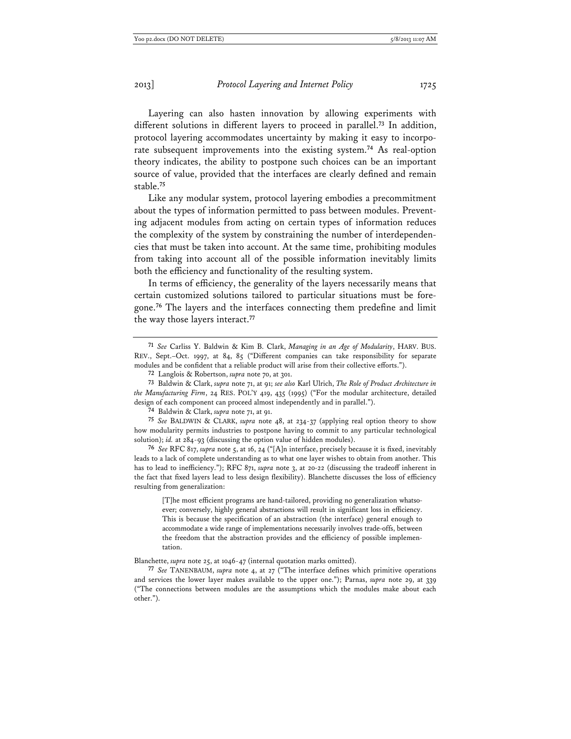Layering can also hasten innovation by allowing experiments with different solutions in different layers to proceed in parallel.**<sup>73</sup>** In addition, protocol layering accommodates uncertainty by making it easy to incorporate subsequent improvements into the existing system.**<sup>74</sup>** As real-option theory indicates, the ability to postpone such choices can be an important source of value, provided that the interfaces are clearly defined and remain stable.**<sup>75</sup>**

Like any modular system, protocol layering embodies a precommitment about the types of information permitted to pass between modules. Preventing adjacent modules from acting on certain types of information reduces the complexity of the system by constraining the number of interdependencies that must be taken into account. At the same time, prohibiting modules from taking into account all of the possible information inevitably limits both the efficiency and functionality of the resulting system.

In terms of efficiency, the generality of the layers necessarily means that certain customized solutions tailored to particular situations must be foregone.**<sup>76</sup>** The layers and the interfaces connecting them predefine and limit the way those layers interact.**<sup>77</sup>**

**76** *See* RFC 817, *supra* note 5, at 16, 24 ("[A]n interface, precisely because it is fixed, inevitably leads to a lack of complete understanding as to what one layer wishes to obtain from another. This has to lead to inefficiency."); RFC 871, *supra* note 3, at 20-22 (discussing the tradeoff inherent in the fact that fixed layers lead to less design flexibility). Blanchette discusses the loss of efficiency resulting from generalization:

[T]he most efficient programs are hand-tailored, providing no generalization whatsoever; conversely, highly general abstractions will result in significant loss in efficiency. This is because the specification of an abstraction (the interface) general enough to accommodate a wide range of implementations necessarily involves trade-offs, between the freedom that the abstraction provides and the efficiency of possible implementation.

Blanchette, *supra* note 25, at 1046-47 (internal quotation marks omitted).

**<sup>71</sup>** *See* Carliss Y. Baldwin & Kim B. Clark, *Managing in an Age of Modularity*, HARV. BUS. REV., Sept.–Oct. 1997, at 84, 85 ("Different companies can take responsibility for separate modules and be confident that a reliable product will arise from their collective efforts.").

**<sup>72</sup>** Langlois & Robertson, *supra* note 70, at 301.

**<sup>73</sup>** Baldwin & Clark, *supra* note 71, at 91; *see also* Karl Ulrich, *The Role of Product Architecture in the Manufacturing Firm*, 24 RES. POL'Y 419, 435 (1995) ("For the modular architecture, detailed design of each component can proceed almost independently and in parallel.").

**<sup>74</sup>** Baldwin & Clark, *supra* note 71, at 91.

**<sup>75</sup>** *See* BALDWIN & CLARK, *supra* note 48, at 234-37 (applying real option theory to show how modularity permits industries to postpone having to commit to any particular technological solution); *id.* at 284-93 (discussing the option value of hidden modules).

**<sup>77</sup>** *See* TANENBAUM, *supra* note 4, at 27 ("The interface defines which primitive operations and services the lower layer makes available to the upper one."); Parnas, *supra* note 29, at 339 ("The connections between modules are the assumptions which the modules make about each other.").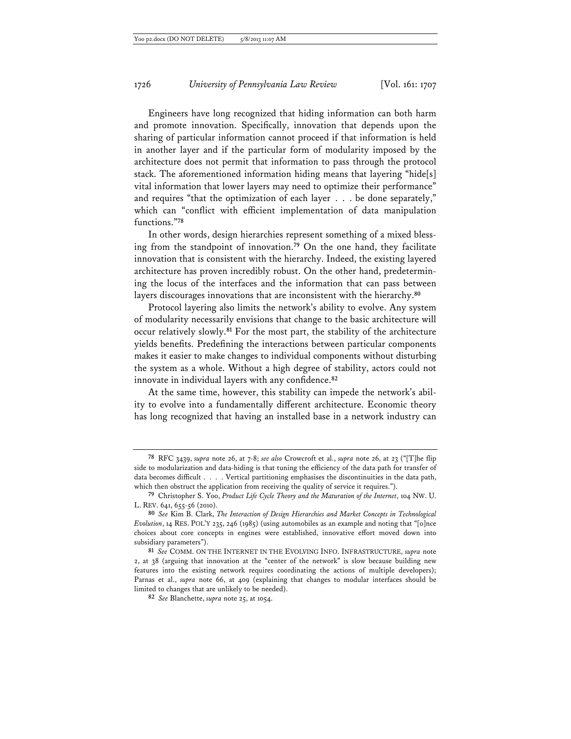Engineers have long recognized that hiding information can both harm and promote innovation. Specifically, innovation that depends upon the sharing of particular information cannot proceed if that information is held in another layer and if the particular form of modularity imposed by the architecture does not permit that information to pass through the protocol stack. The aforementioned information hiding means that layering "hide[s] vital information that lower layers may need to optimize their performance" and requires "that the optimization of each layer . . . be done separately," which can "conflict with efficient implementation of data manipulation functions."**<sup>78</sup>**

In other words, design hierarchies represent something of a mixed blessing from the standpoint of innovation.**<sup>79</sup>** On the one hand, they facilitate innovation that is consistent with the hierarchy. Indeed, the existing layered architecture has proven incredibly robust. On the other hand, predetermining the locus of the interfaces and the information that can pass between layers discourages innovations that are inconsistent with the hierarchy.**<sup>80</sup>**

Protocol layering also limits the network's ability to evolve. Any system of modularity necessarily envisions that change to the basic architecture will occur relatively slowly.**<sup>81</sup>** For the most part, the stability of the architecture yields benefits. Predefining the interactions between particular components makes it easier to make changes to individual components without disturbing the system as a whole. Without a high degree of stability, actors could not innovate in individual layers with any confidence.**<sup>82</sup>**

At the same time, however, this stability can impede the network's ability to evolve into a fundamentally different architecture. Economic theory has long recognized that having an installed base in a network industry can

**<sup>78</sup>** RFC 3439, *supra* note 26, at 7-8; *see also* Crowcroft et al., *supra* note 26, at 23 ("[T]he flip side to modularization and data-hiding is that tuning the efficiency of the data path for transfer of data becomes difficult . . . . Vertical partitioning emphasises the discontinuities in the data path, which then obstruct the application from receiving the quality of service it requires.").

**<sup>79</sup>** Christopher S. Yoo, *Product Life Cycle Theory and the Maturation of the Internet*, 104 NW. U. L. REV. 641, 655-56 (2010).

**<sup>80</sup>** *See* Kim B. Clark, *The Interaction of Design Hierarchies and Market Concepts in Technological Evolution*, 14 RES. POL'Y 235, 246 (1985) (using automobiles as an example and noting that "[o]nce choices about core concepts in engines were established, innovative effort moved down into subsidiary parameters").

**<sup>81</sup>** *See* COMM. ON THE INTERNET IN THE EVOLVING INFO. INFRASTRUCTURE, *supra* note 2, at 38 (arguing that innovation at the "center of the network" is slow because building new features into the existing network requires coordinating the actions of multiple developers); Parnas et al., *supra* note 66, at 409 (explaining that changes to modular interfaces should be limited to changes that are unlikely to be needed).

**<sup>82</sup>** *See* Blanchette, *supra* note 25, at 1054.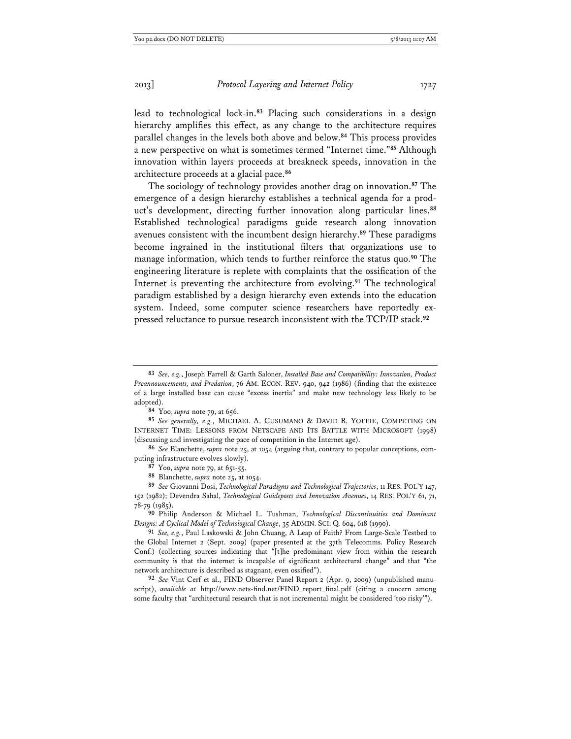lead to technological lock-in.**<sup>83</sup>** Placing such considerations in a design hierarchy amplifies this effect, as any change to the architecture requires parallel changes in the levels both above and below.**<sup>84</sup>** This process provides a new perspective on what is sometimes termed "Internet time."**<sup>85</sup>** Although innovation within layers proceeds at breakneck speeds, innovation in the architecture proceeds at a glacial pace.**<sup>86</sup>**

The sociology of technology provides another drag on innovation.**<sup>87</sup>** The emergence of a design hierarchy establishes a technical agenda for a product's development, directing further innovation along particular lines.**<sup>88</sup>** Established technological paradigms guide research along innovation avenues consistent with the incumbent design hierarchy.**<sup>89</sup>** These paradigms become ingrained in the institutional filters that organizations use to manage information, which tends to further reinforce the status quo.**<sup>90</sup>** The engineering literature is replete with complaints that the ossification of the Internet is preventing the architecture from evolving.**<sup>91</sup>** The technological paradigm established by a design hierarchy even extends into the education system. Indeed, some computer science researchers have reportedly expressed reluctance to pursue research inconsistent with the TCP/IP stack.**<sup>92</sup>**

**90** Philip Anderson & Michael L. Tushman, *Technological Discontinuities and Dominant Designs: A Cyclical Model of Technological Change*, 35 ADMIN. SCI. Q. 604, 618 (1990).

**92** *See* Vint Cerf et al., FIND Observer Panel Report 2 (Apr. 9, 2009) (unpublished manuscript), *available at* http://www.nets-find.net/FIND\_report\_final.pdf (citing a concern among some faculty that "architectural research that is not incremental might be considered 'too risky'").

**<sup>83</sup>** *See, e.g.*, Joseph Farrell & Garth Saloner, *Installed Base and Compatibility: Innovation, Product Preannouncements, and Predation*, 76 AM. ECON. REV. 940, 942 (1986) (finding that the existence of a large installed base can cause "excess inertia" and make new technology less likely to be adopted).

**<sup>84</sup>** Yoo, *supra* note 79, at 656.

**<sup>85</sup>** *See generally, e.g.*, MICHAEL A. CUSUMANO & DAVID B. YOFFIE, COMPETING ON INTERNET TIME: LESSONS FROM NETSCAPE AND ITS BATTLE WITH MICROSOFT (1998) (discussing and investigating the pace of competition in the Internet age).

**<sup>86</sup>** *See* Blanchette, *supra* note 25, at 1054 (arguing that, contrary to popular conceptions, computing infrastructure evolves slowly).

**<sup>87</sup>** Yoo, *supra* note 79, at 651-55.

**<sup>88</sup>** Blanchette, *supra* note 25, at 1054.

**<sup>89</sup>** *See* Giovanni Dosi, *Technological Paradigms and Technological Trajectories*, 11 RES. POL'Y 147, 152 (1982); Devendra Sahal, *Technological Guideposts and Innovation Avenues*, 14 RES. POL'Y 61, 71, 78-79 (1985).

**<sup>91</sup>** *See, e.g.*, Paul Laskowski & John Chuang, A Leap of Faith? From Large-Scale Testbed to the Global Internet 2 (Sept. 2009) (paper presented at the 37th Telecomms. Policy Research Conf.) (collecting sources indicating that "[t]he predominant view from within the research community is that the internet is incapable of significant architectural change" and that "the network architecture is described as stagnant, even ossified").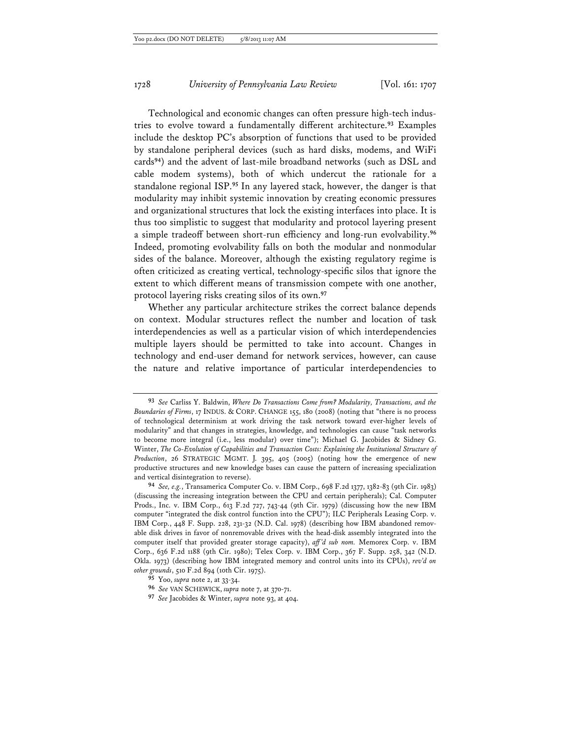Technological and economic changes can often pressure high-tech industries to evolve toward a fundamentally different architecture.**<sup>93</sup>** Examples include the desktop PC's absorption of functions that used to be provided by standalone peripheral devices (such as hard disks, modems, and WiFi cards**<sup>94</sup>**) and the advent of last-mile broadband networks (such as DSL and cable modem systems), both of which undercut the rationale for a standalone regional ISP.**<sup>95</sup>** In any layered stack, however, the danger is that modularity may inhibit systemic innovation by creating economic pressures and organizational structures that lock the existing interfaces into place. It is thus too simplistic to suggest that modularity and protocol layering present a simple tradeoff between short-run efficiency and long-run evolvability.**<sup>96</sup>** Indeed, promoting evolvability falls on both the modular and nonmodular sides of the balance. Moreover, although the existing regulatory regime is often criticized as creating vertical, technology-specific silos that ignore the extent to which different means of transmission compete with one another, protocol layering risks creating silos of its own.**<sup>97</sup>**

Whether any particular architecture strikes the correct balance depends on context. Modular structures reflect the number and location of task interdependencies as well as a particular vision of which interdependencies multiple layers should be permitted to take into account. Changes in technology and end-user demand for network services, however, can cause the nature and relative importance of particular interdependencies to

**<sup>93</sup>** *See* Carliss Y. Baldwin, *Where Do Transactions Come from? Modularity, Transactions, and the Boundaries of Firms*, 17 INDUS. & CORP. CHANGE 155, 180 (2008) (noting that "there is no process of technological determinism at work driving the task network toward ever-higher levels of modularity" and that changes in strategies, knowledge, and technologies can cause "task networks to become more integral (i.e., less modular) over time"); Michael G. Jacobides & Sidney G. Winter, *The Co-Evolution of Capabilities and Transaction Costs: Explaining the Institutional Structure of Production*, 26 STRATEGIC MGMT. J. 395, 405 (2005) (noting how the emergence of new productive structures and new knowledge bases can cause the pattern of increasing specialization and vertical disintegration to reverse).

**<sup>94</sup>** *See, e.g.*, Transamerica Computer Co. v. IBM Corp., 698 F.2d 1377, 1382-83 (9th Cir. 1983) (discussing the increasing integration between the CPU and certain peripherals); Cal. Computer Prods., Inc. v. IBM Corp., 613 F.2d 727, 743-44 (9th Cir. 1979) (discussing how the new IBM computer "integrated the disk control function into the CPU"); ILC Peripherals Leasing Corp. v. IBM Corp., 448 F. Supp. 228, 231-32 (N.D. Cal. 1978) (describing how IBM abandoned removable disk drives in favor of nonremovable drives with the head-disk assembly integrated into the computer itself that provided greater storage capacity), *aff 'd sub nom.* Memorex Corp. v. IBM Corp., 636 F.2d 1188 (9th Cir. 1980); Telex Corp. v. IBM Corp., 367 F. Supp. 258, 342 (N.D. Okla. 1973) (describing how IBM integrated memory and control units into its CPUs), *rev'd on other grounds*, 510 F.2d 894 (10th Cir. 1975).

**<sup>95</sup>** Yoo, *supra* note 2, at 33-34.

**<sup>96</sup>** *See* VAN SCHEWICK, *supra* note 7, at 370-71.

**<sup>97</sup>** *See* Jacobides & Winter, *supra* note 93, at 404.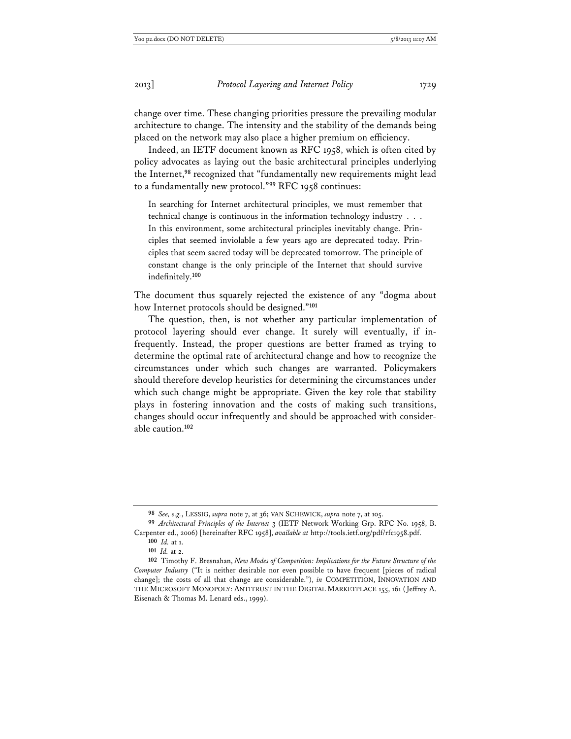change over time. These changing priorities pressure the prevailing modular architecture to change. The intensity and the stability of the demands being placed on the network may also place a higher premium on efficiency.

Indeed, an IETF document known as RFC 1958, which is often cited by policy advocates as laying out the basic architectural principles underlying the Internet,**<sup>98</sup>** recognized that "fundamentally new requirements might lead to a fundamentally new protocol."**<sup>99</sup>** RFC 1958 continues:

In searching for Internet architectural principles, we must remember that technical change is continuous in the information technology industry . . . In this environment, some architectural principles inevitably change. Principles that seemed inviolable a few years ago are deprecated today. Principles that seem sacred today will be deprecated tomorrow. The principle of constant change is the only principle of the Internet that should survive indefinitely.**<sup>100</sup>**

The document thus squarely rejected the existence of any "dogma about how Internet protocols should be designed."**<sup>101</sup>**

The question, then, is not whether any particular implementation of protocol layering should ever change. It surely will eventually, if infrequently. Instead, the proper questions are better framed as trying to determine the optimal rate of architectural change and how to recognize the circumstances under which such changes are warranted. Policymakers should therefore develop heuristics for determining the circumstances under which such change might be appropriate. Given the key role that stability plays in fostering innovation and the costs of making such transitions, changes should occur infrequently and should be approached with considerable caution.**<sup>102</sup>**

**<sup>98</sup>** *See, e.g.*, LESSIG, *supra* note 7, at 36; VAN SCHEWICK, *supra* note 7, at 105.

**<sup>99</sup>** *Architectural Principles of the Internet* 3 (IETF Network Working Grp. RFC No. 1958, B. Carpenter ed., 2006) [hereinafter RFC 1958], *available at* http://tools.ietf.org/pdf/rfc1958.pdf.

**<sup>100</sup>** *Id.* at 1.

**<sup>101</sup>** *Id.* at 2.

**<sup>102</sup>** Timothy F. Bresnahan, *New Modes of Competition: Implications for the Future Structure of the Computer Industry* ("It is neither desirable nor even possible to have frequent [pieces of radical change]; the costs of all that change are considerable."), *in* COMPETITION, INNOVATION AND THE MICROSOFT MONOPOLY: ANTITRUST IN THE DIGITAL MARKETPLACE 155, 161 (Jeffrey A. Eisenach & Thomas M. Lenard eds., 1999).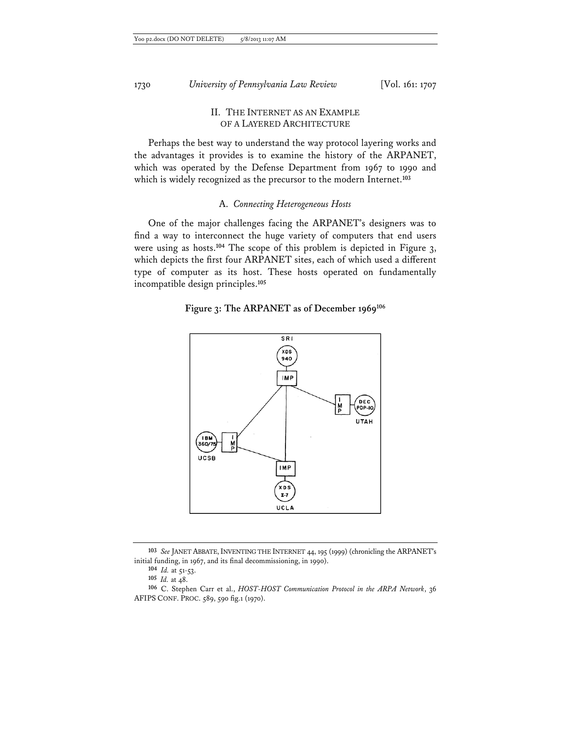## II. THE INTERNET AS AN EXAMPLE OF A LAYERED ARCHITECTURE

Perhaps the best way to understand the way protocol layering works and the advantages it provides is to examine the history of the ARPANET, which was operated by the Defense Department from 1967 to 1990 and which is widely recognized as the precursor to the modern Internet.**<sup>103</sup>**

## A. *Connecting Heterogeneous Hosts*

One of the major challenges facing the ARPANET's designers was to find a way to interconnect the huge variety of computers that end users were using as hosts.**<sup>104</sup>** The scope of this problem is depicted in Figure 3, which depicts the first four ARPANET sites, each of which used a different type of computer as its host. These hosts operated on fundamentally incompatible design principles.**<sup>105</sup>**

## **Figure 3: The ARPANET as of December 1969106**



**<sup>103</sup>** *See* JANET ABBATE,INVENTING THE INTERNET 44, 195 (1999) (chronicling the ARPANET's initial funding, in 1967, and its final decommissioning, in 1990).

**<sup>104</sup>** *Id.* at 51-53.

**<sup>105</sup>** *Id.* at 48.

**<sup>106</sup>** C. Stephen Carr et al., *HOST-HOST Communication Protocol in the ARPA Network*, 36 AFIPS CONF. PROC. 589, 590 fig.1 (1970).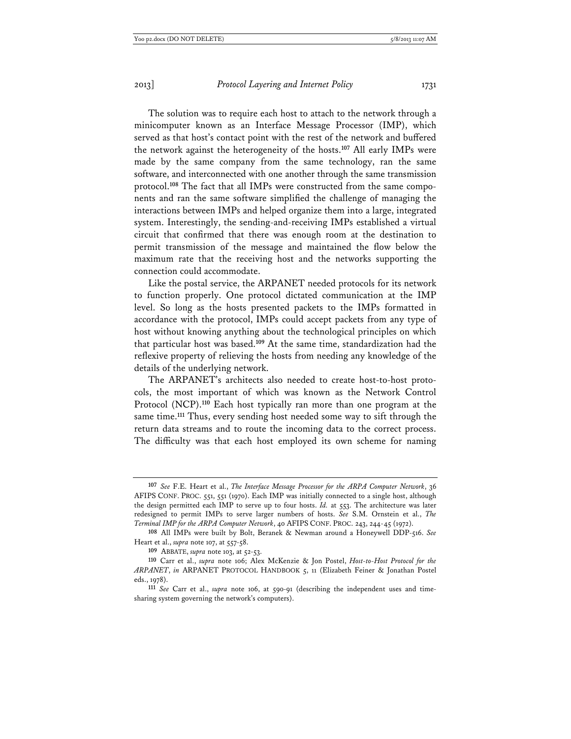The solution was to require each host to attach to the network through a minicomputer known as an Interface Message Processor (IMP), which served as that host's contact point with the rest of the network and buffered the network against the heterogeneity of the hosts.**<sup>107</sup>** All early IMPs were made by the same company from the same technology, ran the same software, and interconnected with one another through the same transmission protocol.**108** The fact that all IMPs were constructed from the same components and ran the same software simplified the challenge of managing the interactions between IMPs and helped organize them into a large, integrated system. Interestingly, the sending-and-receiving IMPs established a virtual

circuit that confirmed that there was enough room at the destination to permit transmission of the message and maintained the flow below the maximum rate that the receiving host and the networks supporting the connection could accommodate.

Like the postal service, the ARPANET needed protocols for its network to function properly. One protocol dictated communication at the IMP level. So long as the hosts presented packets to the IMPs formatted in accordance with the protocol, IMPs could accept packets from any type of host without knowing anything about the technological principles on which that particular host was based.**<sup>109</sup>** At the same time, standardization had the reflexive property of relieving the hosts from needing any knowledge of the details of the underlying network.

The ARPANET's architects also needed to create host-to-host protocols, the most important of which was known as the Network Control Protocol (NCP).**<sup>110</sup>** Each host typically ran more than one program at the same time.**<sup>111</sup>** Thus, every sending host needed some way to sift through the return data streams and to route the incoming data to the correct process. The difficulty was that each host employed its own scheme for naming

**<sup>107</sup>** *See* F.E. Heart et al., *The Interface Message Processor for the ARPA Computer Network*, 36 AFIPS CONF. PROC. 551, 551 (1970). Each IMP was initially connected to a single host, although the design permitted each IMP to serve up to four hosts. *Id.* at 553. The architecture was later redesigned to permit IMPs to serve larger numbers of hosts. *See* S.M. Ornstein et al., *The Terminal IMP for the ARPA Computer Network*, 40 AFIPS CONF. PROC. 243, 244-45 (1972).

**<sup>108</sup>** All IMPs were built by Bolt, Beranek & Newman around a Honeywell DDP-516. *See* Heart et al., *supra* note 107, at 557-58.

**<sup>109</sup>** ABBATE, *supra* note 103, at 52-53.

**<sup>110</sup>** Carr et al., *supra* note 106; Alex McKenzie & Jon Postel, *Host-to-Host Protocol for the ARPANET*, *in* ARPANET PROTOCOL HANDBOOK 5, 11 (Elizabeth Feiner & Jonathan Postel eds., 1978).

**<sup>111</sup>** *See* Carr et al., *supra* note 106, at 590-91 (describing the independent uses and timesharing system governing the network's computers).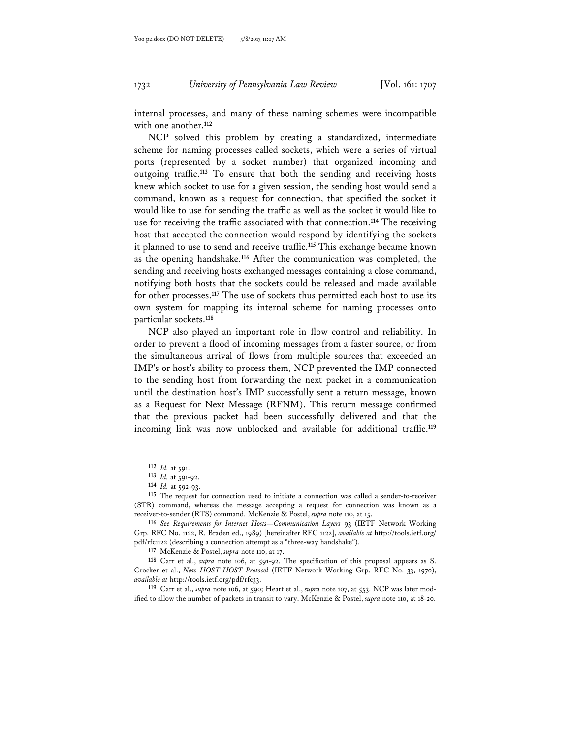internal processes, and many of these naming schemes were incompatible with one another.**<sup>112</sup>**

NCP solved this problem by creating a standardized, intermediate scheme for naming processes called sockets, which were a series of virtual ports (represented by a socket number) that organized incoming and outgoing traffic.**<sup>113</sup>** To ensure that both the sending and receiving hosts knew which socket to use for a given session, the sending host would send a command, known as a request for connection, that specified the socket it would like to use for sending the traffic as well as the socket it would like to use for receiving the traffic associated with that connection.**<sup>114</sup>** The receiving host that accepted the connection would respond by identifying the sockets it planned to use to send and receive traffic.**<sup>115</sup>** This exchange became known as the opening handshake.**<sup>116</sup>** After the communication was completed, the sending and receiving hosts exchanged messages containing a close command, notifying both hosts that the sockets could be released and made available for other processes.**<sup>117</sup>** The use of sockets thus permitted each host to use its own system for mapping its internal scheme for naming processes onto particular sockets.**<sup>118</sup>**

NCP also played an important role in flow control and reliability. In order to prevent a flood of incoming messages from a faster source, or from the simultaneous arrival of flows from multiple sources that exceeded an IMP's or host's ability to process them, NCP prevented the IMP connected to the sending host from forwarding the next packet in a communication until the destination host's IMP successfully sent a return message, known as a Request for Next Message (RFNM). This return message confirmed that the previous packet had been successfully delivered and that the incoming link was now unblocked and available for additional traffic.**<sup>119</sup>**

**119** Carr et al., *supra* note 106, at 590; Heart et al., *supra* note 107, at 553. NCP was later modified to allow the number of packets in transit to vary. McKenzie & Postel, *supra* note 110, at 18-20.

**<sup>112</sup>** *Id.* at 591.

**<sup>113</sup>** *Id.* at 591-92.

**<sup>114</sup>** *Id.* at 592-93.

**<sup>115</sup>** The request for connection used to initiate a connection was called a sender-to-receiver (STR) command, whereas the message accepting a request for connection was known as a receiver-to-sender (RTS) command. McKenzie & Postel, *supra* note 110, at 15.

**<sup>116</sup>** *See Requirements for Internet Hosts—Communication Layers* 93 (IETF Network Working Grp. RFC No. 1122, R. Braden ed., 1989) [hereinafter RFC 1122], *available at* http://tools.ietf.org/ pdf/rfc1122 (describing a connection attempt as a "three-way handshake").

**<sup>117</sup>** McKenzie & Postel, *supra* note 110, at 17.

**<sup>118</sup>** Carr et al., *supra* note 106, at 591-92. The specification of this proposal appears as S. Crocker et al., *New HOST-HOST Protocol* (IETF Network Working Grp. RFC No. 33, 1970), *available at* http://tools.ietf.org/pdf/rfc33.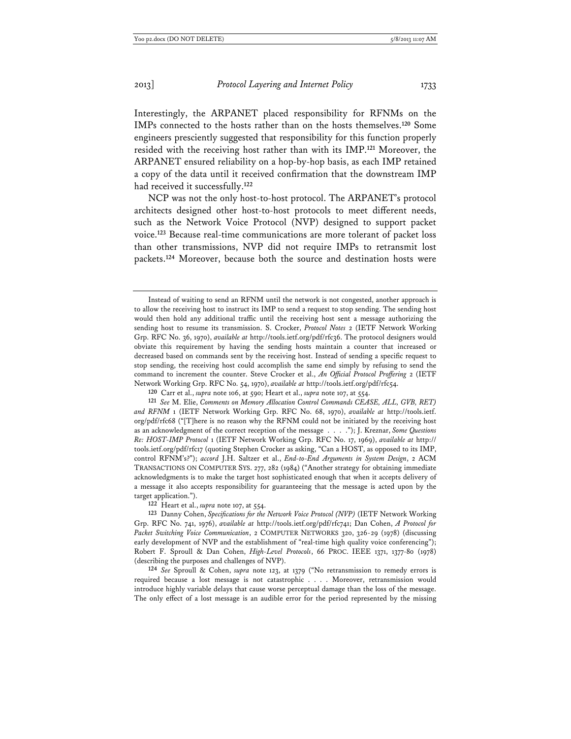Interestingly, the ARPANET placed responsibility for RFNMs on the IMPs connected to the hosts rather than on the hosts themselves.**<sup>120</sup>** Some engineers presciently suggested that responsibility for this function properly resided with the receiving host rather than with its IMP.**<sup>121</sup>** Moreover, the ARPANET ensured reliability on a hop-by-hop basis, as each IMP retained a copy of the data until it received confirmation that the downstream IMP had received it successfully.**<sup>122</sup>**

NCP was not the only host-to-host protocol. The ARPANET's protocol architects designed other host-to-host protocols to meet different needs, such as the Network Voice Protocol (NVP) designed to support packet voice.**<sup>123</sup>** Because real-time communications are more tolerant of packet loss than other transmissions, NVP did not require IMPs to retransmit lost packets.**<sup>124</sup>** Moreover, because both the source and destination hosts were

Instead of waiting to send an RFNM until the network is not congested, another approach is to allow the receiving host to instruct its IMP to send a request to stop sending. The sending host would then hold any additional traffic until the receiving host sent a message authorizing the sending host to resume its transmission. S. Crocker, *Protocol Notes* 2 (IETF Network Working Grp. RFC No. 36, 1970), *available at* http://tools.ietf.org/pdf/rfc36. The protocol designers would obviate this requirement by having the sending hosts maintain a counter that increased or decreased based on commands sent by the receiving host. Instead of sending a specific request to stop sending, the receiving host could accomplish the same end simply by refusing to send the command to increment the counter. Steve Crocker et al., *An Official Protocol Proffering* 2 (IETF Network Working Grp. RFC No. 54, 1970), *available at* http://tools.ietf.org/pdf/rfc54.

**<sup>120</sup>** Carr et al., *supra* note 106, at 590; Heart et al., *supra* note 107, at 554.

**<sup>121</sup>** *See* M. Elie, *Comments on Memory Allocation Control Commands CEASE, ALL, GVB, RET) and RFNM* 1 (IETF Network Working Grp. RFC No. 68, 1970), *available at* http://tools.ietf. org/pdf/rfc68 ("[T]here is no reason why the RFNM could not be initiated by the receiving host as an acknowledgment of the correct reception of the message . . . ."); J. Kreznar, *Some Questions Re: HOST-IMP Protocol* 1 (IETF Network Working Grp. RFC No. 17, 1969), *available at* http:// tools.ietf.org/pdf/rfc17 (quoting Stephen Crocker as asking, "Can a HOST, as opposed to its IMP, control RFNM's?"); *accord* J.H. Saltzer et al., *End-to-End Arguments in System Design*, 2 ACM TRANSACTIONS ON COMPUTER SYS. 277, 282 (1984) ("Another strategy for obtaining immediate acknowledgments is to make the target host sophisticated enough that when it accepts delivery of a message it also accepts responsibility for guaranteeing that the message is acted upon by the target application.").

**<sup>122</sup>** Heart et al., *supra* note 107, at 554.

**<sup>123</sup>** Danny Cohen, *Specifications for the Network Voice Protocol (NVP)* (IETF Network Working Grp. RFC No. 741, 1976), *available at* http://tools.ietf.org/pdf/rfc741; Dan Cohen, *A Protocol for Packet Switching Voice Communication*, 2 COMPUTER NETWORKS 320, 326-29 (1978) (discussing early development of NVP and the establishment of "real-time high quality voice conferencing"); Robert F. Sproull & Dan Cohen, *High-Level Protocols*, 66 PROC. IEEE 1371, 1377-80 (1978) (describing the purposes and challenges of NVP).

**<sup>124</sup>** *See* Sproull & Cohen, *supra* note 123, at 1379 ("No retransmission to remedy errors is required because a lost message is not catastrophic . . . . Moreover, retransmission would introduce highly variable delays that cause worse perceptual damage than the loss of the message. The only effect of a lost message is an audible error for the period represented by the missing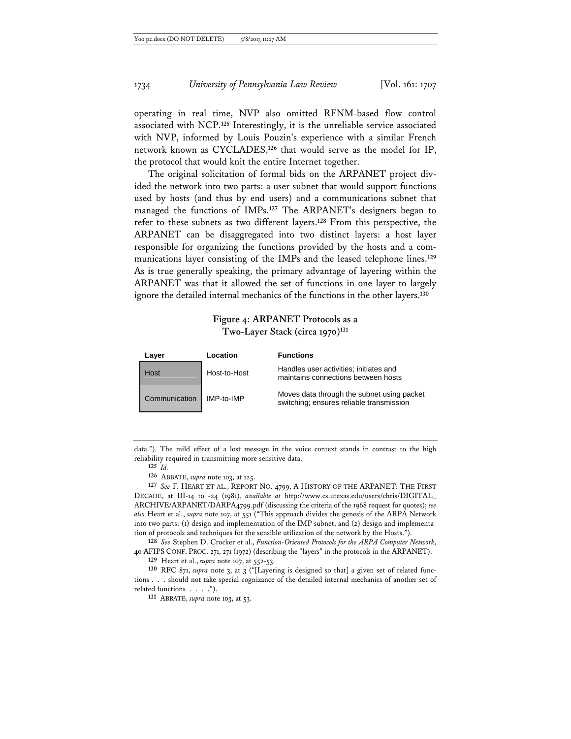operating in real time, NVP also omitted RFNM-based flow control associated with NCP.**<sup>125</sup>** Interestingly, it is the unreliable service associated with NVP, informed by Louis Pouzin's experience with a similar French network known as CYCLADES,**<sup>126</sup>** that would serve as the model for IP, the protocol that would knit the entire Internet together.

The original solicitation of formal bids on the ARPANET project divided the network into two parts: a user subnet that would support functions used by hosts (and thus by end users) and a communications subnet that managed the functions of IMPs.**<sup>127</sup>** The ARPANET's designers began to refer to these subnets as two different layers.**<sup>128</sup>** From this perspective, the ARPANET can be disaggregated into two distinct layers: a host layer responsible for organizing the functions provided by the hosts and a communications layer consisting of the IMPs and the leased telephone lines.**<sup>129</sup>** As is true generally speaking, the primary advantage of layering within the ARPANET was that it allowed the set of functions in one layer to largely ignore the detailed internal mechanics of the functions in the other layers.**<sup>130</sup>**

## **Figure 4: ARPANET Protocols as a Two-Layer Stack (circa 1970)131**

| Layer         | Location     | <b>Functions</b>                                                                       |
|---------------|--------------|----------------------------------------------------------------------------------------|
| Host          | Host-to-Host | Handles user activities; initiates and<br>maintains connections between hosts          |
| Communication | IMP-to-IMP   | Moves data through the subnet using packet<br>switching; ensures reliable transmission |

data."). The mild effect of a lost message in the voice context stands in contrast to the high reliability required in transmitting more sensitive data.

**125** *Id.*

**126** ABBATE, *supra* note 103, at 125.

**127** *See* F. HEART ET AL., REPORT NO. 4799, A HISTORY OF THE ARPANET: THE FIRST DECADE, at III-14 to -24 (1981), *available at* http://www.cs.utexas.edu/users/chris/DIGITAL\_ ARCHIVE/ARPANET/DARPA4799.pdf (discussing the criteria of the 1968 request for quotes); *see also* Heart et al., *supra* note 107, at 551 ("This approach divides the genesis of the ARPA Network into two parts: (1) design and implementation of the IMP subnet, and (2) design and implementation of protocols and techniques for the sensible utilization of the network by the Hosts.").

**128** *See* Stephen D. Crocker et al., *Function-Oriented Protocols for the ARPA Computer Network*, 40 AFIPSCONF. PROC. 271, 271 (1972) (describing the "layers" in the protocols in the ARPANET).

**129** Heart et al., *supra* note 107, at 552-53.

**130** RFC 871, *supra* note 3, at 3 ("[Layering is designed so that] a given set of related functions . . . should not take special cognizance of the detailed internal mechanics of another set of related functions . . . .").

**131** ABBATE, *supra* note 103, at 53.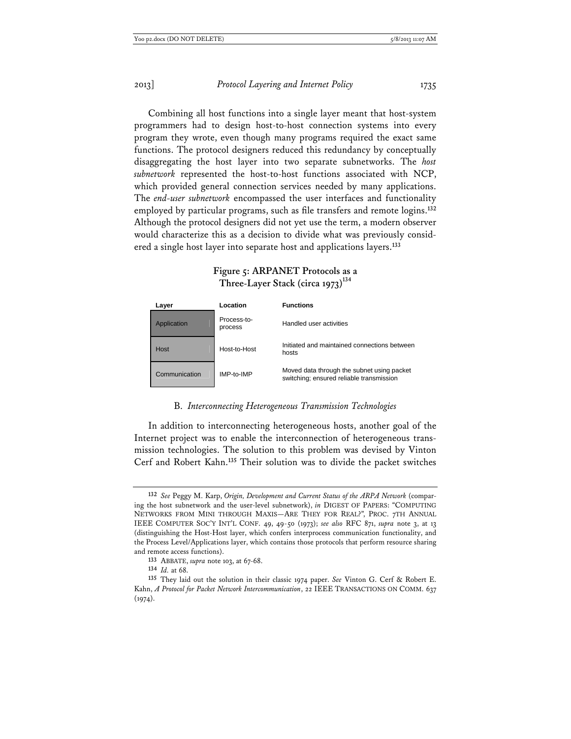Combining all host functions into a single layer meant that host-system programmers had to design host-to-host connection systems into every program they wrote, even though many programs required the exact same functions. The protocol designers reduced this redundancy by conceptually disaggregating the host layer into two separate subnetworks. The *host subnetwork* represented the host-to-host functions associated with NCP, which provided general connection services needed by many applications. The *end-user subnetwork* encompassed the user interfaces and functionality employed by particular programs, such as file transfers and remote logins.**<sup>132</sup>** Although the protocol designers did not yet use the term, a modern observer would characterize this as a decision to divide what was previously considered a single host layer into separate host and applications layers.**<sup>133</sup>**

|             | Three-Layer Stack (circa 1973) <sup>-1</sup> |                                                       |  |
|-------------|----------------------------------------------|-------------------------------------------------------|--|
| Layer       | Location                                     | <b>Functions</b>                                      |  |
| Application | Process-to-<br>process                       | Handled user activities                               |  |
| Host        | Host-to-Host                                 | Initiated and maintained connections between<br>hosts |  |
|             |                                              |                                                       |  |

## **Figure 5: ARPANET Protocols as a Three-Layer Stack (circa 1973)134**

Communication IMP-to-IMP Moved data through the subnet using packet switching; ensured reliable transmission

## B. *Interconnecting Heterogeneous Transmission Technologies*

In addition to interconnecting heterogeneous hosts, another goal of the Internet project was to enable the interconnection of heterogeneous transmission technologies. The solution to this problem was devised by Vinton Cerf and Robert Kahn.**<sup>135</sup>** Their solution was to divide the packet switches

**<sup>132</sup>** *See* Peggy M. Karp, *Origin, Development and Current Status of the ARPA Network* (comparing the host subnetwork and the user-level subnetwork), *in* DIGEST OF PAPERS: "COMPUTING NETWORKS FROM MINI THROUGH MAXIS—ARE THEY FOR REAL?", PROC. 7TH ANNUAL IEEE COMPUTER SOC'Y INT'L CONF. 49, 49-50 (1973); *see also* RFC 871, *supra* note 3, at 13 (distinguishing the Host-Host layer, which confers interprocess communication functionality, and the Process Level/Applications layer, which contains those protocols that perform resource sharing and remote access functions).

**<sup>133</sup>** ABBATE, *supra* note 103, at 67-68.

**<sup>134</sup>** *Id.* at 68.

**<sup>135</sup>** They laid out the solution in their classic 1974 paper. *See* Vinton G. Cerf & Robert E. Kahn, *A Protocol for Packet Network Intercommunication*, 22 IEEE TRANSACTIONS ON COMM. 637  $(1974).$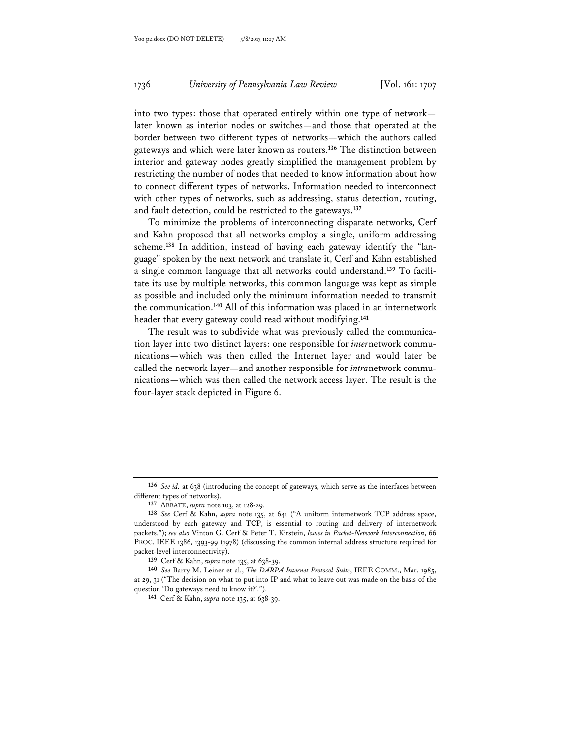into two types: those that operated entirely within one type of network later known as interior nodes or switches—and those that operated at the border between two different types of networks—which the authors called gateways and which were later known as routers.**<sup>136</sup>** The distinction between interior and gateway nodes greatly simplified the management problem by restricting the number of nodes that needed to know information about how to connect different types of networks. Information needed to interconnect with other types of networks, such as addressing, status detection, routing, and fault detection, could be restricted to the gateways.**<sup>137</sup>**

To minimize the problems of interconnecting disparate networks, Cerf and Kahn proposed that all networks employ a single, uniform addressing scheme.**138** In addition, instead of having each gateway identify the "language" spoken by the next network and translate it, Cerf and Kahn established a single common language that all networks could understand.**139** To facilitate its use by multiple networks, this common language was kept as simple as possible and included only the minimum information needed to transmit the communication.**<sup>140</sup>** All of this information was placed in an internetwork header that every gateway could read without modifying.**<sup>141</sup>**

The result was to subdivide what was previously called the communication layer into two distinct layers: one responsible for *inter*network communications—which was then called the Internet layer and would later be called the network layer—and another responsible for *intra*network communications—which was then called the network access layer. The result is the four-layer stack depicted in Figure 6.

**<sup>136</sup>** *See id.* at 638 (introducing the concept of gateways, which serve as the interfaces between different types of networks).

**<sup>137</sup>** ABBATE, *supra* note 103, at 128-29.

**<sup>138</sup>** *See* Cerf & Kahn, *supra* note 135, at 641 ("A uniform internetwork TCP address space, understood by each gateway and TCP, is essential to routing and delivery of internetwork packets."); *see also* Vinton G. Cerf & Peter T. Kirstein, *Issues in Packet-Network Interconnection*, 66 PROC. IEEE 1386, 1393-99 (1978) (discussing the common internal address structure required for packet-level interconnectivity).

**<sup>139</sup>** Cerf & Kahn, *supra* note 135, at 638-39.

**<sup>140</sup>** *See* Barry M. Leiner et al., *The DARPA Internet Protocol Suite*, IEEE COMM., Mar. 1985, at 29, 31 ("The decision on what to put into IP and what to leave out was made on the basis of the question 'Do gateways need to know it?'.").

**<sup>141</sup>** Cerf & Kahn, *supra* note 135, at 638-39.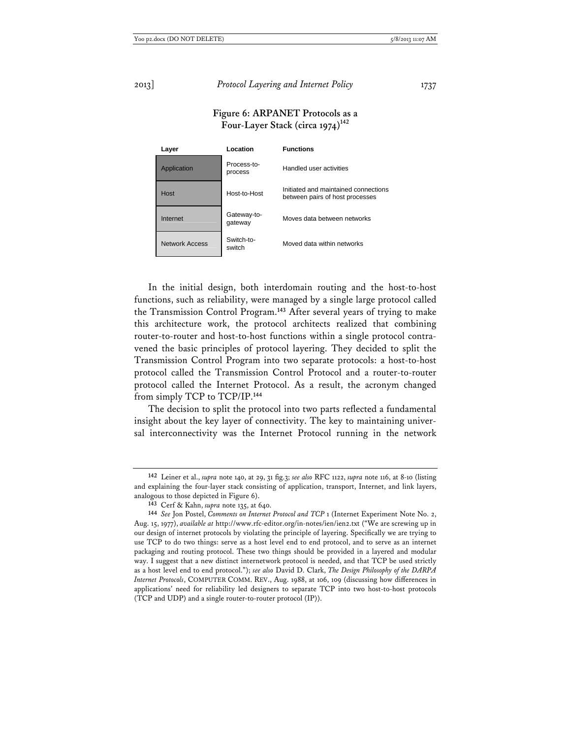## **Figure 6: ARPANET Protocols as a**  Four-Layer Stack (circa 1974)<sup>142</sup>

| Layer          | Location               | <b>Functions</b>                                                        |
|----------------|------------------------|-------------------------------------------------------------------------|
| Application    | Process-to-<br>process | Handled user activities                                                 |
| Host           | Host-to-Host           | Initiated and maintained connections<br>between pairs of host processes |
| Internet       | Gateway-to-<br>gateway | Moves data between networks                                             |
| Network Access | Switch-to-<br>switch   | Moved data within networks                                              |

In the initial design, both interdomain routing and the host-to-host functions, such as reliability, were managed by a single large protocol called the Transmission Control Program.**<sup>143</sup>** After several years of trying to make this architecture work, the protocol architects realized that combining router-to-router and host-to-host functions within a single protocol contravened the basic principles of protocol layering. They decided to split the Transmission Control Program into two separate protocols: a host-to-host protocol called the Transmission Control Protocol and a router-to-router protocol called the Internet Protocol. As a result, the acronym changed from simply TCP to TCP/IP.**<sup>144</sup>**

The decision to split the protocol into two parts reflected a fundamental insight about the key layer of connectivity. The key to maintaining universal interconnectivity was the Internet Protocol running in the network

**<sup>142</sup>** Leiner et al., *supra* note 140, at 29, 31 fig.3; *see also* RFC 1122, *supra* note 116, at 8-10 (listing and explaining the four-layer stack consisting of application, transport, Internet, and link layers, analogous to those depicted in Figure 6).

**<sup>143</sup>** Cerf & Kahn, *supra* note 135, at 640.

**<sup>144</sup>** *See* Jon Postel, *Comments on Internet Protocol and TCP* 1 (Internet Experiment Note No. 2, Aug. 15, 1977), *available at* http://www.rfc-editor.org/in-notes/ien/ien2.txt ("We are screwing up in our design of internet protocols by violating the principle of layering. Specifically we are trying to use TCP to do two things: serve as a host level end to end protocol, and to serve as an internet packaging and routing protocol. These two things should be provided in a layered and modular way. I suggest that a new distinct internetwork protocol is needed, and that TCP be used strictly as a host level end to end protocol."); *see also* David D. Clark, *The Design Philosophy of the DARPA Internet Protocols*, COMPUTER COMM. REV., Aug. 1988, at 106, 109 (discussing how differences in applications' need for reliability led designers to separate TCP into two host-to-host protocols (TCP and UDP) and a single router-to-router protocol (IP)).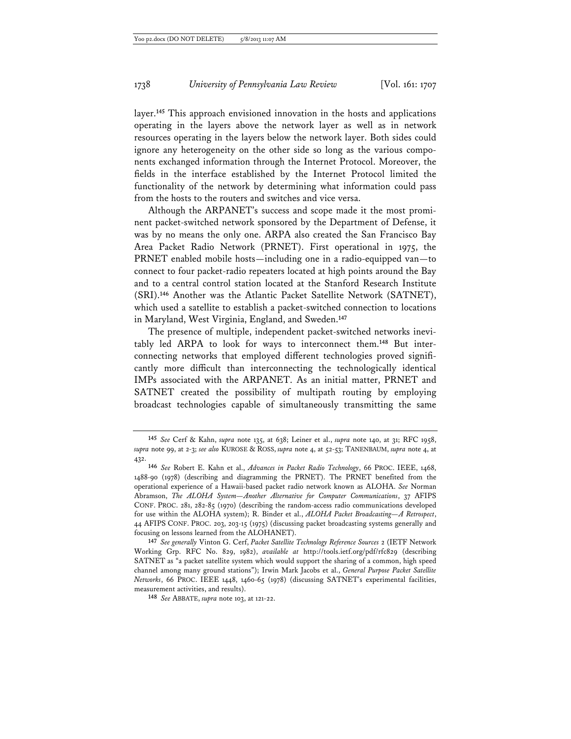layer.**<sup>145</sup>** This approach envisioned innovation in the hosts and applications operating in the layers above the network layer as well as in network resources operating in the layers below the network layer. Both sides could ignore any heterogeneity on the other side so long as the various components exchanged information through the Internet Protocol. Moreover, the fields in the interface established by the Internet Protocol limited the functionality of the network by determining what information could pass from the hosts to the routers and switches and vice versa.

Although the ARPANET's success and scope made it the most prominent packet-switched network sponsored by the Department of Defense, it was by no means the only one. ARPA also created the San Francisco Bay Area Packet Radio Network (PRNET). First operational in 1975, the PRNET enabled mobile hosts—including one in a radio-equipped van—to connect to four packet-radio repeaters located at high points around the Bay and to a central control station located at the Stanford Research Institute (SRI).**<sup>146</sup>** Another was the Atlantic Packet Satellite Network (SATNET), which used a satellite to establish a packet-switched connection to locations in Maryland, West Virginia, England, and Sweden.**<sup>147</sup>**

The presence of multiple, independent packet-switched networks inevitably led ARPA to look for ways to interconnect them.**148** But interconnecting networks that employed different technologies proved significantly more difficult than interconnecting the technologically identical IMPs associated with the ARPANET. As an initial matter, PRNET and SATNET created the possibility of multipath routing by employing broadcast technologies capable of simultaneously transmitting the same

**148** *See* ABBATE, *supra* note 103, at 121-22.

**<sup>145</sup>** *See* Cerf & Kahn, *supra* note 135, at 638; Leiner et al., *supra* note 140, at 31; RFC 1958, *supra* note 99, at 2-3; *see also* KUROSE & ROSS, *supra* note 4, at 52-53; TANENBAUM, *supra* note 4, at 432.

**<sup>146</sup>** *See* Robert E. Kahn et al., *Advances in Packet Radio Technology*, 66 PROC. IEEE, 1468, 1488-90 (1978) (describing and diagramming the PRNET). The PRNET benefited from the operational experience of a Hawaii-based packet radio network known as ALOHA. *See* Norman Abramson, *The ALOHA System—Another Alternative for Computer Communications*, 37 AFIPS CONF. PROC. 281, 282-85 (1970) (describing the random-access radio communications developed for use within the ALOHA system); R. Binder et al., *ALOHA Packet Broadcasting—A Retrospect*, 44 AFIPS CONF. PROC. 203, 203-15 (1975) (discussing packet broadcasting systems generally and focusing on lessons learned from the ALOHANET).

**<sup>147</sup>** *See generally* Vinton G. Cerf, *Packet Satellite Technology Reference Sources* 2 (IETF Network Working Grp. RFC No. 829, 1982), *available at* http://tools.ietf.org/pdf/rfc829 (describing SATNET as "a packet satellite system which would support the sharing of a common, high speed channel among many ground stations"); Irwin Mark Jacobs et al., *General Purpose Packet Satellite Networks*, 66 PROC. IEEE 1448, 1460-65 (1978) (discussing SATNET's experimental facilities, measurement activities, and results).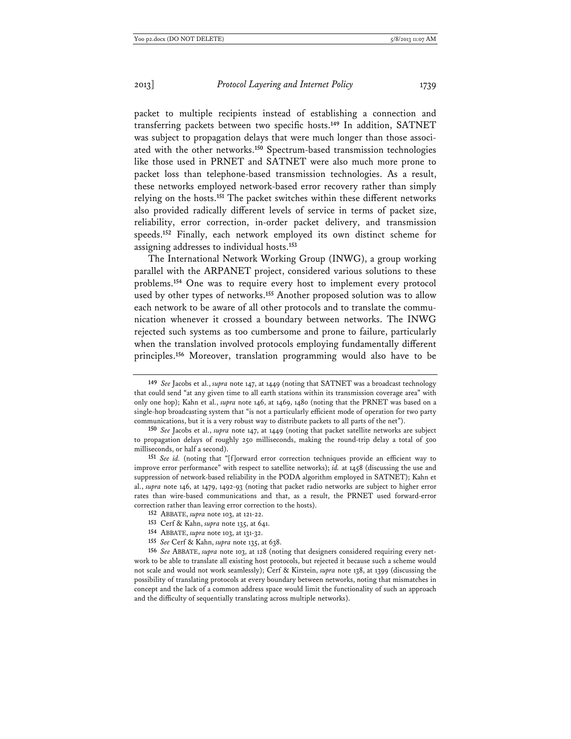packet to multiple recipients instead of establishing a connection and transferring packets between two specific hosts.**<sup>149</sup>** In addition, SATNET was subject to propagation delays that were much longer than those associated with the other networks.**<sup>150</sup>** Spectrum-based transmission technologies like those used in PRNET and SATNET were also much more prone to packet loss than telephone-based transmission technologies. As a result, these networks employed network-based error recovery rather than simply relying on the hosts.**<sup>151</sup>** The packet switches within these different networks also provided radically different levels of service in terms of packet size, reliability, error correction, in-order packet delivery, and transmission speeds.**<sup>152</sup>** Finally, each network employed its own distinct scheme for assigning addresses to individual hosts.**<sup>153</sup>**

The International Network Working Group (INWG), a group working parallel with the ARPANET project, considered various solutions to these problems.**<sup>154</sup>** One was to require every host to implement every protocol used by other types of networks.**<sup>155</sup>** Another proposed solution was to allow each network to be aware of all other protocols and to translate the communication whenever it crossed a boundary between networks. The INWG rejected such systems as too cumbersome and prone to failure, particularly when the translation involved protocols employing fundamentally different principles.**<sup>156</sup>** Moreover, translation programming would also have to be

**<sup>149</sup>** *See* Jacobs et al., *supra* note 147, at 1449 (noting that SATNET was a broadcast technology that could send "at any given time to all earth stations within its transmission coverage area" with only one hop); Kahn et al., *supra* note 146, at 1469, 1480 (noting that the PRNET was based on a single-hop broadcasting system that "is not a particularly efficient mode of operation for two party communications, but it is a very robust way to distribute packets to all parts of the net").

**<sup>150</sup>** *See* Jacobs et al., *supra* note 147, at 1449 (noting that packet satellite networks are subject to propagation delays of roughly 250 milliseconds, making the round-trip delay a total of 500 milliseconds, or half a second).

**<sup>151</sup>** *See id.* (noting that "[f]orward error correction techniques provide an efficient way to improve error performance" with respect to satellite networks); *id.* at 1458 (discussing the use and suppression of network-based reliability in the PODA algorithm employed in SATNET); Kahn et al., *supra* note 146, at 1479, 1492-93 (noting that packet radio networks are subject to higher error rates than wire-based communications and that, as a result, the PRNET used forward-error correction rather than leaving error correction to the hosts).

**<sup>152</sup>** ABBATE, *supra* note 103, at 121-22.

**<sup>153</sup>** Cerf & Kahn, *supra* note 135, at 641.

**<sup>154</sup>** ABBATE, *supra* note 103, at 131-32.

**<sup>155</sup>** *See* Cerf & Kahn, *supra* note 135, at 638.

**<sup>156</sup>** *See* ABBATE, *supra* note 103, at 128 (noting that designers considered requiring every network to be able to translate all existing host protocols, but rejected it because such a scheme would not scale and would not work seamlessly); Cerf & Kirstein, *supra* note 138, at 1399 (discussing the possibility of translating protocols at every boundary between networks, noting that mismatches in concept and the lack of a common address space would limit the functionality of such an approach and the difficulty of sequentially translating across multiple networks).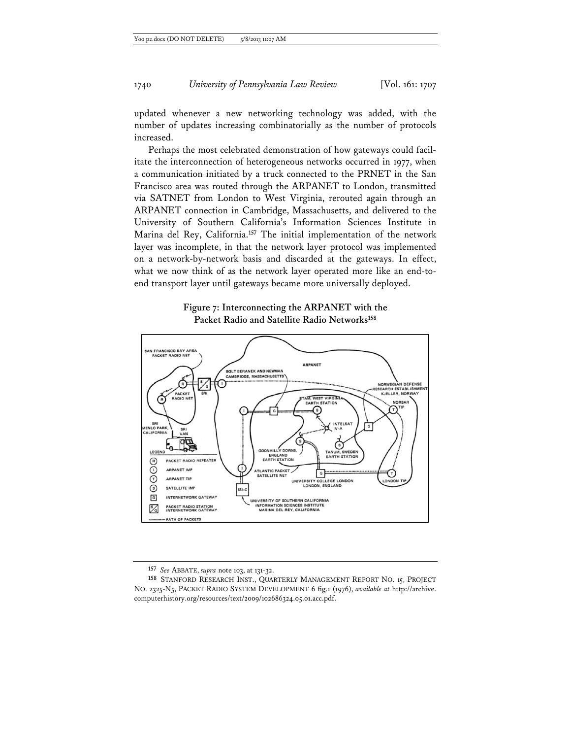updated whenever a new networking technology was added, with the number of updates increasing combinatorially as the number of protocols increased.

Perhaps the most celebrated demonstration of how gateways could facilitate the interconnection of heterogeneous networks occurred in 1977, when a communication initiated by a truck connected to the PRNET in the San Francisco area was routed through the ARPANET to London, transmitted via SATNET from London to West Virginia, rerouted again through an ARPANET connection in Cambridge, Massachusetts, and delivered to the University of Southern California's Information Sciences Institute in Marina del Rey, California.**<sup>157</sup>** The initial implementation of the network layer was incomplete, in that the network layer protocol was implemented on a network-by-network basis and discarded at the gateways. In effect, what we now think of as the network layer operated more like an end-toend transport layer until gateways became more universally deployed.





**<sup>157</sup>** *See* ABBATE, *supra* note 103, at 131-32.

**<sup>158</sup>** STANFORD RESEARCH INST., QUARTERLY MANAGEMENT REPORT NO. 15, PROJECT NO. 2325-N5, PACKET RADIO SYSTEM DEVELOPMENT 6 fig.1 (1976), *available at* http://archive. computerhistory.org/resources/text/2009/102686324.05.01.acc.pdf.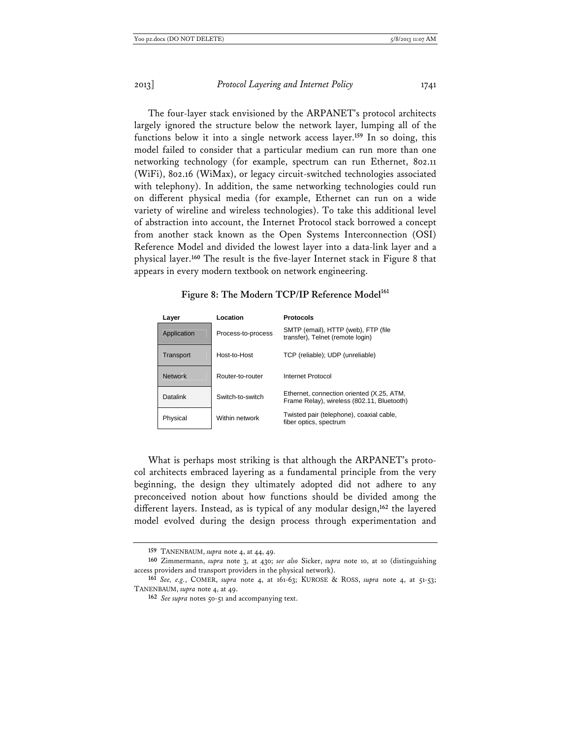The four-layer stack envisioned by the ARPANET's protocol architects largely ignored the structure below the network layer, lumping all of the functions below it into a single network access layer.**<sup>159</sup>** In so doing, this model failed to consider that a particular medium can run more than one networking technology (for example, spectrum can run Ethernet, 802.11 (WiFi), 802.16 (WiMax), or legacy circuit-switched technologies associated with telephony). In addition, the same networking technologies could run on different physical media (for example, Ethernet can run on a wide variety of wireline and wireless technologies). To take this additional level of abstraction into account, the Internet Protocol stack borrowed a concept from another stack known as the Open Systems Interconnection (OSI) Reference Model and divided the lowest layer into a data-link layer and a physical layer.**<sup>160</sup>** The result is the five-layer Internet stack in Figure 8 that appears in every modern textbook on network engineering.

# **Figure 8: The Modern TCP/IP Reference Model<sup>161</sup>**

| Layer          | Location           | <b>Protocols</b>                                                                        |
|----------------|--------------------|-----------------------------------------------------------------------------------------|
| Application    | Process-to-process | SMTP (email), HTTP (web), FTP (file<br>transfer), Telnet (remote login)                 |
| Transport      | Host-to-Host       | TCP (reliable); UDP (unreliable)                                                        |
| <b>Network</b> | Router-to-router   | Internet Protocol                                                                       |
| Datalink       | Switch-to-switch   | Ethernet, connection oriented (X.25, ATM,<br>Frame Relay), wireless (802.11, Bluetooth) |
| Physical       | Within network     | Twisted pair (telephone), coaxial cable,<br>fiber optics, spectrum                      |

What is perhaps most striking is that although the ARPANET's protocol architects embraced layering as a fundamental principle from the very beginning, the design they ultimately adopted did not adhere to any preconceived notion about how functions should be divided among the different layers. Instead, as is typical of any modular design,**<sup>162</sup>** the layered model evolved during the design process through experimentation and

**<sup>159</sup>** TANENBAUM, *supra* note 4, at 44, 49.

**<sup>160</sup>** Zimmermann, *supra* note 3, at 430; *see also* Sicker, *supra* note 10, at 10 (distinguishing access providers and transport providers in the physical network).

**<sup>161</sup>** *See, e.g.*, COMER, *supra* note 4, at 161-63; KUROSE & ROSS, *supra* note 4, at 51-53; TANENBAUM, *supra* note 4, at 49.

**<sup>162</sup>** *See supra* notes 50-51 and accompanying text.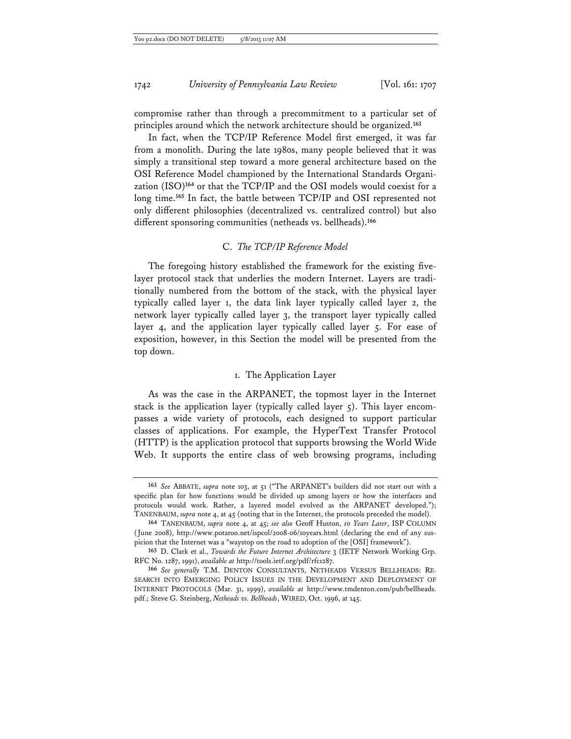compromise rather than through a precommitment to a particular set of principles around which the network architecture should be organized.**<sup>163</sup>**

In fact, when the TCP/IP Reference Model first emerged, it was far from a monolith. During the late 1980s, many people believed that it was simply a transitional step toward a more general architecture based on the OSI Reference Model championed by the International Standards Organization (ISO)**<sup>164</sup>** or that the TCP/IP and the OSI models would coexist for a long time.**<sup>165</sup>** In fact, the battle between TCP/IP and OSI represented not only different philosophies (decentralized vs. centralized control) but also different sponsoring communities (netheads vs. bellheads).**<sup>166</sup>**

## C. *The TCP/IP Reference Model*

The foregoing history established the framework for the existing fivelayer protocol stack that underlies the modern Internet. Layers are traditionally numbered from the bottom of the stack, with the physical layer typically called layer 1, the data link layer typically called layer 2, the network layer typically called layer 3, the transport layer typically called layer 4, and the application layer typically called layer 5. For ease of exposition, however, in this Section the model will be presented from the top down.

## 1. The Application Layer

As was the case in the ARPANET, the topmost layer in the Internet stack is the application layer (typically called layer 5). This layer encompasses a wide variety of protocols, each designed to support particular classes of applications. For example, the HyperText Transfer Protocol (HTTP) is the application protocol that supports browsing the World Wide Web. It supports the entire class of web browsing programs, including

**<sup>163</sup>** *See* ABBATE, *supra* note 103, at 51 ("The ARPANET's builders did not start out with a specific plan for how functions would be divided up among layers or how the interfaces and protocols would work. Rather, a layered model evolved as the ARPANET developed."); TANENBAUM, *supra* note 4, at 45 (noting that in the Internet, the protocols preceded the model).

**<sup>164</sup>** TANENBAUM, *supra* note 4, at 45; *see also* Geoff Huston, *10 Years Later*, ISP COLUMN (June 2008), http://www.potaroo.net/ispcol/2008-06/10years.html (declaring the end of any suspicion that the Internet was a "waystop on the road to adoption of the [OSI] framework").

**<sup>165</sup>** D. Clark et al., *Towards the Future Internet Architecture* 3 (IETF Network Working Grp. RFC No. 1287, 1991), *available at* http://tools.ietf.org/pdf/rfc1287.

**<sup>166</sup>** *See generally* T.M. DENTON CONSULTANTS, NETHEADS VERSUS BELLHEADS: RE-SEARCH INTO EMERGING POLICY ISSUES IN THE DEVELOPMENT AND DEPLOYMENT OF INTERNET PROTOCOLS (Mar. 31, 1999), *available at* http://www.tmdenton.com/pub/bellheads. pdf.; Steve G. Steinberg, *Netheads vs. Bellheads*, WIRED, Oct. 1996, at 145.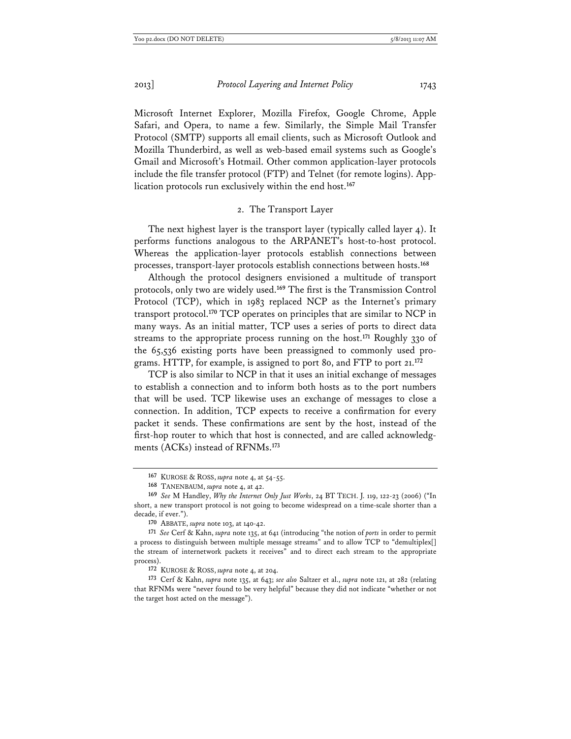Microsoft Internet Explorer, Mozilla Firefox, Google Chrome, Apple Safari, and Opera, to name a few. Similarly, the Simple Mail Transfer Protocol (SMTP) supports all email clients, such as Microsoft Outlook and Mozilla Thunderbird, as well as web-based email systems such as Google's Gmail and Microsoft's Hotmail. Other common application-layer protocols include the file transfer protocol (FTP) and Telnet (for remote logins). Application protocols run exclusively within the end host.**<sup>167</sup>**

## 2. The Transport Layer

The next highest layer is the transport layer (typically called layer 4). It performs functions analogous to the ARPANET's host-to-host protocol. Whereas the application-layer protocols establish connections between processes, transport-layer protocols establish connections between hosts.**<sup>168</sup>**

Although the protocol designers envisioned a multitude of transport protocols, only two are widely used.**<sup>169</sup>** The first is the Transmission Control Protocol (TCP), which in 1983 replaced NCP as the Internet's primary transport protocol.**<sup>170</sup>** TCP operates on principles that are similar to NCP in many ways. As an initial matter, TCP uses a series of ports to direct data streams to the appropriate process running on the host.**<sup>171</sup>** Roughly 330 of the 65,536 existing ports have been preassigned to commonly used programs. HTTP, for example, is assigned to port 80, and FTP to port 21.**<sup>172</sup>**

TCP is also similar to NCP in that it uses an initial exchange of messages to establish a connection and to inform both hosts as to the port numbers that will be used. TCP likewise uses an exchange of messages to close a connection. In addition, TCP expects to receive a confirmation for every packet it sends. These confirmations are sent by the host, instead of the first-hop router to which that host is connected, and are called acknowledgments (ACKs) instead of RFNMs.**<sup>173</sup>**

**<sup>167</sup>** KUROSE & ROSS, *supra* note 4, at 54-55.

**<sup>168</sup>** TANENBAUM, *supra* note 4, at 42.

**<sup>169</sup>** *See* M Handley, *Why the Internet Only Just Works*, 24 BT TECH. J. 119, 122-23 (2006) ("In short, a new transport protocol is not going to become widespread on a time-scale shorter than a decade, if ever.").

**<sup>170</sup>** ABBATE, *supra* note 103, at 140-42.

**<sup>171</sup>** *See* Cerf & Kahn, *supra* note 135, at 641 (introducing "the notion of *ports* in order to permit a process to distinguish between multiple message streams" and to allow TCP to "demultiplex[] the stream of internetwork packets it receives" and to direct each stream to the appropriate process).

**<sup>172</sup>** KUROSE & ROSS, *supra* note 4, at 204.

**<sup>173</sup>** Cerf & Kahn, *supra* note 135, at 643; *see also* Saltzer et al., *supra* note 121, at 282 (relating that RFNMs were "never found to be very helpful" because they did not indicate "whether or not the target host acted on the message").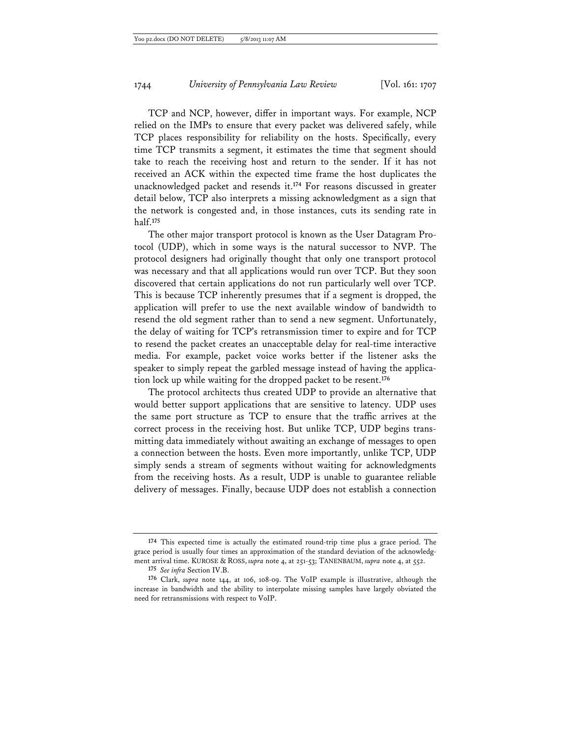TCP and NCP, however, differ in important ways. For example, NCP relied on the IMPs to ensure that every packet was delivered safely, while TCP places responsibility for reliability on the hosts. Specifically, every time TCP transmits a segment, it estimates the time that segment should take to reach the receiving host and return to the sender. If it has not received an ACK within the expected time frame the host duplicates the unacknowledged packet and resends it.**<sup>174</sup>** For reasons discussed in greater detail below, TCP also interprets a missing acknowledgment as a sign that the network is congested and, in those instances, cuts its sending rate in half.**<sup>175</sup>**

The other major transport protocol is known as the User Datagram Protocol (UDP), which in some ways is the natural successor to NVP. The protocol designers had originally thought that only one transport protocol was necessary and that all applications would run over TCP. But they soon discovered that certain applications do not run particularly well over TCP. This is because TCP inherently presumes that if a segment is dropped, the application will prefer to use the next available window of bandwidth to resend the old segment rather than to send a new segment. Unfortunately, the delay of waiting for TCP's retransmission timer to expire and for TCP to resend the packet creates an unacceptable delay for real-time interactive media. For example, packet voice works better if the listener asks the speaker to simply repeat the garbled message instead of having the application lock up while waiting for the dropped packet to be resent.**<sup>176</sup>**

The protocol architects thus created UDP to provide an alternative that would better support applications that are sensitive to latency. UDP uses the same port structure as TCP to ensure that the traffic arrives at the correct process in the receiving host. But unlike TCP, UDP begins transmitting data immediately without awaiting an exchange of messages to open a connection between the hosts. Even more importantly, unlike TCP, UDP simply sends a stream of segments without waiting for acknowledgments from the receiving hosts. As a result, UDP is unable to guarantee reliable delivery of messages. Finally, because UDP does not establish a connection

**<sup>174</sup>** This expected time is actually the estimated round-trip time plus a grace period. The grace period is usually four times an approximation of the standard deviation of the acknowledgment arrival time. KUROSE & ROSS, *supra* note 4, at 251-53; TANENBAUM, *supra* note 4, at 552.

**<sup>175</sup>** *See infra* Section IV.B.

**<sup>176</sup>** Clark, *supra* note 144, at 106, 108-09. The VoIP example is illustrative, although the increase in bandwidth and the ability to interpolate missing samples have largely obviated the need for retransmissions with respect to VoIP.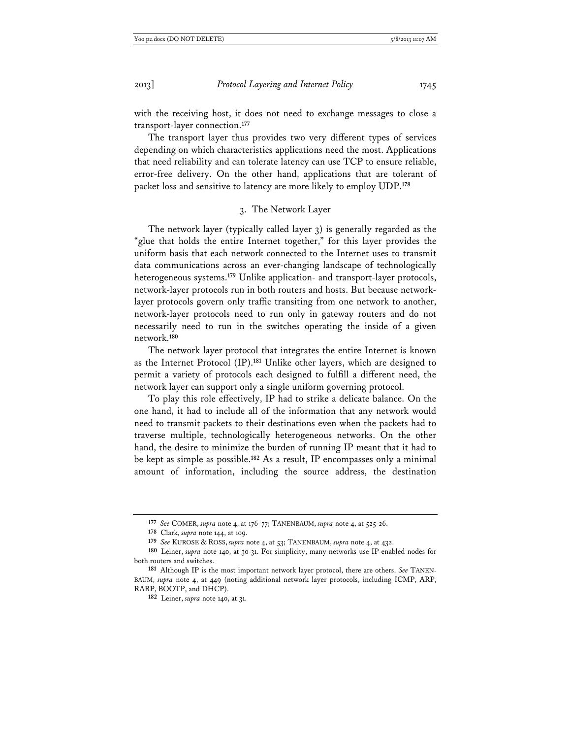with the receiving host, it does not need to exchange messages to close a transport-layer connection.**<sup>177</sup>**

The transport layer thus provides two very different types of services depending on which characteristics applications need the most. Applications that need reliability and can tolerate latency can use TCP to ensure reliable, error-free delivery. On the other hand, applications that are tolerant of packet loss and sensitive to latency are more likely to employ UDP.**<sup>178</sup>**

## 3. The Network Layer

The network layer (typically called layer 3) is generally regarded as the "glue that holds the entire Internet together," for this layer provides the uniform basis that each network connected to the Internet uses to transmit data communications across an ever-changing landscape of technologically heterogeneous systems.**<sup>179</sup>** Unlike application- and transport-layer protocols, network-layer protocols run in both routers and hosts. But because networklayer protocols govern only traffic transiting from one network to another, network-layer protocols need to run only in gateway routers and do not necessarily need to run in the switches operating the inside of a given network.**<sup>180</sup>**

The network layer protocol that integrates the entire Internet is known as the Internet Protocol (IP).**<sup>181</sup>** Unlike other layers, which are designed to permit a variety of protocols each designed to fulfill a different need, the network layer can support only a single uniform governing protocol.

To play this role effectively, IP had to strike a delicate balance. On the one hand, it had to include all of the information that any network would need to transmit packets to their destinations even when the packets had to traverse multiple, technologically heterogeneous networks. On the other hand, the desire to minimize the burden of running IP meant that it had to be kept as simple as possible.**<sup>182</sup>** As a result, IP encompasses only a minimal amount of information, including the source address, the destination

**<sup>177</sup>** *See* COMER, *supra* note 4, at 176-77; TANENBAUM, *supra* note 4, at 525-26.

**<sup>178</sup>** Clark, *supra* note 144, at 109.

**<sup>179</sup>** *See* KUROSE & ROSS, *supra* note 4, at 53; TANENBAUM, *supra* note 4, at 432.

**<sup>180</sup>** Leiner, *supra* note 140, at 30-31. For simplicity, many networks use IP-enabled nodes for both routers and switches.

**<sup>181</sup>** Although IP is the most important network layer protocol, there are others. *See* TANEN-BAUM, *supra* note 4, at 449 (noting additional network layer protocols, including ICMP, ARP, RARP, BOOTP, and DHCP).

**<sup>182</sup>** Leiner, *supra* note 140, at 31.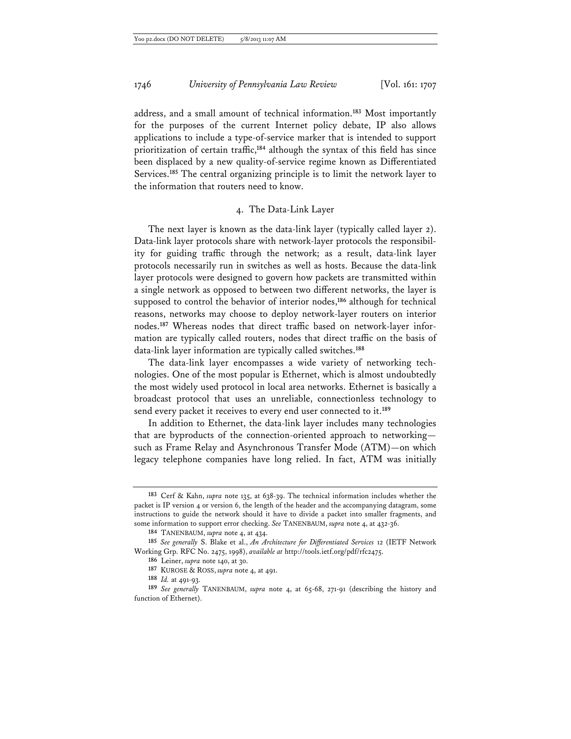address, and a small amount of technical information.**<sup>183</sup>** Most importantly for the purposes of the current Internet policy debate, IP also allows applications to include a type-of-service marker that is intended to support prioritization of certain traffic,**<sup>184</sup>** although the syntax of this field has since been displaced by a new quality-of-service regime known as Differentiated Services.**<sup>185</sup>** The central organizing principle is to limit the network layer to the information that routers need to know.

## 4. The Data-Link Layer

The next layer is known as the data-link layer (typically called layer 2). Data-link layer protocols share with network-layer protocols the responsibility for guiding traffic through the network; as a result, data-link layer protocols necessarily run in switches as well as hosts. Because the data-link layer protocols were designed to govern how packets are transmitted within a single network as opposed to between two different networks, the layer is supposed to control the behavior of interior nodes,**<sup>186</sup>** although for technical reasons, networks may choose to deploy network-layer routers on interior nodes.**187** Whereas nodes that direct traffic based on network-layer information are typically called routers, nodes that direct traffic on the basis of data-link layer information are typically called switches.**<sup>188</sup>**

The data-link layer encompasses a wide variety of networking technologies. One of the most popular is Ethernet, which is almost undoubtedly the most widely used protocol in local area networks. Ethernet is basically a broadcast protocol that uses an unreliable, connectionless technology to send every packet it receives to every end user connected to it.**<sup>189</sup>**

In addition to Ethernet, the data-link layer includes many technologies that are byproducts of the connection-oriented approach to networking such as Frame Relay and Asynchronous Transfer Mode (ATM)—on which legacy telephone companies have long relied. In fact, ATM was initially

**<sup>183</sup>** Cerf & Kahn, *supra* note 135, at 638-39. The technical information includes whether the packet is IP version 4 or version 6, the length of the header and the accompanying datagram, some instructions to guide the network should it have to divide a packet into smaller fragments, and some information to support error checking. *See* TANENBAUM, *supra* note 4, at 432-36.

**<sup>184</sup>** TANENBAUM, *supra* note 4, at 434.

**<sup>185</sup>** *See generally* S. Blake et al., *An Architecture for Differentiated Services* 12 (IETF Network Working Grp. RFC No. 2475, 1998), *available at* http://tools.ietf.org/pdf/rfc2475.

**<sup>186</sup>** Leiner, *supra* note 140, at 30.

**<sup>187</sup>** KUROSE & ROSS, *supra* note 4, at 491.

**<sup>188</sup>** *Id.* at 491-93.

**<sup>189</sup>** *See generally* TANENBAUM, *supra* note 4, at 65-68, 271-91 (describing the history and function of Ethernet).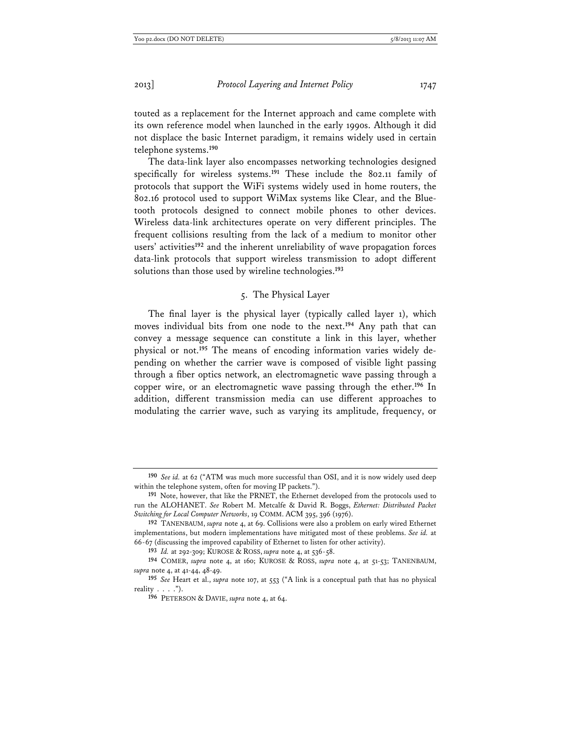touted as a replacement for the Internet approach and came complete with its own reference model when launched in the early 1990s. Although it did not displace the basic Internet paradigm, it remains widely used in certain telephone systems.**<sup>190</sup>**

The data-link layer also encompasses networking technologies designed specifically for wireless systems.**<sup>191</sup>** These include the 802.11 family of protocols that support the WiFi systems widely used in home routers, the 802.16 protocol used to support WiMax systems like Clear, and the Bluetooth protocols designed to connect mobile phones to other devices. Wireless data-link architectures operate on very different principles. The frequent collisions resulting from the lack of a medium to monitor other users' activities**<sup>192</sup>** and the inherent unreliability of wave propagation forces data-link protocols that support wireless transmission to adopt different solutions than those used by wireline technologies.**<sup>193</sup>**

## 5. The Physical Layer

The final layer is the physical layer (typically called layer 1), which moves individual bits from one node to the next.**<sup>194</sup>** Any path that can convey a message sequence can constitute a link in this layer, whether physical or not.**195** The means of encoding information varies widely depending on whether the carrier wave is composed of visible light passing through a fiber optics network, an electromagnetic wave passing through a copper wire, or an electromagnetic wave passing through the ether.**<sup>196</sup>** In addition, different transmission media can use different approaches to modulating the carrier wave, such as varying its amplitude, frequency, or

**<sup>190</sup>** *See id.* at 62 ("ATM was much more successful than OSI, and it is now widely used deep within the telephone system, often for moving IP packets.").

**<sup>191</sup>** Note, however, that like the PRNET, the Ethernet developed from the protocols used to run the ALOHANET. *See* Robert M. Metcalfe & David R. Boggs, *Ethernet: Distributed Packet Switching for Local Computer Networks*, 19 COMM. ACM 395, 396 (1976).

**<sup>192</sup>** TANENBAUM, *supra* note 4, at 69. Collisions were also a problem on early wired Ethernet implementations, but modern implementations have mitigated most of these problems. *See id.* at 66-67 (discussing the improved capability of Ethernet to listen for other activity).

**<sup>193</sup>** *Id.* at 292-309; KUROSE & ROSS, *supra* note 4, at 536-58.

**<sup>194</sup>** COMER, *supra* note 4, at 160; KUROSE & ROSS, *supra* note 4, at 51-53; TANENBAUM, *supra* note 4, at 41-44, 48-49.

**<sup>195</sup>** *See* Heart et al., *supra* note 107, at 553 ("A link is a conceptual path that has no physical reality  $\ldots$  .").

**<sup>196</sup>** PETERSON & DAVIE, *supra* note 4, at 64.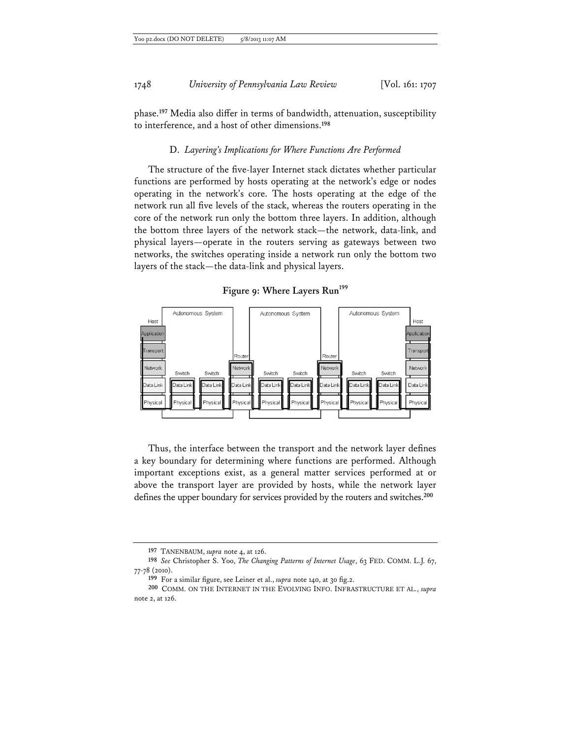phase.**<sup>197</sup>** Media also differ in terms of bandwidth, attenuation, susceptibility to interference, and a host of other dimensions.**<sup>198</sup>**

## D. *Layering's Implications for Where Functions Are Performed*

The structure of the five-layer Internet stack dictates whether particular functions are performed by hosts operating at the network's edge or nodes operating in the network's core. The hosts operating at the edge of the network run all five levels of the stack, whereas the routers operating in the core of the network run only the bottom three layers. In addition, although the bottom three layers of the network stack—the network, data-link, and physical layers—operate in the routers serving as gateways between two networks, the switches operating inside a network run only the bottom two layers of the stack—the data-link and physical layers.

Figure 9: Where Layers Run<sup>199</sup>



Thus, the interface between the transport and the network layer defines a key boundary for determining where functions are performed. Although important exceptions exist, as a general matter services performed at or above the transport layer are provided by hosts, while the network layer defines the upper boundary for services provided by the routers and switches.**<sup>200</sup>**

**<sup>197</sup>** TANENBAUM, *supra* note 4, at 126.

**<sup>198</sup>** *See* Christopher S. Yoo, *The Changing Patterns of Internet Usage*, 63 FED. COMM. L.J. 67, 77-78 (2010).

**<sup>199</sup>** For a similar figure, see Leiner et al., *supra* note 140, at 30 fig.2.

**<sup>200</sup>** COMM. ON THE INTERNET IN THE EVOLVING INFO. INFRASTRUCTURE ET AL., *supra* note 2, at 126.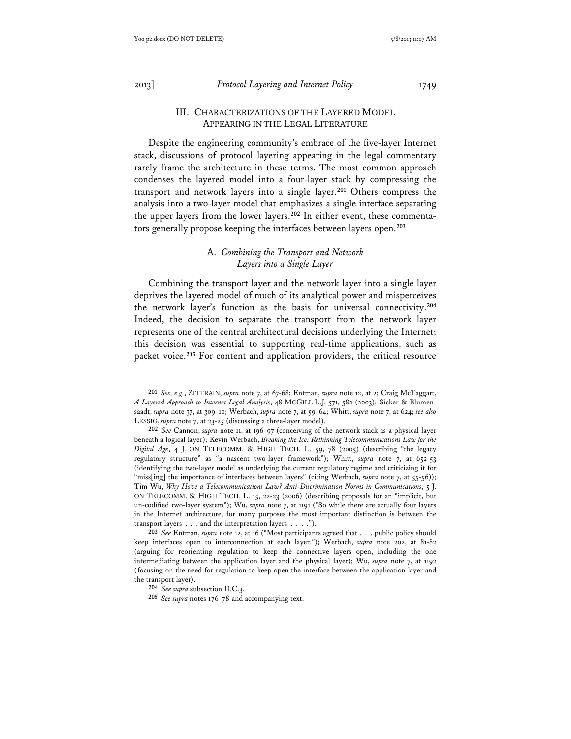## III. CHARACTERIZATIONS OF THE LAYERED MODEL APPEARING IN THE LEGAL LITERATURE

Despite the engineering community's embrace of the five-layer Internet stack, discussions of protocol layering appearing in the legal commentary rarely frame the architecture in these terms. The most common approach condenses the layered model into a four-layer stack by compressing the transport and network layers into a single layer.**<sup>201</sup>** Others compress the analysis into a two-layer model that emphasizes a single interface separating the upper layers from the lower layers.**202** In either event, these commentators generally propose keeping the interfaces between layers open.**<sup>203</sup>**

## A. *Combining the Transport and Network Layers into a Single Layer*

Combining the transport layer and the network layer into a single layer deprives the layered model of much of its analytical power and misperceives the network layer's function as the basis for universal connectivity.**<sup>204</sup>** Indeed, the decision to separate the transport from the network layer represents one of the central architectural decisions underlying the Internet; this decision was essential to supporting real-time applications, such as packet voice.**<sup>205</sup>** For content and application providers, the critical resource

**<sup>201</sup>** *See, e.g.*, ZITTRAIN, *supra* note 7, at 67-68; Entman, *supra* note 12, at 2; Craig McTaggart, *A Layered Approach to Internet Legal Analysis*, 48 MCGILL L.J. 571, 582 (2003); Sicker & Blumensaadt, *supra* note 37, at 309-10; Werbach, *supra* note 7, at 59-64; Whitt, *supra* note 7, at 624; *see also* LESSIG, *supra* note 7, at 23-25 (discussing a three-layer model).

**<sup>202</sup>** *See* Cannon, *supra* note 11, at 196-97 (conceiving of the network stack as a physical layer beneath a logical layer); Kevin Werbach, *Breaking the Ice: Rethinking Telecommunications Law for the Digital Age*, 4 J. ON TELECOMM. & HIGH TECH. L. 59, 78 (2005) (describing "the legacy regulatory structure" as "a nascent two-layer framework"); Whitt, *supra* note 7, at 652-53 (identifying the two-layer model as underlying the current regulatory regime and criticizing it for "miss[ing] the importance of interfaces between layers" (citing Werbach, *supra* note 7, at 55-56)); Tim Wu, *Why Have a Telecommunications Law? Anti-Discrimination Norms in Communications*, 5 J. ON TELECOMM. & HIGH TECH. L. 15, 22-23 (2006) (describing proposals for an "implicit, but un-codified two-layer system"); Wu, *supra* note 7, at 1191 ("So while there are actually four layers in the Internet architecture, for many purposes the most important distinction is between the transport layers . . . and the interpretation layers . . . .").

**<sup>203</sup>** *See* Entman, *supra* note 12, at 16 ("Most participants agreed that . . . public policy should keep interfaces open to interconnection at each layer."); Werbach, *supra* note 202, at 81-82 (arguing for reorienting regulation to keep the connective layers open, including the one intermediating between the application layer and the physical layer); Wu, *supra* note 7, at 1192 (focusing on the need for regulation to keep open the interface between the application layer and the transport layer).

**<sup>204</sup>** *See supra* subsection II.C.3.

**<sup>205</sup>** *See supra* notes 176-78 and accompanying text.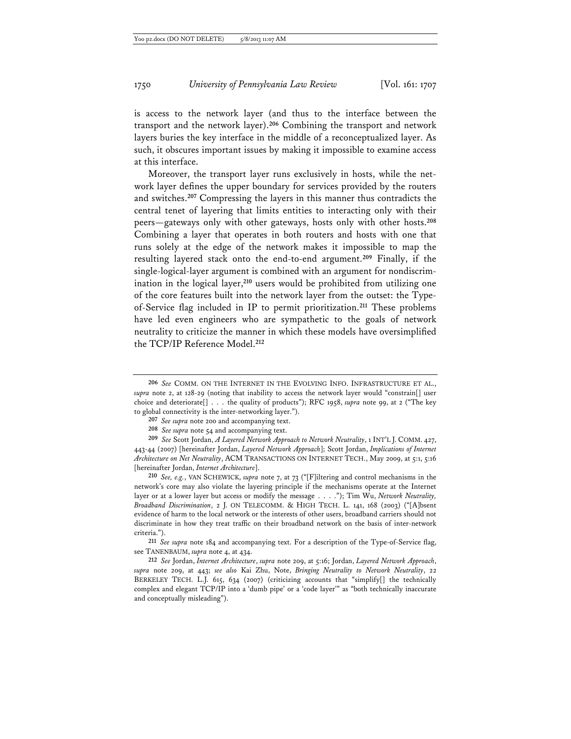is access to the network layer (and thus to the interface between the transport and the network layer).**<sup>206</sup>** Combining the transport and network layers buries the key interface in the middle of a reconceptualized layer. As such, it obscures important issues by making it impossible to examine access at this interface.

Moreover, the transport layer runs exclusively in hosts, while the network layer defines the upper boundary for services provided by the routers and switches.**<sup>207</sup>** Compressing the layers in this manner thus contradicts the central tenet of layering that limits entities to interacting only with their peers—gateways only with other gateways, hosts only with other hosts.**<sup>208</sup>** Combining a layer that operates in both routers and hosts with one that runs solely at the edge of the network makes it impossible to map the resulting layered stack onto the end-to-end argument.**<sup>209</sup>** Finally, if the single-logical-layer argument is combined with an argument for nondiscrimination in the logical layer,**<sup>210</sup>** users would be prohibited from utilizing one of the core features built into the network layer from the outset: the Typeof-Service flag included in IP to permit prioritization.**<sup>211</sup>** These problems have led even engineers who are sympathetic to the goals of network neutrality to criticize the manner in which these models have oversimplified the TCP/IP Reference Model.**<sup>212</sup>**

**211** *See supra* note 184 and accompanying text. For a description of the Type-of-Service flag, see TANENBAUM, *supra* note 4, at 434.

**<sup>206</sup>** *See* COMM. ON THE INTERNET IN THE EVOLVING INFO. INFRASTRUCTURE ET AL., *supra* note 2, at 128-29 (noting that inability to access the network layer would "constrain[] user choice and deteriorate[] . . . the quality of products"); RFC 1958, *supra* note 99, at 2 ("The key to global connectivity is the inter-networking layer.").

**<sup>207</sup>** *See supra* note 200 and accompanying text.

**<sup>208</sup>** *See supra* note 54 and accompanying text.

**<sup>209</sup>** *See* Scott Jordan, *A Layered Network Approach to Network Neutrality*, 1 INT'L J. COMM. 427, 443-44 (2007) [hereinafter Jordan, *Layered Network Approach*]; Scott Jordan, *Implications of Internet Architecture on Net Neutrality*, ACM TRANSACTIONS ON INTERNET TECH., May 2009, at 5:1, 5:16 [hereinafter Jordan, *Internet Architecture*].

**<sup>210</sup>** *See, e.g.*, VAN SCHEWICK, *supra* note 7, at 73 ("[F]iltering and control mechanisms in the network's core may also violate the layering principle if the mechanisms operate at the Internet layer or at a lower layer but access or modify the message . . . ."); Tim Wu, *Network Neutrality, Broadband Discrimination*, 2 J. ON TELECOMM. & HIGH TECH. L. 141, 168 (2003) ("[A]bsent evidence of harm to the local network or the interests of other users, broadband carriers should not discriminate in how they treat traffic on their broadband network on the basis of inter-network criteria.").

**<sup>212</sup>** *See* Jordan, *Internet Architecture*, *supra* note 209, at 5:16; Jordan, *Layered Network Approach*, *supra* note 209, at 443; *see also* Kai Zhu, Note, *Bringing Neutrality to Network Neutrality*, 22 BERKELEY TECH. L.J. 615, 634 (2007) (criticizing accounts that "simplify[] the technically complex and elegant TCP/IP into a 'dumb pipe' or a 'code layer'" as "both technically inaccurate and conceptually misleading").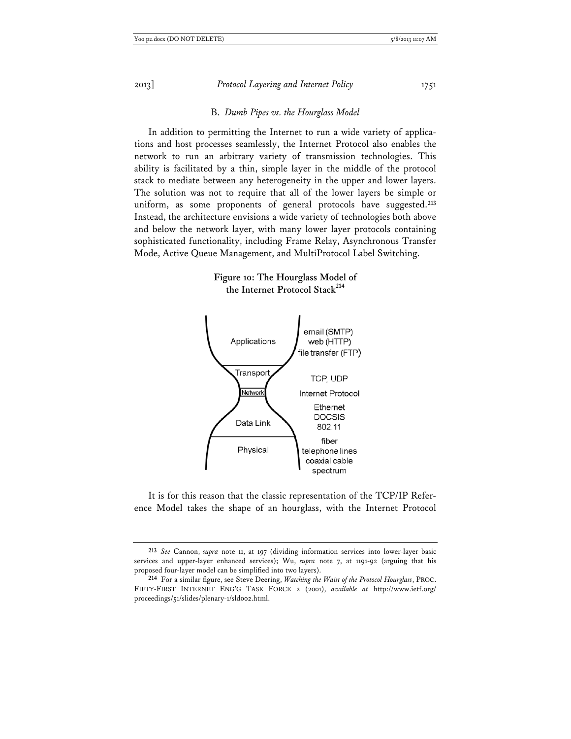B. *Dumb Pipes vs. the Hourglass Model* 

In addition to permitting the Internet to run a wide variety of applications and host processes seamlessly, the Internet Protocol also enables the network to run an arbitrary variety of transmission technologies. This ability is facilitated by a thin, simple layer in the middle of the protocol stack to mediate between any heterogeneity in the upper and lower layers. The solution was not to require that all of the lower layers be simple or uniform, as some proponents of general protocols have suggested.**<sup>213</sup>** Instead, the architecture envisions a wide variety of technologies both above and below the network layer, with many lower layer protocols containing sophisticated functionality, including Frame Relay, Asynchronous Transfer Mode, Active Queue Management, and MultiProtocol Label Switching.

> **Figure 10: The Hourglass Model of the Internet Protocol Stack<sup>214</sup>**



It is for this reason that the classic representation of the TCP/IP Reference Model takes the shape of an hourglass, with the Internet Protocol

**<sup>213</sup>** *See* Cannon, *supra* note 11, at 197 (dividing information services into lower-layer basic services and upper-layer enhanced services); Wu, *supra* note 7, at 1191-92 (arguing that his proposed four-layer model can be simplified into two layers).

**<sup>214</sup>** For a similar figure, see Steve Deering, *Watching the Waist of the Protocol Hourglass*, PROC. FIFTY-FIRST INTERNET ENG'G TASK FORCE 2 (2001), *available at* http://www.ietf.org/ proceedings/51/slides/plenary-1/sld002.html.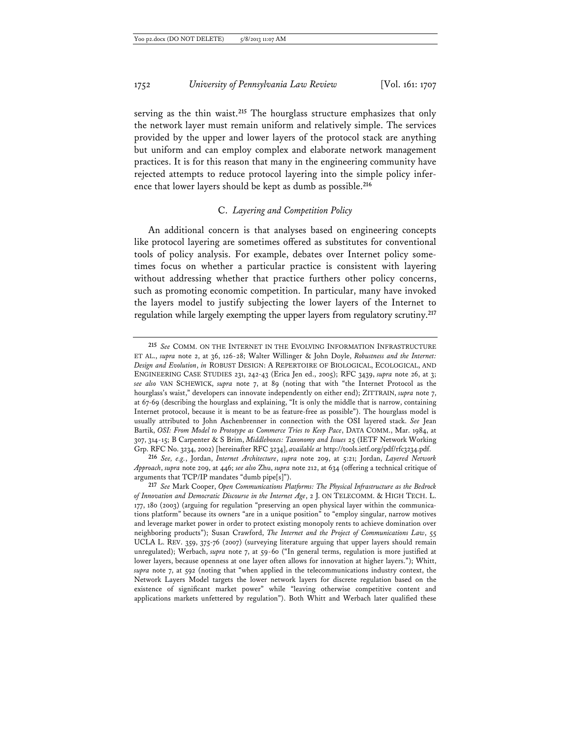serving as the thin waist.**<sup>215</sup>** The hourglass structure emphasizes that only the network layer must remain uniform and relatively simple. The services provided by the upper and lower layers of the protocol stack are anything but uniform and can employ complex and elaborate network management practices. It is for this reason that many in the engineering community have rejected attempts to reduce protocol layering into the simple policy inference that lower layers should be kept as dumb as possible.**<sup>216</sup>**

## C. *Layering and Competition Policy*

An additional concern is that analyses based on engineering concepts like protocol layering are sometimes offered as substitutes for conventional tools of policy analysis. For example, debates over Internet policy sometimes focus on whether a particular practice is consistent with layering without addressing whether that practice furthers other policy concerns, such as promoting economic competition. In particular, many have invoked the layers model to justify subjecting the lower layers of the Internet to regulation while largely exempting the upper layers from regulatory scrutiny.**<sup>217</sup>**

**<sup>215</sup>** *See* COMM. ON THE INTERNET IN THE EVOLVING INFORMATION INFRASTRUCTURE ET AL., *supra* note 2, at 36, 126-28; Walter Willinger & John Doyle, *Robustness and the Internet: Design and Evolution*, *in* ROBUST DESIGN: A REPERTOIRE OF BIOLOGICAL, ECOLOGICAL, AND ENGINEERING CASE STUDIES 231, 242-43 (Erica Jen ed., 2005); RFC 3439, *supra* note 26, at 3; *see also* VAN SCHEWICK, *supra* note 7, at 89 (noting that with "the Internet Protocol as the hourglass's waist," developers can innovate independently on either end); ZITTRAIN, *supra* note 7, at 67-69 (describing the hourglass and explaining, "It is only the middle that is narrow, containing Internet protocol, because it is meant to be as feature-free as possible"). The hourglass model is usually attributed to John Aschenbrenner in connection with the OSI layered stack. *See* Jean Bartik, *OSI: From Model to Prototype as Commerce Tries to Keep Pace*, DATA COMM., Mar. 1984, at 307, 314-15; B Carpenter & S Brim, *Middleboxes: Taxonomy and Issues* 25 (IETF Network Working Grp. RFC No. 3234, 2002) [hereinafter RFC 3234], *available at* http://tools.ietf.org/pdf/rfc3234.pdf.

**<sup>216</sup>** *See, e.g.*, Jordan, *Internet Architecture*, *supra* note 209, at 5:21; Jordan, *Layered Network Approach*, *supra* note 209, at 446; *see also* Zhu, *supra* note 212, at 634 (offering a technical critique of arguments that TCP/IP mandates "dumb pipe[s]").

**<sup>217</sup>** *See* Mark Cooper, *Open Communications Platforms: The Physical Infrastructure as the Bedrock of Innovation and Democratic Discourse in the Internet Age*, 2 J. ON TELECOMM. & HIGH TECH. L. 177, 180 (2003) (arguing for regulation "preserving an open physical layer within the communications platform" because its owners "are in a unique position" to "employ singular, narrow motives and leverage market power in order to protect existing monopoly rents to achieve domination over neighboring products"); Susan Crawford, *The Internet and the Project of Communications Law*, 55 UCLA L. REV. 359, 375-76 (2007) (surveying literature arguing that upper layers should remain unregulated); Werbach, *supra* note 7, at 59-60 ("In general terms, regulation is more justified at lower layers, because openness at one layer often allows for innovation at higher layers."); Whitt, *supra* note 7, at 592 (noting that "when applied in the telecommunications industry context, the Network Layers Model targets the lower network layers for discrete regulation based on the existence of significant market power" while "leaving otherwise competitive content and applications markets unfettered by regulation"). Both Whitt and Werbach later qualified these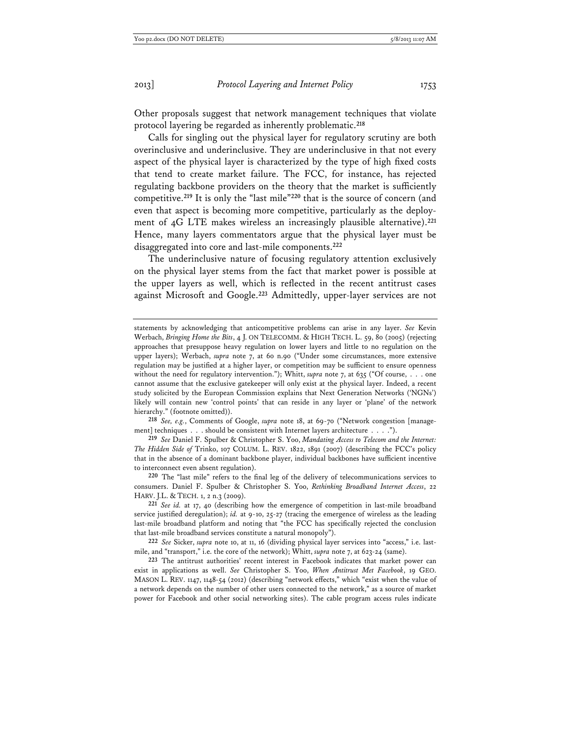Other proposals suggest that network management techniques that violate protocol layering be regarded as inherently problematic.**<sup>218</sup>**

Calls for singling out the physical layer for regulatory scrutiny are both overinclusive and underinclusive. They are underinclusive in that not every aspect of the physical layer is characterized by the type of high fixed costs that tend to create market failure. The FCC, for instance, has rejected regulating backbone providers on the theory that the market is sufficiently competitive.**<sup>219</sup>** It is only the "last mile"**<sup>220</sup>** that is the source of concern (and even that aspect is becoming more competitive, particularly as the deployment of 4G LTE makes wireless an increasingly plausible alternative).**<sup>221</sup>** Hence, many layers commentators argue that the physical layer must be disaggregated into core and last-mile components.**<sup>222</sup>**

The underinclusive nature of focusing regulatory attention exclusively on the physical layer stems from the fact that market power is possible at the upper layers as well, which is reflected in the recent antitrust cases against Microsoft and Google.**<sup>223</sup>** Admittedly, upper-layer services are not

**218** *See, e.g.*, Comments of Google, *supra* note 18, at 69-70 ("Network congestion [management] techniques . . . should be consistent with Internet layers architecture . . . .").

**219** *See* Daniel F. Spulber & Christopher S. Yoo, *Mandating Access to Telecom and the Internet: The Hidden Side of* Trinko, 107 COLUM. L. REV. 1822, 1891 (2007) (describing the FCC's policy that in the absence of a dominant backbone player, individual backbones have sufficient incentive to interconnect even absent regulation).

**220** The "last mile" refers to the final leg of the delivery of telecommunications services to consumers. Daniel F. Spulber & Christopher S. Yoo, *Rethinking Broadband Internet Access*, 22 HARV. J.L. & TECH. 1, 2 n.3 (2009).

**221** *See id.* at 17, 40 (describing how the emergence of competition in last-mile broadband service justified deregulation); *id.* at 9-10, 25-27 (tracing the emergence of wireless as the leading last-mile broadband platform and noting that "the FCC has specifically rejected the conclusion that last-mile broadband services constitute a natural monopoly").

**222** *See* Sicker, *supra* note 10, at 11, 16 (dividing physical layer services into "access," i.e. lastmile, and "transport," i.e. the core of the network); Whitt, *supra* note 7, at 623-24 (same).

**223** The antitrust authorities' recent interest in Facebook indicates that market power can exist in applications as well. *See* Christopher S. Yoo, *When Antitrust Met Facebook*, 19 GEO. MASON L. REV. 1147, 1148-54 (2012) (describing "network effects," which "exist when the value of a network depends on the number of other users connected to the network," as a source of market power for Facebook and other social networking sites). The cable program access rules indicate

statements by acknowledging that anticompetitive problems can arise in any layer. *See* Kevin Werbach, *Bringing Home the Bits*, 4 J. ON TELECOMM. & HIGH TECH. L. 59, 80 (2005) (rejecting approaches that presuppose heavy regulation on lower layers and little to no regulation on the upper layers); Werbach, *supra* note 7, at 60 n.90 ("Under some circumstances, more extensive regulation may be justified at a higher layer, or competition may be sufficient to ensure openness without the need for regulatory intervention."); Whitt, *supra* note 7, at 635 ("Of course, . . . one cannot assume that the exclusive gatekeeper will only exist at the physical layer. Indeed, a recent study solicited by the European Commission explains that Next Generation Networks ('NGNs') likely will contain new 'control points' that can reside in any layer or 'plane' of the network hierarchy." (footnote omitted)).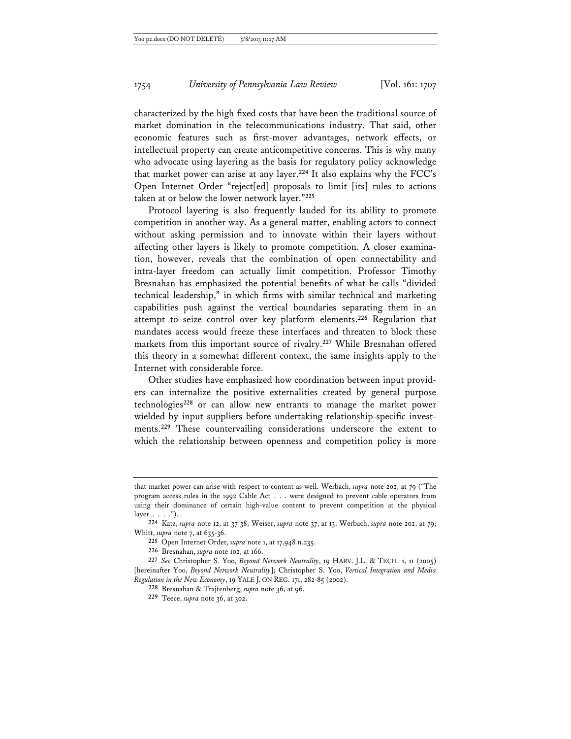characterized by the high fixed costs that have been the traditional source of market domination in the telecommunications industry. That said, other economic features such as first-mover advantages, network effects, or intellectual property can create anticompetitive concerns. This is why many who advocate using layering as the basis for regulatory policy acknowledge that market power can arise at any layer.**<sup>224</sup>** It also explains why the FCC's Open Internet Order "reject[ed] proposals to limit [its] rules to actions taken at or below the lower network layer."**<sup>225</sup>**

Protocol layering is also frequently lauded for its ability to promote competition in another way. As a general matter, enabling actors to connect without asking permission and to innovate within their layers without affecting other layers is likely to promote competition. A closer examination, however, reveals that the combination of open connectability and intra-layer freedom can actually limit competition. Professor Timothy Bresnahan has emphasized the potential benefits of what he calls "divided technical leadership," in which firms with similar technical and marketing capabilities push against the vertical boundaries separating them in an attempt to seize control over key platform elements.**<sup>226</sup>** Regulation that mandates access would freeze these interfaces and threaten to block these markets from this important source of rivalry.**<sup>227</sup>** While Bresnahan offered this theory in a somewhat different context, the same insights apply to the Internet with considerable force.

Other studies have emphasized how coordination between input providers can internalize the positive externalities created by general purpose technologies**<sup>228</sup>** or can allow new entrants to manage the market power wielded by input suppliers before undertaking relationship-specific investments.**<sup>229</sup>** These countervailing considerations underscore the extent to which the relationship between openness and competition policy is more

that market power can arise with respect to content as well. Werbach, *supra* note 202, at 79 ("The program access rules in the 1992 Cable Act . . . were designed to prevent cable operators from using their dominance of certain high-value content to prevent competition at the physical  $layer \ldots$ .").

**<sup>224</sup>** Katz, *supra* note 12, at 37-38; Weiser, *supra* note 37, at 13; Werbach, *supra* note 202, at 79; Whitt, *supra* note 7, at 635-36.

**<sup>225</sup>** Open Internet Order, *supra* note 1, at 17,948 n.235.

**<sup>226</sup>** Bresnahan, *supra* note 102, at 166.

**<sup>227</sup>** *See* Christopher S. Yoo, *Beyond Network Neutrality*, 19 HARV. J.L. & TECH. 1, 11 (2005) [hereinafter Yoo, *Beyond Network Neutrality*]; Christopher S. Yoo, *Vertical Integration and Media Regulation in the New Economy*, 19 YALE J. ON REG. 171, 282-85 (2002).

**<sup>228</sup>** Bresnahan & Trajtenberg, *supra* note 36, at 96.

**<sup>229</sup>** Teece, *supra* note 36, at 302.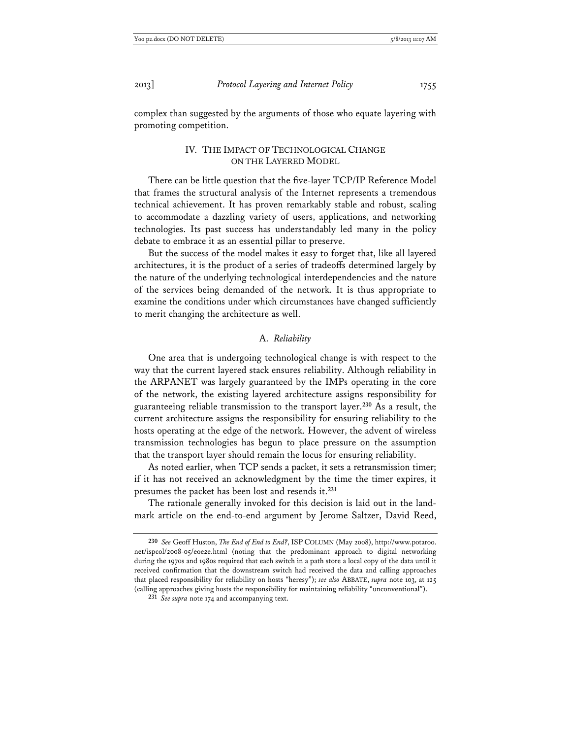complex than suggested by the arguments of those who equate layering with promoting competition.

## IV. THE IMPACT OF TECHNOLOGICAL CHANGE ON THE LAYERED MODEL

There can be little question that the five-layer TCP/IP Reference Model that frames the structural analysis of the Internet represents a tremendous technical achievement. It has proven remarkably stable and robust, scaling to accommodate a dazzling variety of users, applications, and networking technologies. Its past success has understandably led many in the policy debate to embrace it as an essential pillar to preserve.

But the success of the model makes it easy to forget that, like all layered architectures, it is the product of a series of tradeoffs determined largely by the nature of the underlying technological interdependencies and the nature of the services being demanded of the network. It is thus appropriate to examine the conditions under which circumstances have changed sufficiently to merit changing the architecture as well.

## A. *Reliability*

One area that is undergoing technological change is with respect to the way that the current layered stack ensures reliability. Although reliability in the ARPANET was largely guaranteed by the IMPs operating in the core of the network, the existing layered architecture assigns responsibility for guaranteeing reliable transmission to the transport layer.**<sup>230</sup>** As a result, the current architecture assigns the responsibility for ensuring reliability to the hosts operating at the edge of the network. However, the advent of wireless transmission technologies has begun to place pressure on the assumption that the transport layer should remain the locus for ensuring reliability.

As noted earlier, when TCP sends a packet, it sets a retransmission timer; if it has not received an acknowledgment by the time the timer expires, it presumes the packet has been lost and resends it.**<sup>231</sup>**

The rationale generally invoked for this decision is laid out in the landmark article on the end-to-end argument by Jerome Saltzer, David Reed,

**<sup>230</sup>** *See* Geoff Huston, *The End of End to End?*, ISP COLUMN (May 2008), http://www.potaroo. net/ispcol/2008-05/eoe2e.html (noting that the predominant approach to digital networking during the 1970s and 1980s required that each switch in a path store a local copy of the data until it received confirmation that the downstream switch had received the data and calling approaches that placed responsibility for reliability on hosts "heresy"); *see also* ABBATE, *supra* note 103, at 125 (calling approaches giving hosts the responsibility for maintaining reliability "unconventional").

**<sup>231</sup>** *See supra* note 174 and accompanying text.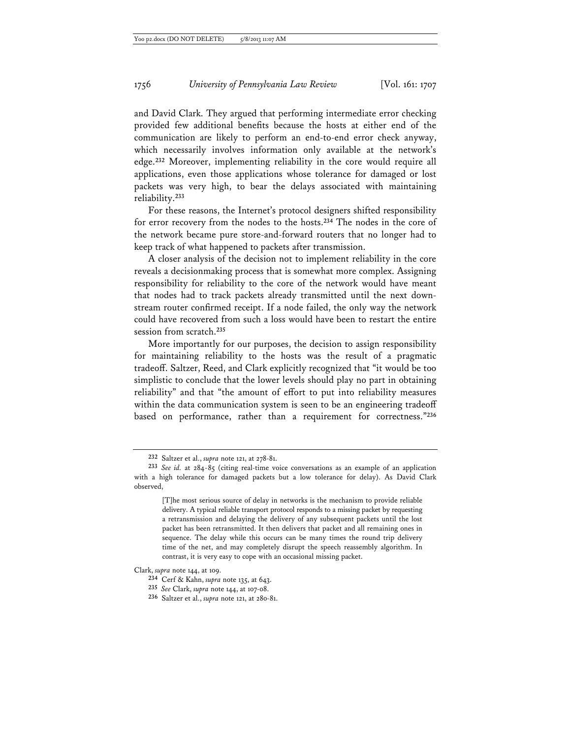and David Clark. They argued that performing intermediate error checking provided few additional benefits because the hosts at either end of the communication are likely to perform an end-to-end error check anyway, which necessarily involves information only available at the network's edge.**<sup>232</sup>** Moreover, implementing reliability in the core would require all applications, even those applications whose tolerance for damaged or lost packets was very high, to bear the delays associated with maintaining reliability.**<sup>233</sup>**

For these reasons, the Internet's protocol designers shifted responsibility for error recovery from the nodes to the hosts.**<sup>234</sup>** The nodes in the core of the network became pure store-and-forward routers that no longer had to keep track of what happened to packets after transmission.

A closer analysis of the decision not to implement reliability in the core reveals a decisionmaking process that is somewhat more complex. Assigning responsibility for reliability to the core of the network would have meant that nodes had to track packets already transmitted until the next downstream router confirmed receipt. If a node failed, the only way the network could have recovered from such a loss would have been to restart the entire session from scratch.**<sup>235</sup>**

More importantly for our purposes, the decision to assign responsibility for maintaining reliability to the hosts was the result of a pragmatic tradeoff. Saltzer, Reed, and Clark explicitly recognized that "it would be too simplistic to conclude that the lower levels should play no part in obtaining reliability" and that "the amount of effort to put into reliability measures within the data communication system is seen to be an engineering tradeoff based on performance, rather than a requirement for correctness."**<sup>236</sup>**

**<sup>232</sup>** Saltzer et al., *supra* note 121, at 278-81.

**<sup>233</sup>** *See id.* at 284-85 (citing real-time voice conversations as an example of an application with a high tolerance for damaged packets but a low tolerance for delay). As David Clark observed,

<sup>[</sup>T]he most serious source of delay in networks is the mechanism to provide reliable delivery. A typical reliable transport protocol responds to a missing packet by requesting a retransmission and delaying the delivery of any subsequent packets until the lost packet has been retransmitted. It then delivers that packet and all remaining ones in sequence. The delay while this occurs can be many times the round trip delivery time of the net, and may completely disrupt the speech reassembly algorithm. In contrast, it is very easy to cope with an occasional missing packet.

Clark, *supra* note 144, at 109.

**<sup>234</sup>** Cerf & Kahn, *supra* note 135, at 643.

**<sup>235</sup>** *See* Clark, *supra* note 144, at 107-08.

**<sup>236</sup>** Saltzer et al., *supra* note 121, at 280-81.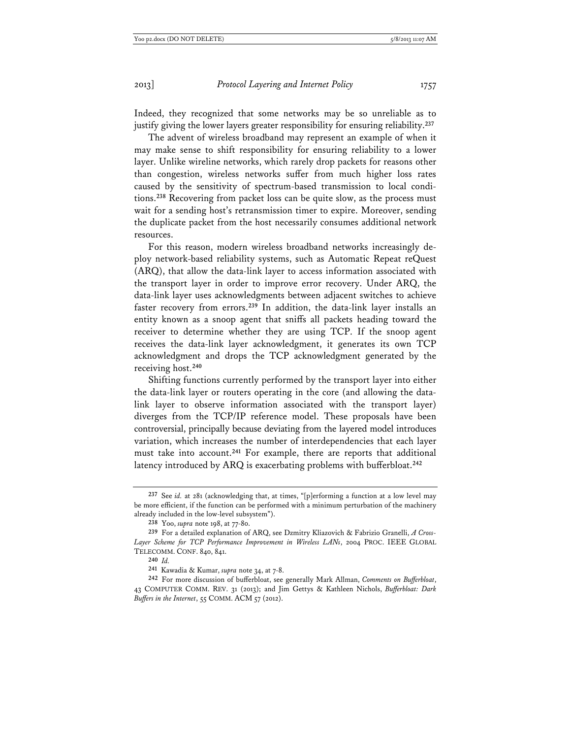Indeed, they recognized that some networks may be so unreliable as to justify giving the lower layers greater responsibility for ensuring reliability.**<sup>237</sup>**

The advent of wireless broadband may represent an example of when it may make sense to shift responsibility for ensuring reliability to a lower layer. Unlike wireline networks, which rarely drop packets for reasons other than congestion, wireless networks suffer from much higher loss rates caused by the sensitivity of spectrum-based transmission to local conditions.**<sup>238</sup>** Recovering from packet loss can be quite slow, as the process must wait for a sending host's retransmission timer to expire. Moreover, sending the duplicate packet from the host necessarily consumes additional network resources.

For this reason, modern wireless broadband networks increasingly deploy network-based reliability systems, such as Automatic Repeat reQuest (ARQ), that allow the data-link layer to access information associated with the transport layer in order to improve error recovery. Under ARQ, the data-link layer uses acknowledgments between adjacent switches to achieve faster recovery from errors.**<sup>239</sup>** In addition, the data-link layer installs an entity known as a snoop agent that sniffs all packets heading toward the receiver to determine whether they are using TCP. If the snoop agent receives the data-link layer acknowledgment, it generates its own TCP acknowledgment and drops the TCP acknowledgment generated by the receiving host.**<sup>240</sup>**

Shifting functions currently performed by the transport layer into either the data-link layer or routers operating in the core (and allowing the datalink layer to observe information associated with the transport layer) diverges from the TCP/IP reference model. These proposals have been controversial, principally because deviating from the layered model introduces variation, which increases the number of interdependencies that each layer must take into account.**<sup>241</sup>** For example, there are reports that additional latency introduced by ARQ is exacerbating problems with bufferbloat.**<sup>242</sup>**

**<sup>237</sup>** See *id.* at 281 (acknowledging that, at times, "[p]erforming a function at a low level may be more efficient, if the function can be performed with a minimum perturbation of the machinery already included in the low-level subsystem").

**<sup>238</sup>** Yoo, *supra* note 198, at 77-80.

**<sup>239</sup>** For a detailed explanation of ARQ, see Dzmitry Kliazovich & Fabrizio Granelli, *A Cross-Layer Scheme for TCP Performance Improvement in Wireless LANs*, 2004 PROC. IEEE GLOBAL TELECOMM. CONF. 840, 841.

**<sup>240</sup>** *Id.* 

**<sup>241</sup>** Kawadia & Kumar, *supra* note 34, at 7-8.

**<sup>242</sup>** For more discussion of bufferbloat, see generally Mark Allman, *Comments on Bufferbloat*, 43 COMPUTER COMM. REV. 31 (2013); and Jim Gettys & Kathleen Nichols, *Bufferbloat: Dark Buffers in the Internet*, 55 COMM. ACM 57 (2012).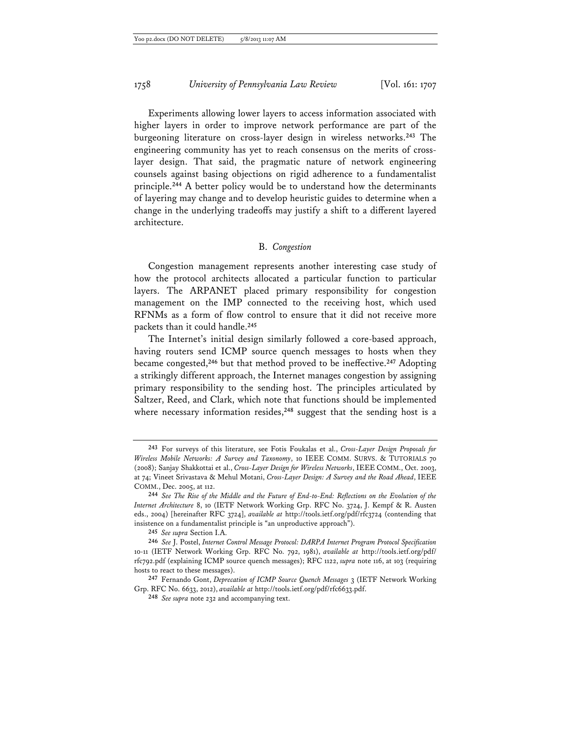Experiments allowing lower layers to access information associated with higher layers in order to improve network performance are part of the burgeoning literature on cross-layer design in wireless networks.**<sup>243</sup>** The engineering community has yet to reach consensus on the merits of crosslayer design. That said, the pragmatic nature of network engineering counsels against basing objections on rigid adherence to a fundamentalist principle.**<sup>244</sup>** A better policy would be to understand how the determinants of layering may change and to develop heuristic guides to determine when a change in the underlying tradeoffs may justify a shift to a different layered architecture.

## B. *Congestion*

Congestion management represents another interesting case study of how the protocol architects allocated a particular function to particular layers. The ARPANET placed primary responsibility for congestion management on the IMP connected to the receiving host, which used RFNMs as a form of flow control to ensure that it did not receive more packets than it could handle.**<sup>245</sup>**

The Internet's initial design similarly followed a core-based approach, having routers send ICMP source quench messages to hosts when they became congested,**<sup>246</sup>** but that method proved to be ineffective.**<sup>247</sup>** Adopting a strikingly different approach, the Internet manages congestion by assigning primary responsibility to the sending host. The principles articulated by Saltzer, Reed, and Clark, which note that functions should be implemented where necessary information resides,<sup>248</sup> suggest that the sending host is a

**245** *See supra* Section I.A.

**<sup>243</sup>** For surveys of this literature, see Fotis Foukalas et al., *Cross-Layer Design Proposals for Wireless Mobile Networks: A Survey and Taxonomy*, 10 IEEE COMM. SURVS. & TUTORIALS 70 (2008); Sanjay Shakkottai et al., *Cross-Layer Design for Wireless Networks*, IEEE COMM., Oct. 2003, at 74; Vineet Srivastava & Mehul Motani, *Cross-Layer Design: A Survey and the Road Ahead*, IEEE COMM., Dec. 2005, at 112.

**<sup>244</sup>** *See The Rise of the Middle and the Future of End-to-End: Reflections on the Evolution of the Internet Architecture* 8, 10 (IETF Network Working Grp. RFC No. 3724, J. Kempf & R. Austen eds., 2004) [hereinafter RFC 3724], *available at* http://tools.ietf.org/pdf/rfc3724 (contending that insistence on a fundamentalist principle is "an unproductive approach").

**<sup>246</sup>** *See* J. Postel, *Internet Control Message Protocol: DARPA Internet Program Protocol Specification* 10-11 (IETF Network Working Grp. RFC No. 792, 1981), *available at* http://tools.ietf.org/pdf/ rfc792.pdf (explaining ICMP source quench messages); RFC 1122, *supra* note 116, at 103 (requiring hosts to react to these messages).

**<sup>247</sup>** Fernando Gont, *Deprecation of ICMP Source Quench Messages* 3 (IETF Network Working Grp. RFC No. 6633, 2012), *available at* http://tools.ietf.org/pdf/rfc6633.pdf.

**<sup>248</sup>** *See supra* note 232 and accompanying text.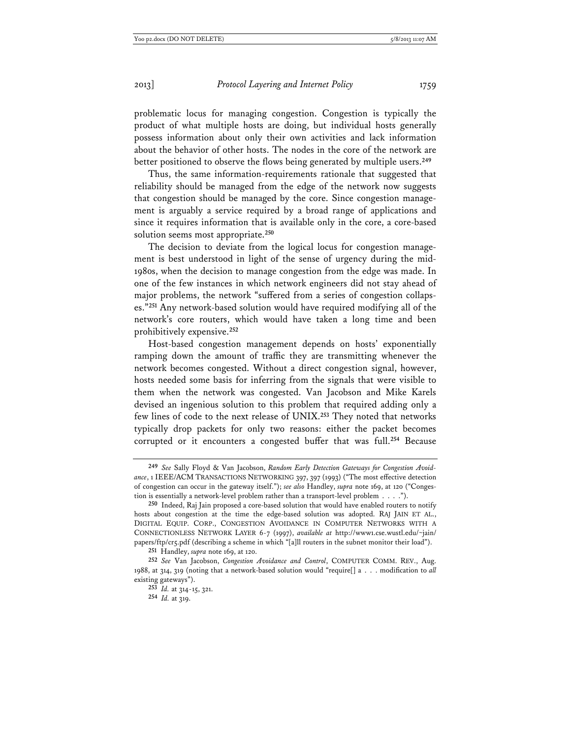problematic locus for managing congestion. Congestion is typically the product of what multiple hosts are doing, but individual hosts generally possess information about only their own activities and lack information about the behavior of other hosts. The nodes in the core of the network are better positioned to observe the flows being generated by multiple users.**<sup>249</sup>**

Thus, the same information-requirements rationale that suggested that reliability should be managed from the edge of the network now suggests that congestion should be managed by the core. Since congestion management is arguably a service required by a broad range of applications and since it requires information that is available only in the core, a core-based solution seems most appropriate.**<sup>250</sup>**

The decision to deviate from the logical locus for congestion management is best understood in light of the sense of urgency during the mid-1980s, when the decision to manage congestion from the edge was made. In one of the few instances in which network engineers did not stay ahead of major problems, the network "suffered from a series of congestion collapses."**<sup>251</sup>** Any network-based solution would have required modifying all of the network's core routers, which would have taken a long time and been prohibitively expensive.**<sup>252</sup>**

Host-based congestion management depends on hosts' exponentially ramping down the amount of traffic they are transmitting whenever the network becomes congested. Without a direct congestion signal, however, hosts needed some basis for inferring from the signals that were visible to them when the network was congested. Van Jacobson and Mike Karels devised an ingenious solution to this problem that required adding only a few lines of code to the next release of UNIX.**<sup>253</sup>** They noted that networks typically drop packets for only two reasons: either the packet becomes corrupted or it encounters a congested buffer that was full.**<sup>254</sup>** Because

**<sup>249</sup>** *See* Sally Floyd & Van Jacobson, *Random Early Detection Gateways for Congestion Avoidance*, 1 IEEE/ACM TRANSACTIONS NETWORKING 397, 397 (1993) ("The most effective detection of congestion can occur in the gateway itself."); *see also* Handley, *supra* note 169, at 120 ("Congestion is essentially a network-level problem rather than a transport-level problem . . . .").

**<sup>250</sup>** Indeed, Raj Jain proposed a core-based solution that would have enabled routers to notify hosts about congestion at the time the edge-based solution was adopted. RAJ JAIN ET AL., DIGITAL EQUIP. CORP., CONGESTION AVOIDANCE IN COMPUTER NETWORKS WITH A CONNECTIONLESS NETWORK LAYER 6-7 (1997), *available at* http://www1.cse.wustl.edu/~jain/ papers/ftp/cr5.pdf (describing a scheme in which "[a]ll routers in the subnet monitor their load").

**<sup>251</sup>** Handley, *supra* note 169, at 120.

**<sup>252</sup>** *See* Van Jacobson, *Congestion Avoidance and Control*, COMPUTER COMM. REV., Aug. 1988, at 314, 319 (noting that a network-based solution would "require[] a . . . modification to *all* existing gateways").

**<sup>253</sup>** *Id.* at 314-15, 321.

**<sup>254</sup>** *Id.* at 319.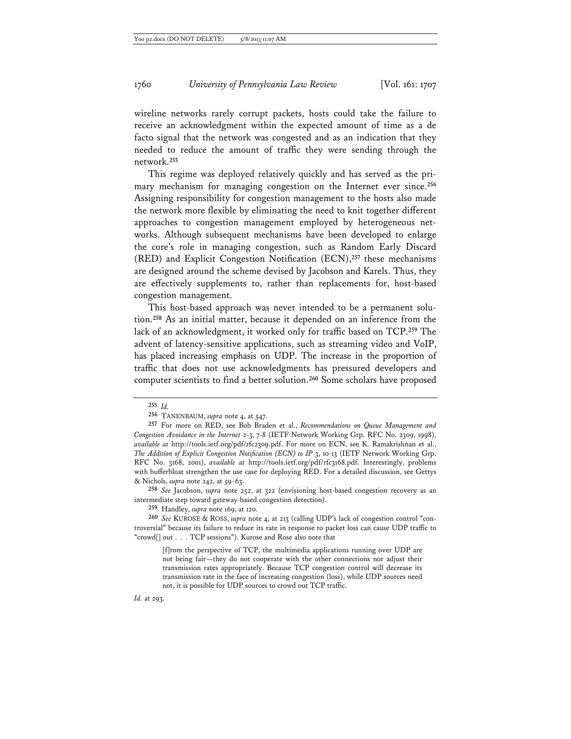wireline networks rarely corrupt packets, hosts could take the failure to receive an acknowledgment within the expected amount of time as a de facto signal that the network was congested and as an indication that they needed to reduce the amount of traffic they were sending through the network.**<sup>255</sup>**

This regime was deployed relatively quickly and has served as the primary mechanism for managing congestion on the Internet ever since.**<sup>256</sup>** Assigning responsibility for congestion management to the hosts also made the network more flexible by eliminating the need to knit together different approaches to congestion management employed by heterogeneous networks. Although subsequent mechanisms have been developed to enlarge the core's role in managing congestion, such as Random Early Discard (RED) and Explicit Congestion Notification (ECN),**<sup>257</sup>** these mechanisms are designed around the scheme devised by Jacobson and Karels. Thus, they are effectively supplements to, rather than replacements for, host-based congestion management.

This host-based approach was never intended to be a permanent solution.**<sup>258</sup>** As an initial matter, because it depended on an inference from the lack of an acknowledgment, it worked only for traffic based on TCP.**<sup>259</sup>** The advent of latency-sensitive applications, such as streaming video and VoIP, has placed increasing emphasis on UDP. The increase in the proportion of traffic that does not use acknowledgments has pressured developers and computer scientists to find a better solution.**<sup>260</sup>** Some scholars have proposed

**258** *See* Jacobson, *supra* note 252, at 322 (envisioning host-based congestion recovery as an intermediate step toward gateway-based congestion detection).

*Id.* at 293.

**<sup>255</sup>** *Id.* 

**<sup>256</sup>** TANENBAUM, *supra* note 4, at 547.

**<sup>257</sup>** For more on RED, see Bob Braden et al., *Recommendations on Queue Management and Congestion Avoidance in the Internet* 2-3, 7-8 (IETF Network Working Grp. RFC No. 2309, 1998), *available at* http://tools.ietf.org/pdf/rfc2309.pdf. For more on ECN, see K. Ramakrishnan et al., *The Addition of Explicit Congestion Notification (ECN) to IP* 3, 10-13 (IETF Network Working Grp. RFC No. 3168, 2001), *available at* http://tools.ietf.org/pdf/rfc3168.pdf. Interestingly, problems with bufferbloat strengthen the use case for deploying RED. For a detailed discussion, see Gettys & Nichols, *supra* note 242, at 59-63.

**<sup>259</sup>** Handley, *supra* note 169, at 120.

**<sup>260</sup>** *See* KUROSE & ROSS, *supra* note 4, at 213 (calling UDP's lack of congestion control "controversial" because its failure to reduce its rate in response to packet loss can cause UDP traffic to "crowd[] out . . . TCP sessions"). Kurose and Rose also note that

<sup>[</sup>f]rom the perspective of TCP, the multimedia applications running over UDP are not being fair—they do not cooperate with the other connections nor adjust their transmission rates appropriately. Because TCP congestion control will decrease its transmission rate in the face of increasing congestion (loss), while UDP sources need not, it is possible for UDP sources to crowd out TCP traffic.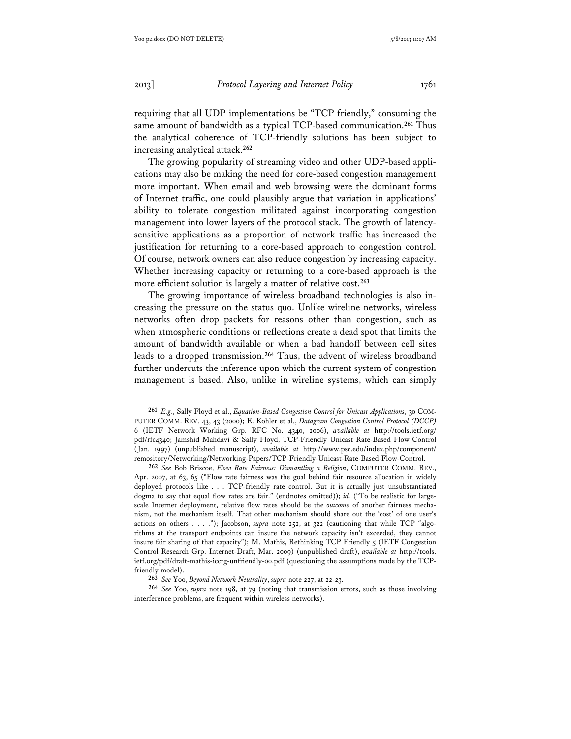requiring that all UDP implementations be "TCP friendly," consuming the same amount of bandwidth as a typical TCP-based communication.**<sup>261</sup>** Thus the analytical coherence of TCP-friendly solutions has been subject to increasing analytical attack.**<sup>262</sup>**

The growing popularity of streaming video and other UDP-based applications may also be making the need for core-based congestion management more important. When email and web browsing were the dominant forms of Internet traffic, one could plausibly argue that variation in applications' ability to tolerate congestion militated against incorporating congestion management into lower layers of the protocol stack. The growth of latencysensitive applications as a proportion of network traffic has increased the justification for returning to a core-based approach to congestion control. Of course, network owners can also reduce congestion by increasing capacity. Whether increasing capacity or returning to a core-based approach is the more efficient solution is largely a matter of relative cost.**<sup>263</sup>**

The growing importance of wireless broadband technologies is also increasing the pressure on the status quo. Unlike wireline networks, wireless networks often drop packets for reasons other than congestion, such as when atmospheric conditions or reflections create a dead spot that limits the amount of bandwidth available or when a bad handoff between cell sites leads to a dropped transmission.**<sup>264</sup>** Thus, the advent of wireless broadband further undercuts the inference upon which the current system of congestion management is based. Also, unlike in wireline systems, which can simply

**<sup>261</sup>** *E.g.*, Sally Floyd et al., *Equation-Based Congestion Control for Unicast Applications*, 30 COM-PUTER COMM. REV. 43, 43 (2000); E. Kohler et al., *Datagram Congestion Control Protocol (DCCP)* 6 (IETF Network Working Grp. RFC No. 4340, 2006), *available at* http://tools.ietf.org/ pdf/rfc4340; Jamshid Mahdavi & Sally Floyd, TCP-Friendly Unicast Rate-Based Flow Control (Jan. 1997) (unpublished manuscript), *available at* http://www.psc.edu/index.php/component/ remository/Networking/Networking-Papers/TCP-Friendly-Unicast-Rate-Based-Flow-Control.

**<sup>262</sup>** *See* Bob Briscoe, *Flow Rate Fairness: Dismantling a Religion*, COMPUTER COMM. REV., Apr. 2007, at 63, 65 ("Flow rate fairness was the goal behind fair resource allocation in widely deployed protocols like . . . TCP-friendly rate control. But it is actually just unsubstantiated dogma to say that equal flow rates are fair." (endnotes omitted)); *id.* ("To be realistic for largescale Internet deployment, relative flow rates should be the *outcome* of another fairness mechanism, not the mechanism itself. That other mechanism should share out the 'cost' of one user's actions on others . . . ."); Jacobson, *supra* note 252, at 322 (cautioning that while TCP "algorithms at the transport endpoints can insure the network capacity isn't exceeded, they cannot insure fair sharing of that capacity"); M. Mathis, Rethinking TCP Friendly 5 (IETF Congestion Control Research Grp. Internet-Draft, Mar. 2009) (unpublished draft), *available at* http://tools. ietf.org/pdf/draft-mathis-iccrg-unfriendly-00.pdf (questioning the assumptions made by the TCPfriendly model).

**<sup>263</sup>** *See* Yoo, *Beyond Network Neutrality*, *supra* note 227, at 22-23.

**<sup>264</sup>** *See* Yoo, *supra* note 198, at 79 (noting that transmission errors, such as those involving interference problems, are frequent within wireless networks).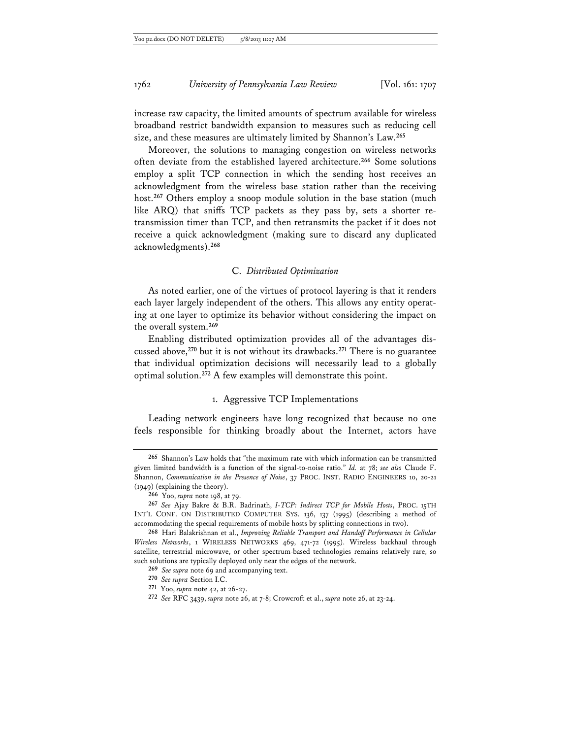increase raw capacity, the limited amounts of spectrum available for wireless broadband restrict bandwidth expansion to measures such as reducing cell size, and these measures are ultimately limited by Shannon's Law.**<sup>265</sup>**

Moreover, the solutions to managing congestion on wireless networks often deviate from the established layered architecture.**<sup>266</sup>** Some solutions employ a split TCP connection in which the sending host receives an acknowledgment from the wireless base station rather than the receiving host.**<sup>267</sup>** Others employ a snoop module solution in the base station (much like ARQ) that sniffs TCP packets as they pass by, sets a shorter retransmission timer than TCP, and then retransmits the packet if it does not receive a quick acknowledgment (making sure to discard any duplicated acknowledgments).**<sup>268</sup>**

#### C. *Distributed Optimization*

As noted earlier, one of the virtues of protocol layering is that it renders each layer largely independent of the others. This allows any entity operating at one layer to optimize its behavior without considering the impact on the overall system.**<sup>269</sup>**

Enabling distributed optimization provides all of the advantages discussed above,**<sup>270</sup>** but it is not without its drawbacks.**<sup>271</sup>** There is no guarantee that individual optimization decisions will necessarily lead to a globally optimal solution.**<sup>272</sup>** A few examples will demonstrate this point.

## 1. Aggressive TCP Implementations

Leading network engineers have long recognized that because no one feels responsible for thinking broadly about the Internet, actors have

**<sup>265</sup>** Shannon's Law holds that "the maximum rate with which information can be transmitted given limited bandwidth is a function of the signal-to-noise ratio." *Id.* at 78; *see also* Claude F. Shannon, *Communication in the Presence of Noise*, 37 PROC. INST. RADIO ENGINEERS 10, 20-21 (1949) (explaining the theory).

**<sup>266</sup>** Yoo, *supra* note 198, at 79.

**<sup>267</sup>** *See* Ajay Bakre & B.R. Badrinath, *I-TCP: Indirect TCP for Mobile Hosts*, PROC. 15TH INT'L CONF. ON DISTRIBUTED COMPUTER SYS. 136, 137 (1995) (describing a method of accommodating the special requirements of mobile hosts by splitting connections in two).

**<sup>268</sup>** Hari Balakrishnan et al., *Improving Reliable Transport and Handoff Performance in Cellular Wireless Networks*, 1 WIRELESS NETWORKS 469, 471-72 (1995). Wireless backhaul through satellite, terrestrial microwave, or other spectrum-based technologies remains relatively rare, so such solutions are typically deployed only near the edges of the network.

**<sup>269</sup>** *See supra* note 69 and accompanying text.

**<sup>270</sup>** *See supra* Section I.C.

**<sup>271</sup>** Yoo, *supra* note 42, at 26-27.

**<sup>272</sup>** *See* RFC 3439, *supra* note 26, at 7-8; Crowcroft et al., *supra* note 26, at 23-24.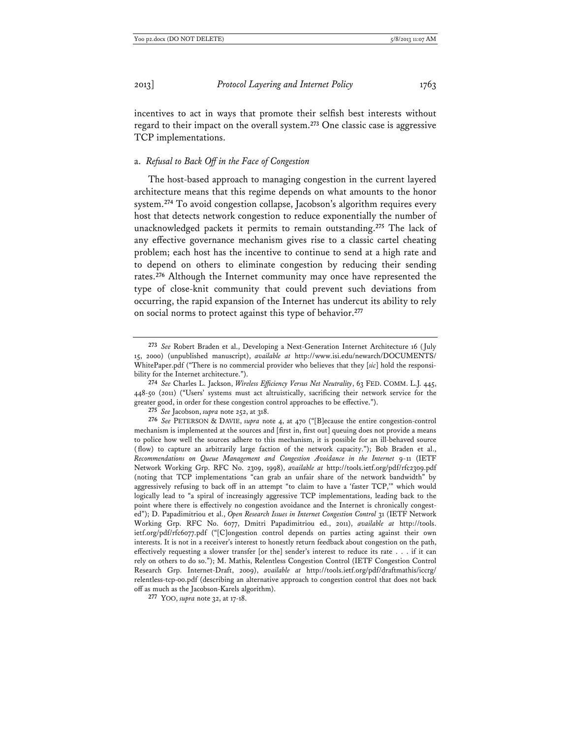incentives to act in ways that promote their selfish best interests without regard to their impact on the overall system.**<sup>273</sup>** One classic case is aggressive TCP implementations.

#### a. *Refusal to Back Off in the Face of Congestion*

The host-based approach to managing congestion in the current layered architecture means that this regime depends on what amounts to the honor system.**<sup>274</sup>** To avoid congestion collapse, Jacobson's algorithm requires every host that detects network congestion to reduce exponentially the number of unacknowledged packets it permits to remain outstanding.**<sup>275</sup>** The lack of any effective governance mechanism gives rise to a classic cartel cheating problem; each host has the incentive to continue to send at a high rate and to depend on others to eliminate congestion by reducing their sending rates.**<sup>276</sup>** Although the Internet community may once have represented the type of close-knit community that could prevent such deviations from occurring, the rapid expansion of the Internet has undercut its ability to rely on social norms to protect against this type of behavior.**<sup>277</sup>**

**<sup>273</sup>** *See* Robert Braden et al., Developing a Next-Generation Internet Architecture 16 (July 15, 2000) (unpublished manuscript), *available at* http://www.isi.edu/newarch/DOCUMENTS/ WhitePaper.pdf ("There is no commercial provider who believes that they [*sic*] hold the responsibility for the Internet architecture.").

**<sup>274</sup>** *See* Charles L. Jackson, *Wireless Efficiency Versus Net Neutrality*, 63 FED. COMM. L.J. 445, 448-50 (2011) ("Users' systems must act altruistically, sacrificing their network service for the greater good, in order for these congestion control approaches to be effective.").

**<sup>275</sup>** *See* Jacobson, *supra* note 252, at 318.

**<sup>276</sup>** *See* PETERSON & DAVIE, *supra* note 4, at 470 ("[B]ecause the entire congestion-control mechanism is implemented at the sources and [first in, first out] queuing does not provide a means to police how well the sources adhere to this mechanism, it is possible for an ill-behaved source (flow) to capture an arbitrarily large faction of the network capacity."); Bob Braden et al., *Recommendations on Queue Management and Congestion Avoidance in the Internet* 9-11 (IETF Network Working Grp. RFC No. 2309, 1998), *available at* http://tools.ietf.org/pdf/rfc2309.pdf (noting that TCP implementations "can grab an unfair share of the network bandwidth" by aggressively refusing to back off in an attempt "to claim to have a 'faster TCP,'" which would logically lead to "a spiral of increasingly aggressive TCP implementations, leading back to the point where there is effectively no congestion avoidance and the Internet is chronically congested"); D. Papadimitriou et al., *Open Research Issues in Internet Congestion Control* 31 (IETF Network Working Grp. RFC No. 6077, Dmitri Papadimitriou ed., 2011), *available at* http://tools. ietf.org/pdf/rfc6077.pdf ("[C]ongestion control depends on parties acting against their own interests. It is not in a receiver's interest to honestly return feedback about congestion on the path, effectively requesting a slower transfer [or the] sender's interest to reduce its rate . . . if it can rely on others to do so."); M. Mathis, Relentless Congestion Control (IETF Congestion Control Research Grp. Internet-Draft, 2009), *available at* http://tools.ietf.org/pdf/draftmathis/iccrg/ relentless-tcp-00.pdf (describing an alternative approach to congestion control that does not back off as much as the Jacobson-Karels algorithm).

**<sup>277</sup>** YOO, *supra* note 32, at 17-18.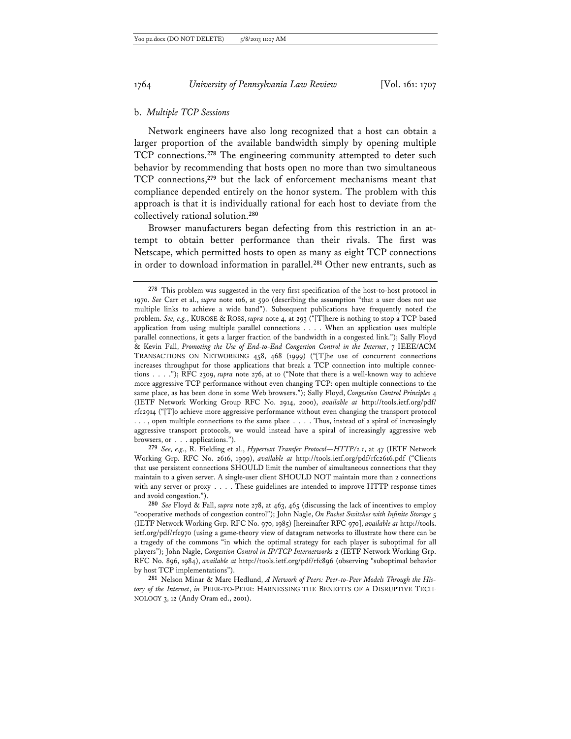## b. *Multiple TCP Sessions*

Network engineers have also long recognized that a host can obtain a larger proportion of the available bandwidth simply by opening multiple TCP connections.**<sup>278</sup>** The engineering community attempted to deter such behavior by recommending that hosts open no more than two simultaneous TCP connections,**<sup>279</sup>** but the lack of enforcement mechanisms meant that compliance depended entirely on the honor system. The problem with this approach is that it is individually rational for each host to deviate from the collectively rational solution.**<sup>280</sup>**

Browser manufacturers began defecting from this restriction in an attempt to obtain better performance than their rivals. The first was Netscape, which permitted hosts to open as many as eight TCP connections in order to download information in parallel.**<sup>281</sup>** Other new entrants, such as

**279** *See, e.g.*, R. Fielding et al., *Hypertext Transfer Protocol—HTTP/1.1*, at 47 (IETF Network Working Grp. RFC No. 2616, 1999), *available at* http://tools.ietf.org/pdf/rfc2616.pdf ("Clients that use persistent connections SHOULD limit the number of simultaneous connections that they maintain to a given server. A single-user client SHOULD NOT maintain more than 2 connections with any server or proxy . . . . These guidelines are intended to improve HTTP response times and avoid congestion.").

**281** Nelson Minar & Marc Hedlund, *A Network of Peers: Peer-to-Peer Models Through the History of the Internet*, *in* PEER-TO-PEER: HARNESSING THE BENEFITS OF A DISRUPTIVE TECH-NOLOGY 3, 12 (Andy Oram ed., 2001).

**<sup>278</sup>** This problem was suggested in the very first specification of the host-to-host protocol in 1970. *See* Carr et al., *supra* note 106, at 590 (describing the assumption "that a user does not use multiple links to achieve a wide band"). Subsequent publications have frequently noted the problem. *See, e.g.*, KUROSE & ROSS, *supra* note 4, at 293 ("[T]here is nothing to stop a TCP-based application from using multiple parallel connections . . . . When an application uses multiple parallel connections, it gets a larger fraction of the bandwidth in a congested link."); Sally Floyd & Kevin Fall, *Promoting the Use of End-to-End Congestion Control in the Internet*, 7 IEEE/ACM TRANSACTIONS ON NETWORKING 458, 468 (1999) ("[T]he use of concurrent connections increases throughput for those applications that break a TCP connection into multiple connections . . . ."); RFC 2309, *supra* note 276, at 10 ("Note that there is a well-known way to achieve more aggressive TCP performance without even changing TCP: open multiple connections to the same place, as has been done in some Web browsers."); Sally Floyd, *Congestion Control Principles* 4 (IETF Network Working Group RFC No. 2914, 2000), *available at* http://tools.ietf.org/pdf/ rfc2914 ("[T]o achieve more aggressive performance without even changing the transport protocol . . . , open multiple connections to the same place . . . . Thus, instead of a spiral of increasingly aggressive transport protocols, we would instead have a spiral of increasingly aggressive web browsers, or . . . applications.").

**<sup>280</sup>** *See* Floyd & Fall, *supra* note 278, at 463, 465 (discussing the lack of incentives to employ "cooperative methods of congestion control"); John Nagle, *On Packet Switches with Infinite Storage* 5 (IETF Network Working Grp. RFC No. 970, 1985) [hereinafter RFC 970], *available at* http://tools. ietf.org/pdf/rfc970 (using a game-theory view of datagram networks to illustrate how there can be a tragedy of the commons "in which the optimal strategy for each player is suboptimal for all players"); John Nagle, *Congestion Control in IP/TCP Internetworks* 2 (IETF Network Working Grp. RFC No. 896, 1984), *available at* http://tools.ietf.org/pdf/rfc896 (observing "suboptimal behavior by host TCP implementations").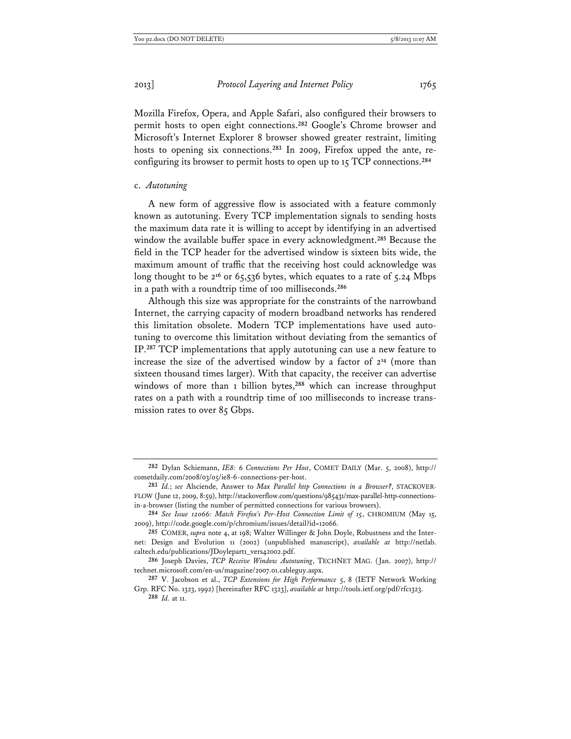Mozilla Firefox, Opera, and Apple Safari, also configured their browsers to permit hosts to open eight connections.**<sup>282</sup>** Google's Chrome browser and Microsoft's Internet Explorer 8 browser showed greater restraint, limiting hosts to opening six connections.**283** In 2009, Firefox upped the ante, reconfiguring its browser to permit hosts to open up to 15 TCP connections.**<sup>284</sup>**

#### c. *Autotuning*

A new form of aggressive flow is associated with a feature commonly known as autotuning. Every TCP implementation signals to sending hosts the maximum data rate it is willing to accept by identifying in an advertised window the available buffer space in every acknowledgment.**<sup>285</sup>** Because the field in the TCP header for the advertised window is sixteen bits wide, the maximum amount of traffic that the receiving host could acknowledge was long thought to be 2**<sup>16</sup>** or 65,536 bytes, which equates to a rate of 5.24 Mbps in a path with a roundtrip time of 100 milliseconds.**<sup>286</sup>**

Although this size was appropriate for the constraints of the narrowband Internet, the carrying capacity of modern broadband networks has rendered this limitation obsolete. Modern TCP implementations have used autotuning to overcome this limitation without deviating from the semantics of IP.**<sup>287</sup>** TCP implementations that apply autotuning can use a new feature to increase the size of the advertised window by a factor of 2**<sup>14</sup>** (more than sixteen thousand times larger). With that capacity, the receiver can advertise windows of more than 1 billion bytes,<sup>288</sup> which can increase throughput rates on a path with a roundtrip time of 100 milliseconds to increase transmission rates to over 85 Gbps.

**<sup>282</sup>** Dylan Schiemann, *IE8: 6 Connections Per Host*, COMET DAILY (Mar. 5, 2008), http:// cometdaily.com/2008/03/05/ie8-6-connections-per-host.

**<sup>283</sup>** *Id.*; *see* Alsciende, Answer to *Max Parallel http Connections in a Browser?*, STACKOVER-FLOW (June 12, 2009, 8:59), http://stackoverflow.com/questions/985431/max-parallel-http-connectionsin-a-browser (listing the number of permitted connections for various browsers).

**<sup>284</sup>** *See Issue 12066: Match Firefox's Per-Host Connection Limit of 15*, CHROMIUM (May 15, 2009), http://code.google.com/p/chromium/issues/detail?id=12066.

**<sup>285</sup>** COMER, *supra* note 4, at 198; Walter Willinger & John Doyle, Robustness and the Internet: Design and Evolution 11 (2002) (unpublished manuscript), *available at* http://netlab. caltech.edu/publications/JDoylepart1\_vers42002.pdf.

**<sup>286</sup>** Joseph Davies, *TCP Receive Window Autotuning*, TECHNET MAG. (Jan. 2007), http:// technet.microsoft.com/en-us/magazine/2007.01.cableguy.aspx.

**<sup>287</sup>** V. Jacobson et al., *TCP Extensions for High Performance* 5, 8 (IETF Network Working Grp. RFC No. 1323, 1992) [hereinafter RFC 1323], *available at* http://tools.ietf.org/pdf/rfc1323. **288** *Id.* at 11.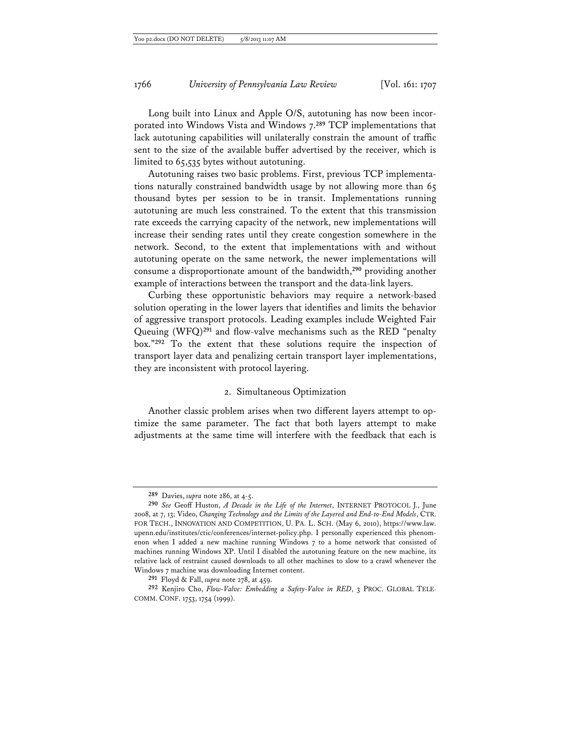Long built into Linux and Apple O/S, autotuning has now been incorporated into Windows Vista and Windows 7.**<sup>289</sup>** TCP implementations that lack autotuning capabilities will unilaterally constrain the amount of traffic sent to the size of the available buffer advertised by the receiver, which is limited to 65,535 bytes without autotuning.

Autotuning raises two basic problems. First, previous TCP implementations naturally constrained bandwidth usage by not allowing more than 65 thousand bytes per session to be in transit. Implementations running autotuning are much less constrained. To the extent that this transmission rate exceeds the carrying capacity of the network, new implementations will increase their sending rates until they create congestion somewhere in the network. Second, to the extent that implementations with and without autotuning operate on the same network, the newer implementations will consume a disproportionate amount of the bandwidth,**<sup>290</sup>** providing another example of interactions between the transport and the data-link layers.

Curbing these opportunistic behaviors may require a network-based solution operating in the lower layers that identifies and limits the behavior of aggressive transport protocols. Leading examples include Weighted Fair Queuing (WFQ)**<sup>291</sup>** and flow-valve mechanisms such as the RED "penalty box."**<sup>292</sup>** To the extent that these solutions require the inspection of transport layer data and penalizing certain transport layer implementations, they are inconsistent with protocol layering.

#### 2. Simultaneous Optimization

Another classic problem arises when two different layers attempt to optimize the same parameter. The fact that both layers attempt to make adjustments at the same time will interfere with the feedback that each is

**<sup>289</sup>** Davies, *supra* note 286, at 4-5.

**<sup>290</sup>** *See* Geoff Huston, *A Decade in the Life of the Internet*, INTERNET PROTOCOL J., June 2008, at 7, 13; Video, *Changing Technology and the Limits of the Layered and End-to-End Models*, CTR. FOR TECH., INNOVATION AND COMPETITION, U. PA. L. SCH. (May 6, 2010), https://www.law. upenn.edu/institutes/ctic/conferences/internet-policy.php. I personally experienced this phenomenon when I added a new machine running Windows 7 to a home network that consisted of machines running Windows XP. Until I disabled the autotuning feature on the new machine, its relative lack of restraint caused downloads to all other machines to slow to a crawl whenever the Windows 7 machine was downloading Internet content.

**<sup>291</sup>** Floyd & Fall, *supra* note 278, at 459.

**<sup>292</sup>** Kenjiro Cho, *Flow-Valve: Embedding a Safety-Valve in RED*, 3 PROC. GLOBAL TELE-COMM. CONF. 1753, 1754 (1999).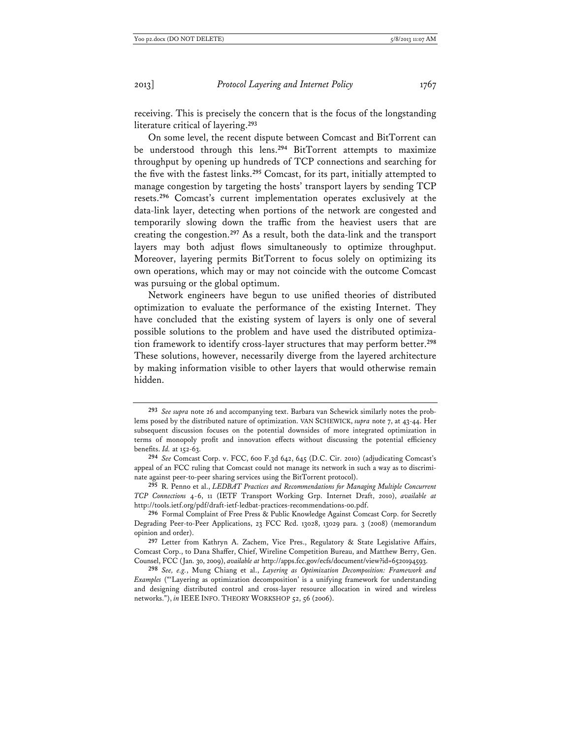receiving. This is precisely the concern that is the focus of the longstanding literature critical of layering.**<sup>293</sup>**

On some level, the recent dispute between Comcast and BitTorrent can be understood through this lens.**<sup>294</sup>** BitTorrent attempts to maximize throughput by opening up hundreds of TCP connections and searching for the five with the fastest links.**<sup>295</sup>** Comcast, for its part, initially attempted to manage congestion by targeting the hosts' transport layers by sending TCP resets.**<sup>296</sup>** Comcast's current implementation operates exclusively at the data-link layer, detecting when portions of the network are congested and temporarily slowing down the traffic from the heaviest users that are creating the congestion.**<sup>297</sup>** As a result, both the data-link and the transport layers may both adjust flows simultaneously to optimize throughput. Moreover, layering permits BitTorrent to focus solely on optimizing its own operations, which may or may not coincide with the outcome Comcast was pursuing or the global optimum.

Network engineers have begun to use unified theories of distributed optimization to evaluate the performance of the existing Internet. They have concluded that the existing system of layers is only one of several possible solutions to the problem and have used the distributed optimization framework to identify cross-layer structures that may perform better.**<sup>298</sup>** These solutions, however, necessarily diverge from the layered architecture by making information visible to other layers that would otherwise remain hidden.

**295** R. Penno et al., *LEDBAT Practices and Recommendations for Managing Multiple Concurrent TCP Connections* 4-6, 11 (IETF Transport Working Grp. Internet Draft, 2010), *available at*  http://tools.ietf.org/pdf/draft-ietf-ledbat-practices-recommendations-00.pdf.

**<sup>293</sup>** *See supra* note 26 and accompanying text. Barbara van Schewick similarly notes the problems posed by the distributed nature of optimization. VAN SCHEWICK, *supra* note 7, at 43-44. Her subsequent discussion focuses on the potential downsides of more integrated optimization in terms of monopoly profit and innovation effects without discussing the potential efficiency benefits. *Id.* at 152-63.

**<sup>294</sup>** *See* Comcast Corp. v. FCC, 600 F.3d 642, 645 (D.C. Cir. 2010) (adjudicating Comcast's appeal of an FCC ruling that Comcast could not manage its network in such a way as to discriminate against peer-to-peer sharing services using the BitTorrent protocol).

**<sup>296</sup>** Formal Complaint of Free Press & Public Knowledge Against Comcast Corp. for Secretly Degrading Peer-to-Peer Applications, 23 FCC Rcd. 13028, 13029 para. 3 (2008) (memorandum opinion and order).

**<sup>297</sup>** Letter from Kathryn A. Zachem, Vice Pres., Regulatory & State Legislative Affairs, Comcast Corp., to Dana Shaffer, Chief, Wireline Competition Bureau, and Matthew Berry, Gen. Counsel, FCC (Jan. 30, 2009), *available at* http://apps.fcc.gov/ecfs/document/view?id=6520194593.

**<sup>298</sup>** *See, e.g.*, Mung Chiang et al., *Layering as Optimization Decomposition: Framework and Examples* ("'Layering as optimization decomposition' is a unifying framework for understanding and designing distributed control and cross-layer resource allocation in wired and wireless networks."), *in* IEEE INFO. THEORY WORKSHOP 52, 56 (2006).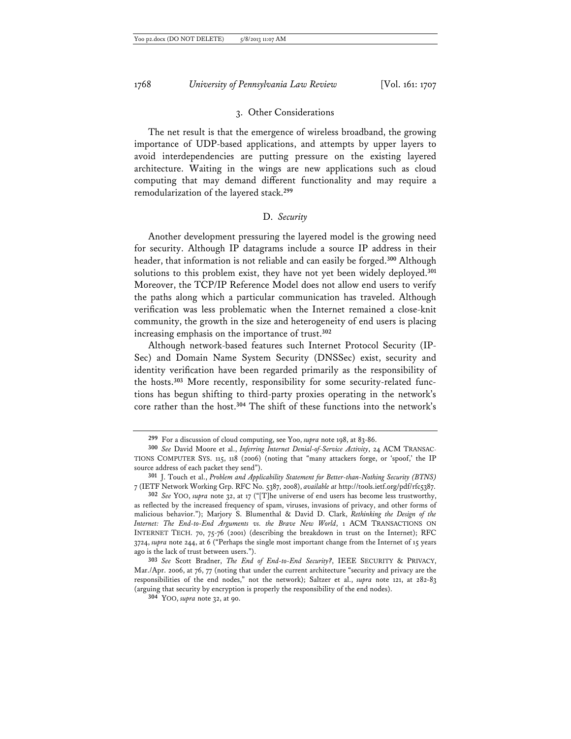#### 3. Other Considerations

The net result is that the emergence of wireless broadband, the growing importance of UDP-based applications, and attempts by upper layers to avoid interdependencies are putting pressure on the existing layered architecture. Waiting in the wings are new applications such as cloud computing that may demand different functionality and may require a remodularization of the layered stack.**<sup>299</sup>**

## D. *Security*

Another development pressuring the layered model is the growing need for security. Although IP datagrams include a source IP address in their header, that information is not reliable and can easily be forged.**<sup>300</sup>** Although solutions to this problem exist, they have not yet been widely deployed.**<sup>301</sup>** Moreover, the TCP/IP Reference Model does not allow end users to verify the paths along which a particular communication has traveled. Although verification was less problematic when the Internet remained a close-knit community, the growth in the size and heterogeneity of end users is placing increasing emphasis on the importance of trust.**<sup>302</sup>**

Although network-based features such Internet Protocol Security (IP-Sec) and Domain Name System Security (DNSSec) exist, security and identity verification have been regarded primarily as the responsibility of the hosts.**303** More recently, responsibility for some security-related functions has begun shifting to third-party proxies operating in the network's core rather than the host.**<sup>304</sup>** The shift of these functions into the network's

**<sup>299</sup>** For a discussion of cloud computing, see Yoo, *supra* note 198, at 83-86.

**<sup>300</sup>** *See* David Moore et al., *Inferring Internet Denial-of-Service Activity*, 24 ACM TRANSAC-TIONS COMPUTER SYS. 115, 118 (2006) (noting that "many attackers forge, or 'spoof,' the IP source address of each packet they send").

**<sup>301</sup>** J. Touch et al., *Problem and Applicability Statement for Better-than-Nothing Security (BTNS)* 7 (IETF Network Working Grp. RFC No. 5387, 2008), *available at* http://tools.ietf.org/pdf/rfc5387.

**<sup>302</sup>** *See* YOO, *supra* note 32, at 17 ("[T]he universe of end users has become less trustworthy, as reflected by the increased frequency of spam, viruses, invasions of privacy, and other forms of malicious behavior."); Marjory S. Blumenthal & David D. Clark, *Rethinking the Design of the Internet: The End-to-End Arguments vs. the Brave New World*, 1 ACM TRANSACTIONS ON INTERNET TECH. 70, 75-76 (2001) (describing the breakdown in trust on the Internet); RFC 3724, *supra* note 244, at 6 ("Perhaps the single most important change from the Internet of 15 years ago is the lack of trust between users.").

**<sup>303</sup>** *See* Scott Bradner, *The End of End-to-End Security?*, IEEE SECURITY & PRIVACY, Mar./Apr. 2006, at 76, 77 (noting that under the current architecture "security and privacy are the responsibilities of the end nodes," not the network); Saltzer et al., *supra* note 121, at 282-83 (arguing that security by encryption is properly the responsibility of the end nodes).

**<sup>304</sup>** YOO, *supra* note 32, at 90.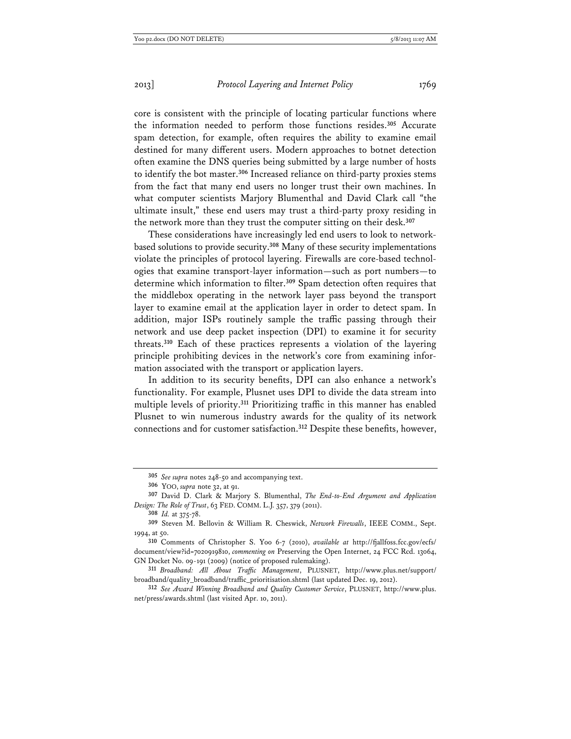core is consistent with the principle of locating particular functions where the information needed to perform those functions resides.**<sup>305</sup>** Accurate spam detection, for example, often requires the ability to examine email destined for many different users. Modern approaches to botnet detection often examine the DNS queries being submitted by a large number of hosts to identify the bot master.**<sup>306</sup>** Increased reliance on third-party proxies stems from the fact that many end users no longer trust their own machines. In what computer scientists Marjory Blumenthal and David Clark call "the ultimate insult," these end users may trust a third-party proxy residing in the network more than they trust the computer sitting on their desk.**<sup>307</sup>**

These considerations have increasingly led end users to look to networkbased solutions to provide security.**<sup>308</sup>** Many of these security implementations violate the principles of protocol layering. Firewalls are core-based technologies that examine transport-layer information—such as port numbers—to determine which information to filter.**<sup>309</sup>** Spam detection often requires that the middlebox operating in the network layer pass beyond the transport layer to examine email at the application layer in order to detect spam. In addition, major ISPs routinely sample the traffic passing through their network and use deep packet inspection (DPI) to examine it for security threats.**<sup>310</sup>** Each of these practices represents a violation of the layering principle prohibiting devices in the network's core from examining information associated with the transport or application layers.

In addition to its security benefits, DPI can also enhance a network's functionality. For example, Plusnet uses DPI to divide the data stream into multiple levels of priority.**<sup>311</sup>** Prioritizing traffic in this manner has enabled Plusnet to win numerous industry awards for the quality of its network connections and for customer satisfaction.**<sup>312</sup>** Despite these benefits, however,

**308** *Id.* at 375-78.

**<sup>305</sup>** *See supra* notes 248-50 and accompanying text.

**<sup>306</sup>** YOO, *supra* note 32, at 91.

**<sup>307</sup>** David D. Clark & Marjory S. Blumenthal, *The End-to-End Argument and Application Design: The Role of Trust*, 63 FED. COMM. L.J. 357, 379 (2011).

**<sup>309</sup>** Steven M. Bellovin & William R. Cheswick, *Network Firewalls*, IEEE COMM., Sept. 1994, at 50.

**<sup>310</sup>** Comments of Christopher S. Yoo 6-7 (2010), *available at* http://fjallfoss.fcc.gov/ecfs/ document/view?id=7020919810, *commenting on* Preserving the Open Internet, 24 FCC Rcd. 13064, GN Docket No. 09-191 (2009) (notice of proposed rulemaking).

**<sup>311</sup>** *Broadband: All About Traffic Management*, PLUSNET, http://www.plus.net/support/ broadband/quality\_broadband/traffic\_prioritisation.shtml (last updated Dec. 19, 2012).

**<sup>312</sup>** *See Award Winning Broadband and Quality Customer Service*, PLUSNET, http://www.plus. net/press/awards.shtml (last visited Apr. 10, 2011).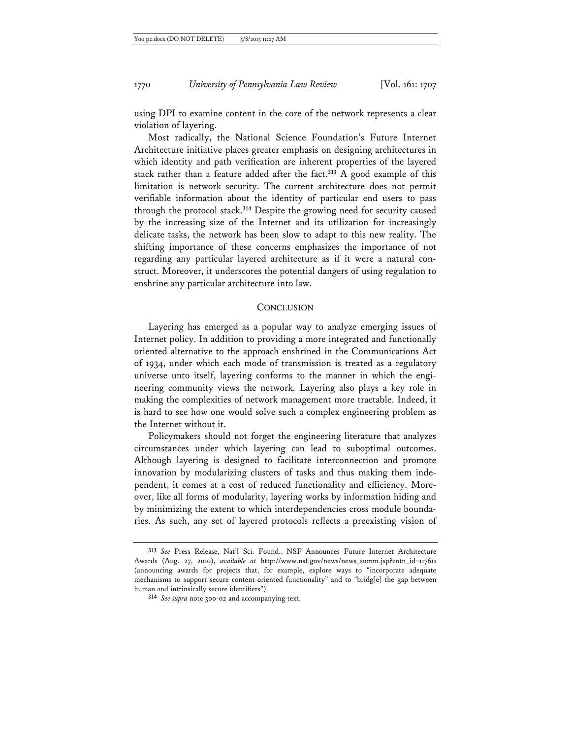using DPI to examine content in the core of the network represents a clear violation of layering.

Most radically, the National Science Foundation's Future Internet Architecture initiative places greater emphasis on designing architectures in which identity and path verification are inherent properties of the layered stack rather than a feature added after the fact.**<sup>313</sup>** A good example of this limitation is network security. The current architecture does not permit verifiable information about the identity of particular end users to pass through the protocol stack.**<sup>314</sup>** Despite the growing need for security caused by the increasing size of the Internet and its utilization for increasingly delicate tasks, the network has been slow to adapt to this new reality. The shifting importance of these concerns emphasizes the importance of not regarding any particular layered architecture as if it were a natural construct. Moreover, it underscores the potential dangers of using regulation to enshrine any particular architecture into law.

#### **CONCLUSION**

Layering has emerged as a popular way to analyze emerging issues of Internet policy. In addition to providing a more integrated and functionally oriented alternative to the approach enshrined in the Communications Act of 1934, under which each mode of transmission is treated as a regulatory universe unto itself, layering conforms to the manner in which the engineering community views the network. Layering also plays a key role in making the complexities of network management more tractable. Indeed, it is hard to see how one would solve such a complex engineering problem as the Internet without it.

Policymakers should not forget the engineering literature that analyzes circumstances under which layering can lead to suboptimal outcomes. Although layering is designed to facilitate interconnection and promote innovation by modularizing clusters of tasks and thus making them independent, it comes at a cost of reduced functionality and efficiency. Moreover, like all forms of modularity, layering works by information hiding and by minimizing the extent to which interdependencies cross module boundaries. As such, any set of layered protocols reflects a preexisting vision of

**<sup>313</sup>** *See* Press Release, Nat'l Sci. Found., NSF Announces Future Internet Architecture Awards (Aug. 27, 2010), *available at* http://www.nsf.gov/news/news\_summ.jsp?cntn\_id=117611 (announcing awards for projects that, for example, explore ways to "incorporate adequate mechanisms to support secure content-oriented functionality" and to "bridg[e] the gap between human and intrinsically secure identifiers").

**<sup>314</sup>** *See supra* note 300-02 and accompanying text.